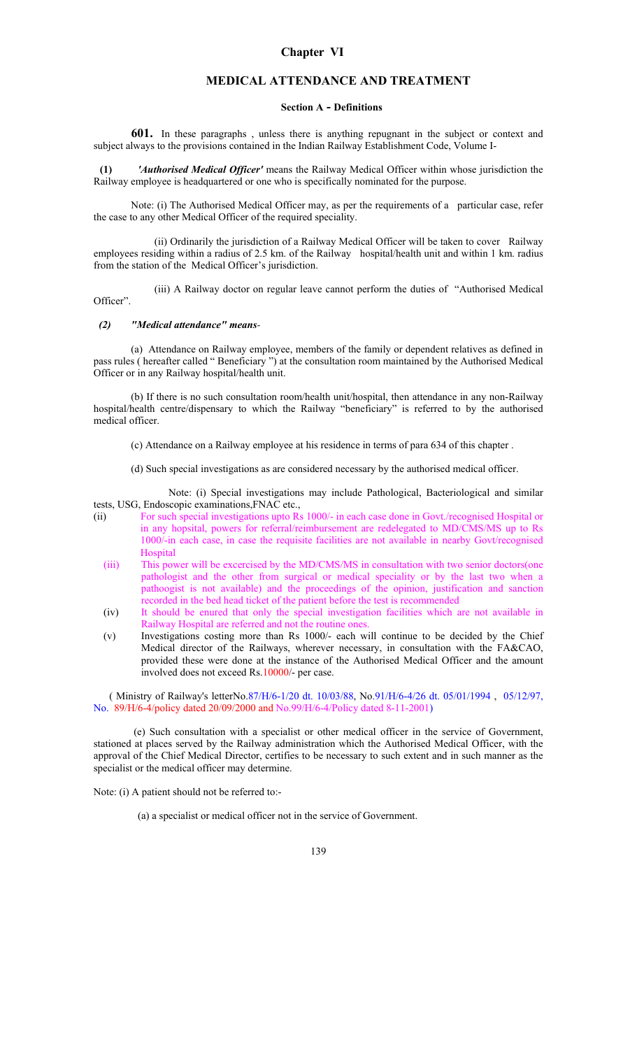# **MEDICAL ATTENDANCE AND TREATMENT**

#### **Section A - Definitions**

**601.** In these paragraphs , unless there is anything repugnant in the subject or context and subject always to the provisions contained in the Indian Railway Establishment Code, Volume I-

 **(1)** *'Authorised Medical Officer'* means the Railway Medical Officer within whose jurisdiction the Railway employee is headquartered or one who is specifically nominated for the purpose.

Note: (i) The Authorised Medical Officer may, as per the requirements of a particular case, refer the case to any other Medical Officer of the required speciality.

 (ii) Ordinarily the jurisdiction of a Railway Medical Officer will be taken to cover Railway employees residing within a radius of 2.5 km. of the Railway hospital/health unit and within 1 km. radius from the station of the Medical Officer's jurisdiction.

 (iii) A Railway doctor on regular leave cannot perform the duties of "Authorised Medical Officer".

## *(2) "Medical attendance" means-*

(a) Attendance on Railway employee, members of the family or dependent relatives as defined in pass rules ( hereafter called " Beneficiary ") at the consultation room maintained by the Authorised Medical Officer or in any Railway hospital/health unit.

(b) If there is no such consultation room/health unit/hospital, then attendance in any non-Railway hospital/health centre/dispensary to which the Railway "beneficiary" is referred to by the authorised medical officer.

- (c) Attendance on a Railway employee at his residence in terms of para 634 of this chapter .
- (d) Such special investigations as are considered necessary by the authorised medical officer.

 Note: (i) Special investigations may include Pathological, Bacteriological and similar tests, USG, Endoscopic examinations,FNAC etc.,

- (ii) For such special investigations upto Rs 1000/- in each case done in Govt./recognised Hospital or in any hopsital, powers for referral/reimbursement are redelegated to MD/CMS/MS up to Rs 1000/-in each case, in case the requisite facilities are not available in nearby Govt/recognised **Hospital** 
	- (iii) This power will be excercised by the MD/CMS/MS in consultation with two senior doctors(one pathologist and the other from surgical or medical speciality or by the last two when a pathoogist is not available) and the proceedings of the opinion, justification and sanction recorded in the bed head ticket of the patient before the test is recommended
	- (iv) It should be enured that only the special investigation facilities which are not available in Railway Hospital are referred and not the routine ones.
	- (v) Investigations costing more than Rs 1000/- each will continue to be decided by the Chief Medical director of the Railways, wherever necessary, in consultation with the FA&CAO, provided these were done at the instance of the Authorised Medical Officer and the amount involved does not exceed Rs.10000/- per case.

 ( Ministry of Railway's letterNo.87/H/6-1/20 dt. 10/03/88, No.91/H/6-4/26 dt. 05/01/1994 , 05/12/97, No. 89/H/6-4/policy dated 20/09/2000 and No.99/H/6-4/Policy dated 8-11-2001)

 (e) Such consultation with a specialist or other medical officer in the service of Government, stationed at places served by the Railway administration which the Authorised Medical Officer, with the approval of the Chief Medical Director, certifies to be necessary to such extent and in such manner as the specialist or the medical officer may determine.

Note: (i) A patient should not be referred to:-

(a) a specialist or medical officer not in the service of Government.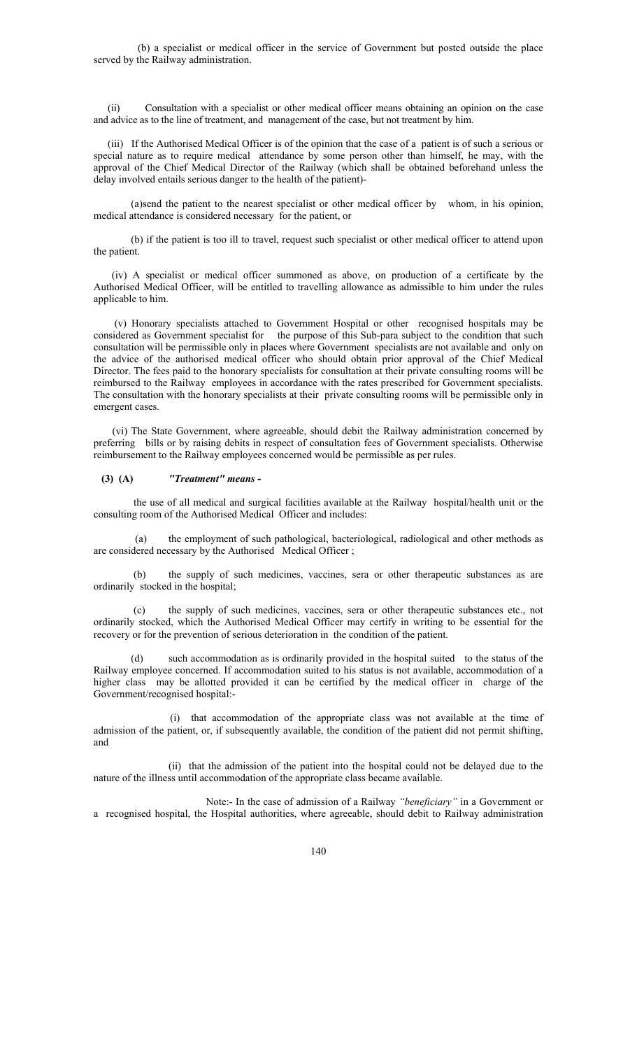(b) a specialist or medical officer in the service of Government but posted outside the place served by the Railway administration.

(ii) Consultation with a specialist or other medical officer means obtaining an opinion on the case and advice as to the line of treatment, and management of the case, but not treatment by him.

(iii) If the Authorised Medical Officer is of the opinion that the case of a patient is of such a serious or special nature as to require medical attendance by some person other than himself, he may, with the approval of the Chief Medical Director of the Railway (which shall be obtained beforehand unless the delay involved entails serious danger to the health of the patient)-

(a)send the patient to the nearest specialist or other medical officer by whom, in his opinion, medical attendance is considered necessary for the patient, or

(b) if the patient is too ill to travel, request such specialist or other medical officer to attend upon the patient.

 (iv) A specialist or medical officer summoned as above, on production of a certificate by the Authorised Medical Officer, will be entitled to travelling allowance as admissible to him under the rules applicable to him.

 (v) Honorary specialists attached to Government Hospital or other recognised hospitals may be considered as Government specialist for the purpose of this Sub-para subject to the condition that such consultation will be permissible only in places where Government specialists are not available and only on the advice of the authorised medical officer who should obtain prior approval of the Chief Medical Director. The fees paid to the honorary specialists for consultation at their private consulting rooms will be reimbursed to the Railway employees in accordance with the rates prescribed for Government specialists. The consultation with the honorary specialists at their private consulting rooms will be permissible only in emergent cases.

(vi) The State Government, where agreeable, should debit the Railway administration concerned by preferring bills or by raising debits in respect of consultation fees of Government specialists. Otherwise reimbursement to the Railway employees concerned would be permissible as per rules.

#### **(3) (A)** *"Treatment" means* **-**

 the use of all medical and surgical facilities available at the Railway hospital/health unit or the consulting room of the Authorised Medical Officer and includes:

 (a) the employment of such pathological, bacteriological, radiological and other methods as are considered necessary by the Authorised Medical Officer ;

 (b) the supply of such medicines, vaccines, sera or other therapeutic substances as are ordinarily stocked in the hospital;

the supply of such medicines, vaccines, sera or other therapeutic substances etc., not ordinarily stocked, which the Authorised Medical Officer may certify in writing to be essential for the recovery or for the prevention of serious deterioration in the condition of the patient.

(d) such accommodation as is ordinarily provided in the hospital suited to the status of the Railway employee concerned. If accommodation suited to his status is not available, accommodation of a higher class may be allotted provided it can be certified by the medical officer in charge of the Government/recognised hospital:-

 (i) that accommodation of the appropriate class was not available at the time of admission of the patient, or, if subsequently available, the condition of the patient did not permit shifting, and

 (ii) that the admission of the patient into the hospital could not be delayed due to the nature of the illness until accommodation of the appropriate class became available.

 Note:- In the case of admission of a Railway *"beneficiary"* in a Government or a recognised hospital, the Hospital authorities, where agreeable, should debit to Railway administration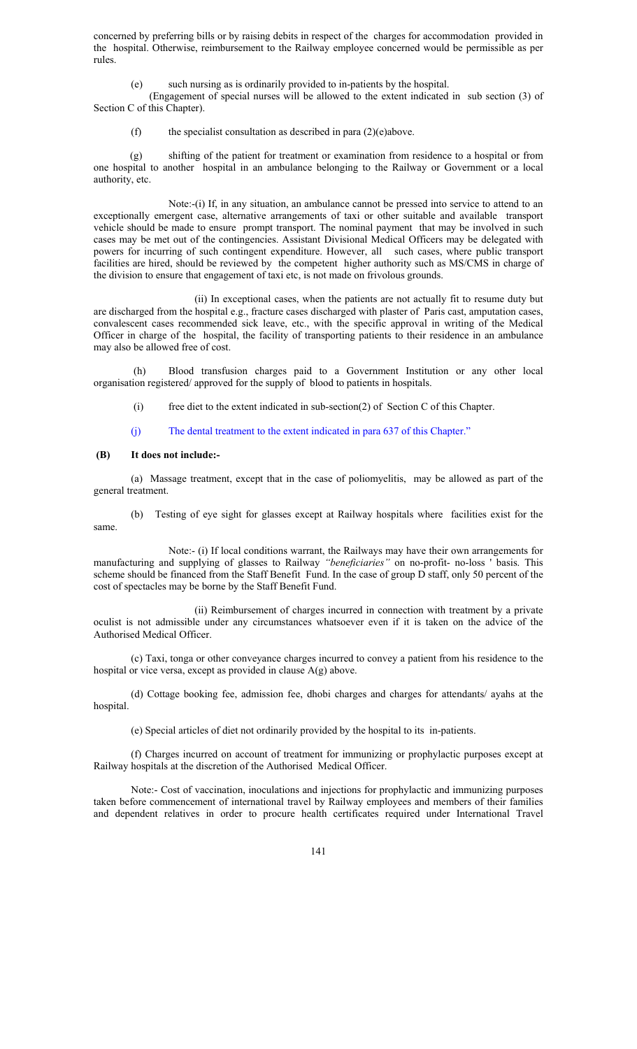concerned by preferring bills or by raising debits in respect of the charges for accommodation provided in the hospital. Otherwise, reimbursement to the Railway employee concerned would be permissible as per rules.

(e) such nursing as is ordinarily provided to in-patients by the hospital.

 (Engagement of special nurses will be allowed to the extent indicated in sub section (3) of Section C of this Chapter).

(f) the specialist consultation as described in para  $(2)(e)$ above.

 (g) shifting of the patient for treatment or examination from residence to a hospital or from one hospital to another hospital in an ambulance belonging to the Railway or Government or a local authority, etc.

Note:-(i) If, in any situation, an ambulance cannot be pressed into service to attend to an exceptionally emergent case, alternative arrangements of taxi or other suitable and available transport vehicle should be made to ensure prompt transport. The nominal payment that may be involved in such cases may be met out of the contingencies. Assistant Divisional Medical Officers may be delegated with powers for incurring of such contingent expenditure. However, all such cases, where public transport facilities are hired, should be reviewed by the competent higher authority such as MS/CMS in charge of the division to ensure that engagement of taxi etc, is not made on frivolous grounds.

 (ii) In exceptional cases, when the patients are not actually fit to resume duty but are discharged from the hospital e.g., fracture cases discharged with plaster of Paris cast, amputation cases, convalescent cases recommended sick leave, etc., with the specific approval in writing of the Medical Officer in charge of the hospital, the facility of transporting patients to their residence in an ambulance may also be allowed free of cost.

 (h) Blood transfusion charges paid to a Government Institution or any other local organisation registered/ approved for the supply of blood to patients in hospitals.

- (i) free diet to the extent indicated in sub-section(2) of Section C of this Chapter.
- (j) The dental treatment to the extent indicated in para 637 of this Chapter."

#### **(B) It does not include:-**

 (a) Massage treatment, except that in the case of poliomyelitis, may be allowed as part of the general treatment.

 (b) Testing of eye sight for glasses except at Railway hospitals where facilities exist for the same.

 Note:- (i) If local conditions warrant, the Railways may have their own arrangements for manufacturing and supplying of glasses to Railway *"beneficiaries"* on no-profit- no-loss ' basis. This scheme should be financed from the Staff Benefit Fund. In the case of group D staff, only 50 percent of the cost of spectacles may be borne by the Staff Benefit Fund.

 (ii) Reimbursement of charges incurred in connection with treatment by a private oculist is not admissible under any circumstances whatsoever even if it is taken on the advice of the Authorised Medical Officer.

(c) Taxi, tonga or other conveyance charges incurred to convey a patient from his residence to the hospital or vice versa, except as provided in clause A(g) above.

 (d) Cottage booking fee, admission fee, dhobi charges and charges for attendants/ ayahs at the hospital.

(e) Special articles of diet not ordinarily provided by the hospital to its in-patients.

(f) Charges incurred on account of treatment for immunizing or prophylactic purposes except at Railway hospitals at the discretion of the Authorised Medical Officer.

Note:- Cost of vaccination, inoculations and injections for prophylactic and immunizing purposes taken before commencement of international travel by Railway employees and members of their families and dependent relatives in order to procure health certificates required under International Travel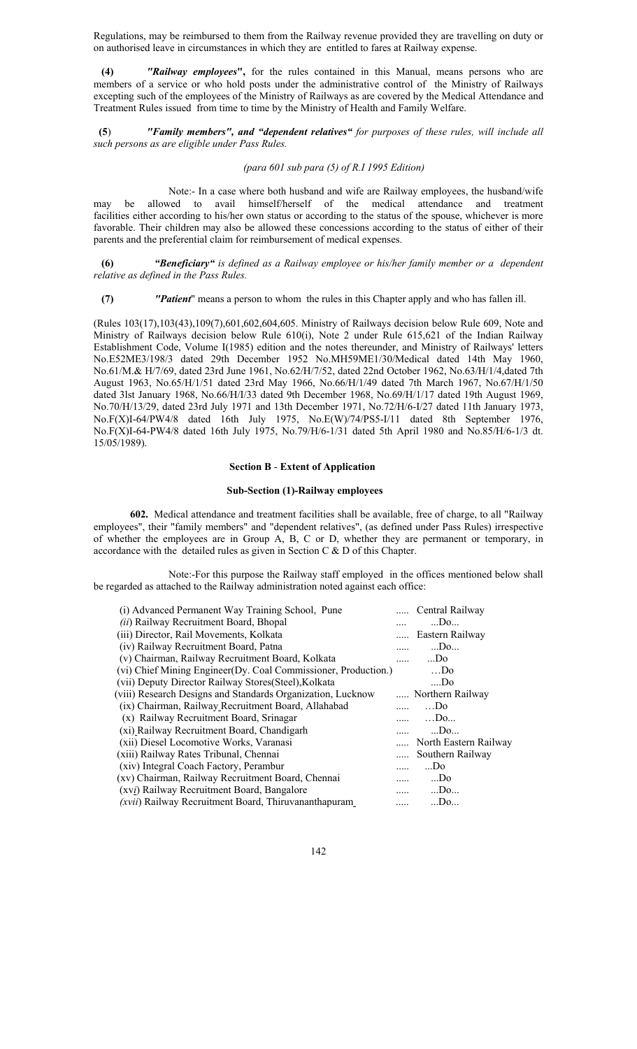Regulations, may be reimbursed to them from the Railway revenue provided they are travelling on duty or on authorised leave in circumstances in which they are entitled to fares at Railway expense.

 **(4)** *"Railway employees***",** for the rules contained in this Manual, means persons who are members of a service or who hold posts under the administrative control of the Ministry of Railways excepting such of the employees of the Ministry of Railways as are covered by the Medical Attendance and Treatment Rules issued from time to time by the Ministry of Health and Family Welfare.

**(5**) *"Family members", and "dependent relatives" for purposes of these rules, will include all such persons as are eligible under Pass Rules.* 

#### *(para 601 sub para (5) of R.I 1995 Edition)*

Note:- In a case where both husband and wife are Railway employees, the husband/wife may be allowed to avail himself/herself of the medical attendance and treatment facilities either according to his/her own status or according to the status of the spouse, whichever is more favorable. Their children may also be allowed these concessions according to the status of either of their parents and the preferential claim for reimbursement of medical expenses.

 **(6)** *"Beneficiary" is defined as a Railway employee or his/her family member or a dependent relative as defined in the Pass Rules.* 

 **(7)** *"Patient*" means a person to whom the rules in this Chapter apply and who has fallen ill.

(Rules 103(17),103(43),109(7),601,602,604,605. Ministry of Railways decision below Rule 609, Note and Ministry of Railways decision below Rule 610(i), Note 2 under Rule 615,621 of the Indian Railway Establishment Code, Volume I(1985) edition and the notes thereunder, and Ministry of Railways' letters No.E52ME3/198/3 dated 29th December 1952 No.MH59ME1/30/Medical dated 14th May 1960, No.61/M.& H/7/69, dated 23rd June 1961, No.62/H/7/52, dated 22nd October 1962, No.63/H/1/4,dated 7th August 1963, No.65/H/1/51 dated 23rd May 1966, No.66/H/1/49 dated 7th March 1967, No.67/H/1/50 dated 3lst January 1968, No.66/H/I/33 dated 9th December 1968, No.69/H/1/17 dated 19th August 1969, No.70/H/13/29, dated 23rd July 1971 and 13th December 1971, No.72/H/6-I/27 dated 11th January 1973, No.F(X)I-64/PW4/8 dated 16th July 1975, No.E(W)/74/PS5-I/11 dated 8th September 1976, No.F(X)I-64-PW4/8 dated 16th July 1975, No.79/H/6-1/31 dated 5th April 1980 and No.85/H/6-1/3 dt. 15/05/1989).

#### **Section B** - **Extent of Application**

#### **Sub-Section (1)-Railway employees**

 **602.** Medical attendance and treatment facilities shall be available, free of charge, to all "Railway employees", their "family members" and "dependent relatives", (as defined under Pass Rules) irrespective of whether the employees are in Group A, B, C or D, whether they are permanent or temporary, in accordance with the detailed rules as given in Section C & D of this Chapter.

 Note:-For this purpose the Railway staff employed in the offices mentioned below shall be regarded as attached to the Railway administration noted against each office:

| (i) Advanced Permanent Way Training School, Pune               |   | Central Railway       |
|----------------------------------------------------------------|---|-----------------------|
| <i>(ii)</i> Railway Recruitment Board, Bhopal                  |   | $$ Do                 |
| (iii) Director, Rail Movements, Kolkata                        |   | Eastern Railway       |
| (iv) Railway Recruitment Board, Patna                          |   | $$ Do                 |
| (v) Chairman, Railway Recruitment Board, Kolkata               |   | $$ Do                 |
| (vi) Chief Mining Engineer(Dy. Coal Commissioner, Production.) |   | $$ Do                 |
| (vii) Deputy Director Railway Stores (Steel), Kolkata          |   | Do                    |
| (viii) Research Designs and Standards Organization, Lucknow    |   | Northern Railway      |
| (ix) Chairman, Railway Recruitment Board, Allahabad            |   | $$ Do                 |
| (x) Railway Recruitment Board, Srinagar                        |   | $$ Do                 |
| (xi) Railway Recruitment Board, Chandigarh                     |   | $$ Do                 |
| (xii) Diesel Locomotive Works, Varanasi                        |   | North Eastern Railway |
| (xiii) Railway Rates Tribunal, Chennai                         |   | Southern Railway      |
| (xiv) Integral Coach Factory, Perambur                         |   | $$ Do                 |
| (xv) Chairman, Railway Recruitment Board, Chennai              |   | $$ Do                 |
| (xvi) Railway Recruitment Board, Bangalore                     |   | $$ Do                 |
| ( <i>xvii</i> ) Railway Recruitment Board, Thiruvananthapuram  | . | $$ Do                 |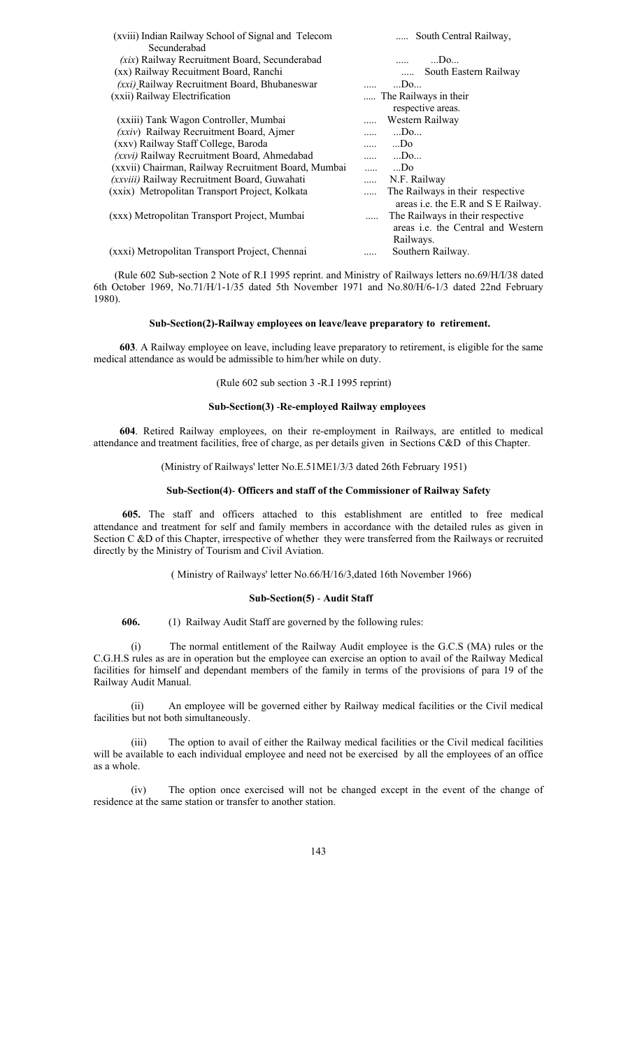| (xviii) Indian Railway School of Signal and Telecom | South Central Railway,                       |
|-----------------------------------------------------|----------------------------------------------|
| Secunderabad                                        |                                              |
| (xix) Railway Recruitment Board, Secunderabad       | Do                                           |
| (xx) Railway Recuitment Board, Ranchi               | South Eastern Railway                        |
| (xxi) Railway Recruitment Board, Bhubaneswar        | $$ Do                                        |
| (xxii) Railway Electrification                      | The Railways in their                        |
|                                                     | respective areas.                            |
| (xxiii) Tank Wagon Controller, Mumbai               | Western Railway                              |
| (xxiv) Railway Recruitment Board, Ajmer             | $$ Do<br>$\cdots$                            |
| (xxv) Railway Staff College, Baroda                 | $$ Do<br>$\cdots$                            |
| (xxvi) Railway Recruitment Board, Ahmedabad         | $$ Do<br>.                                   |
| (xxvii) Chairman, Railway Recruitment Board, Mumbai | $$ Do<br>$\cdots$                            |
| (xxviii) Railway Recruitment Board, Guwahati        | N.F. Railway<br>$\cdots$                     |
| (xxix) Metropolitan Transport Project, Kolkata      | The Railways in their respective<br>$\cdots$ |
|                                                     | areas <i>i.e.</i> the E.R and S E Railway.   |
| (xxx) Metropolitan Transport Project, Mumbai        | The Railways in their respective<br>.        |
|                                                     | areas <i>i.e.</i> the Central and Western    |
|                                                     | Railways.                                    |
| (xxxi) Metropolitan Transport Project, Chennai      | Southern Railway.<br>.                       |

 (Rule 602 Sub-section 2 Note of R.I 1995 reprint. and Ministry of Railways letters no.69/H/I/38 dated 6th October 1969, No.71/H/1-1/35 dated 5th November 1971 and No.80/H/6-1/3 dated 22nd February 1980).

#### **Sub-Section(2)-Railway employees on leave/leave preparatory to retirement.**

 **603**. A Railway employee on leave, including leave preparatory to retirement, is eligible for the same medical attendance as would be admissible to him/her while on duty.

## (Rule 602 sub section 3 -R.I 1995 reprint)

#### **Sub-Section(3)** -**Re-employed Railway employees**

 **604**. Retired Railway employees, on their re-employment in Railways, are entitled to medical attendance and treatment facilities, free of charge, as per details given in Sections C&D of this Chapter.

#### (Ministry of Railways' letter No.E.51ME1/3/3 dated 26th February 1951)

## **Sub-Section(4)**- **Officers and staff of the Commissioner of Railway Safety**

 **605.** The staff and officers attached to this establishment are entitled to free medical attendance and treatment for self and family members in accordance with the detailed rules as given in Section C &D of this Chapter, irrespective of whether they were transferred from the Railways or recruited directly by the Ministry of Tourism and Civil Aviation.

## ( Ministry of Railways' letter No.66/H/16/3,dated 16th November 1966)

## **Sub-Section(5)** - **Audit Staff**

**606.** (1) Railway Audit Staff are governed by the following rules:

(i) The normal entitlement of the Railway Audit employee is the G.C.S (MA) rules or the C.G.H.S rules as are in operation but the employee can exercise an option to avail of the Railway Medical facilities for himself and dependant members of the family in terms of the provisions of para 19 of the Railway Audit Manual.

(ii) An employee will be governed either by Railway medical facilities or the Civil medical facilities but not both simultaneously.

(iii) The option to avail of either the Railway medical facilities or the Civil medical facilities will be available to each individual employee and need not be exercised by all the employees of an office as a whole.

(iv) The option once exercised will not be changed except in the event of the change of residence at the same station or transfer to another station.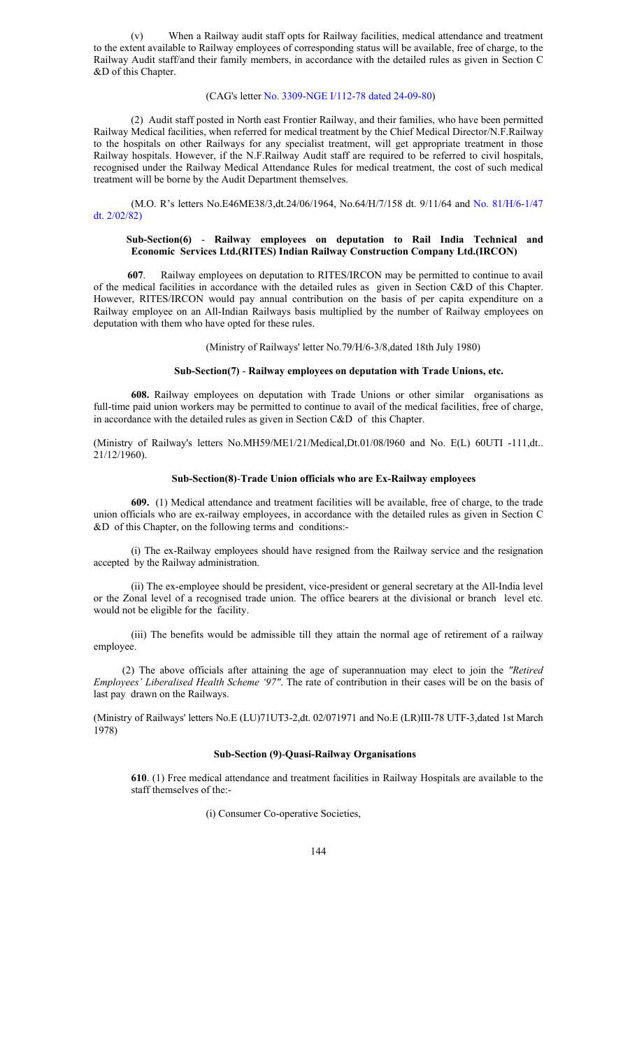(v) When a Railway audit staff opts for Railway facilities, medical attendance and treatment to the extent available to Railway employees of corresponding status will be available, free of charge, to the Railway Audit staff/and their family members, in accordance with the detailed rules as given in Section C &D of this Chapter.

#### (CAG's letter No. 3309-NGE I/112-78 dated 24-09-80)

 (2) Audit staff posted in North east Frontier Railway, and their families, who have been permitted Railway Medical facilities, when referred for medical treatment by the Chief Medical Director/N.F.Railway to the hospitals on other Railways for any specialist treatment, will get appropriate treatment in those Railway hospitals. However, if the N.F.Railway Audit staff are required to be referred to civil hospitals, recognised under the Railway Medical Attendance Rules for medical treatment, the cost of such medical treatment will be borne by the Audit Department themselves.

(M.O. R's letters No.E46ME38/3,dt.24/06/1964, No.64/H/7/158 dt. 9/11/64 and No. 81/H/6-1/47 dt. 2/02/82)

#### **Sub-Section(6)** - **Railway employees on deputation to Rail India Technical and Economic Services Ltd.(RITES) Indian Railway Construction Company Ltd.(IRCON)**

 **607**. Railway employees on deputation to RITES/IRCON may be permitted to continue to avail of the medical facilities in accordance with the detailed rules as given in Section C&D of this Chapter. However, RITES/IRCON would pay annual contribution on the basis of per capita expenditure on a Railway employee on an All-Indian Railways basis multiplied by the number of Railway employees on deputation with them who have opted for these rules.

(Ministry of Railways' letter No.79/H/6-3/8,dated 18th July 1980)

#### **Sub-Section(7)** - **Railway employees on deputation with Trade Unions, etc.**

**608.** Railway employees on deputation with Trade Unions or other similar organisations as full-time paid union workers may be permitted to continue to avail of the medical facilities, free of charge, in accordance with the detailed rules as given in Section C&D of this Chapter.

(Ministry of Railway's letters No.MH59/ME1/21/Medical,Dt.01/08/l960 and No. E(L) 60UTI -111,dt..  $21/12/1960$ ).

### **Sub-Section(8)**-**Trade Union officials who are Ex-Railway employees**

**609.** (1) Medical attendance and treatment facilities will be available, free of charge, to the trade union officials who are ex-railway employees, in accordance with the detailed rules as given in Section C &D of this Chapter, on the following terms and conditions:-

 (i) The ex-Railway employees should have resigned from the Railway service and the resignation accepted by the Railway administration.

(ii) The ex-employee should be president, vice-president or general secretary at the All-India level or the Zonal level of a recognised trade union. The office bearers at the divisional or branch level etc. would not be eligible for the facility.

 (iii) The benefits would be admissible till they attain the normal age of retirement of a railway employee.

 (2) The above officials after attaining the age of superannuation may elect to join the *"Retired Employees' Liberalised Health Scheme '97"*. The rate of contribution in their cases will be on the basis of last pay drawn on the Railways.

(Ministry of Railways' letters No.E (LU)71UT3-2,dt. 02/071971 and No.E (LR)III-78 UTF-3,dated 1st March 1978)

#### **Sub-Section (9)**-**Quasi-Railway Organisations**

**610**. (1) Free medical attendance and treatment facilities in Railway Hospitals are available to the staff themselves of the:-

(i) Consumer Co-operative Societies,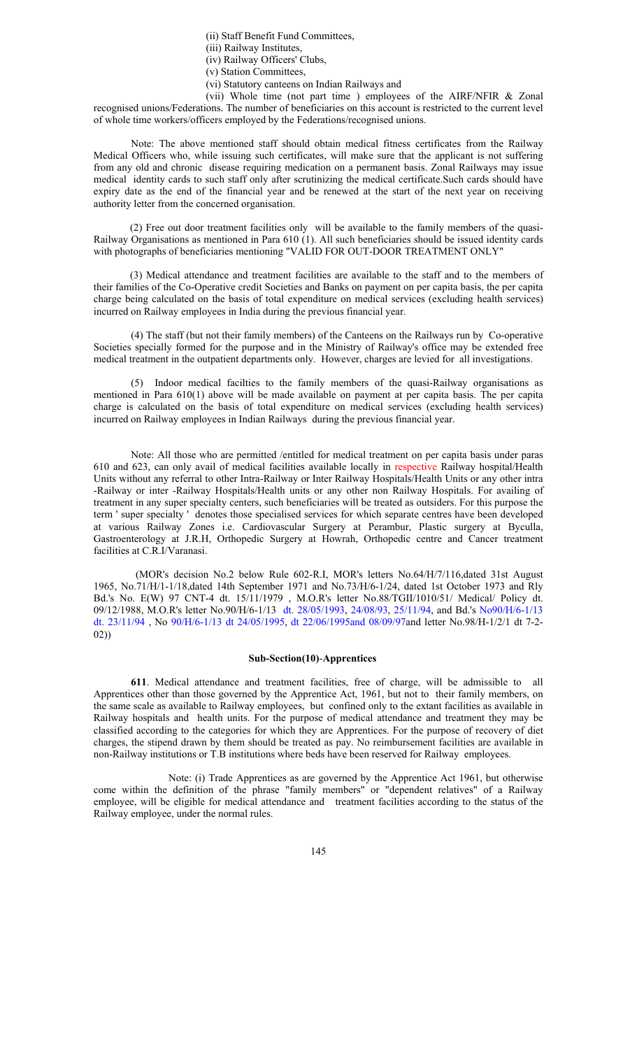(ii) Staff Benefit Fund Committees,

(iii) Railway Institutes,

(iv) Railway Officers' Clubs,

- (v) Station Committees,
- (vi) Statutory canteens on Indian Railways and

 (vii) Whole time (not part time ) employees of the AIRF/NFIR & Zonal recognised unions/Federations. The number of beneficiaries on this account is restricted to the current level of whole time workers/officers employed by the Federations/recognised unions.

Note: The above mentioned staff should obtain medical fitness certificates from the Railway Medical Officers who, while issuing such certificates, will make sure that the applicant is not suffering from any old and chronic disease requiring medication on a permanent basis. Zonal Railways may issue medical identity cards to such staff only after scrutinizing the medical certificate.Such cards should have expiry date as the end of the financial year and be renewed at the start of the next year on receiving authority letter from the concerned organisation.

 (2) Free out door treatment facilities only will be available to the family members of the quasi-Railway Organisations as mentioned in Para 610 (1). All such beneficiaries should be issued identity cards with photographs of beneficiaries mentioning "VALID FOR OUT-DOOR TREATMENT ONLY"

 (3) Medical attendance and treatment facilities are available to the staff and to the members of their families of the Co-Operative credit Societies and Banks on payment on per capita basis, the per capita charge being calculated on the basis of total expenditure on medical services (excluding health services) incurred on Railway employees in India during the previous financial year.

(4) The staff (but not their family members) of the Canteens on the Railways run by Co-operative Societies specially formed for the purpose and in the Ministry of Railway's office may be extended free medical treatment in the outpatient departments only. However, charges are levied for all investigations.

(5) Indoor medical facilties to the family members of the quasi-Railway organisations as mentioned in Para 610(1) above will be made available on payment at per capita basis. The per capita charge is calculated on the basis of total expenditure on medical services (excluding health services) incurred on Railway employees in Indian Railways during the previous financial year.

 Note: All those who are permitted /entitled for medical treatment on per capita basis under paras 610 and 623, can only avail of medical facilities available locally in respective Railway hospital/Health Units without any referral to other Intra-Railway or Inter Railway Hospitals/Health Units or any other intra -Railway or inter -Railway Hospitals/Health units or any other non Railway Hospitals. For availing of treatment in any super specialty centers, such beneficiaries will be treated as outsiders. For this purpose the term ' super specialty ' denotes those specialised services for which separate centres have been developed at various Railway Zones i.e. Cardiovascular Surgery at Perambur, Plastic surgery at Byculla, Gastroenterology at J.R.H, Orthopedic Surgery at Howrah, Orthopedic centre and Cancer treatment facilities at C.R.I/Varanasi.

(MOR's decision No.2 below Rule 602-R.I, MOR's letters No.64/H/7/116,dated 31st August 1965, No.71/H/1-1/18,dated 14th September 1971 and No.73/H/6-1/24, dated 1st October 1973 and Rly Bd.'s No. E(W) 97 CNT-4 dt. 15/11/1979 , M.O.R's letter No.88/TGII/1010/51/ Medical/ Policy dt. 09/12/1988, M.O.R's letter No.90/H/6-1/13 dt. 28/05/1993, 24/08/93, 25/11/94, and Bd.'s No90/H/6-1/13 dt. 23/11/94 , No 90/H/6-1/13 dt 24/05/1995, dt 22/06/1995and 08/09/97and letter No.98/H-1/2/1 dt 7-2- 02))

### **Sub-Section(10)**-**Apprentices**

**611**. Medical attendance and treatment facilities, free of charge, will be admissible to all Apprentices other than those governed by the Apprentice Act, 1961, but not to their family members, on the same scale as available to Railway employees, but confined only to the extant facilities as available in Railway hospitals and health units. For the purpose of medical attendance and treatment they may be classified according to the categories for which they are Apprentices. For the purpose of recovery of diet charges, the stipend drawn by them should be treated as pay. No reimbursement facilities are available in non-Railway institutions or T.B institutions where beds have been reserved for Railway employees.

 Note: (i) Trade Apprentices as are governed by the Apprentice Act 1961, but otherwise come within the definition of the phrase "family members" or "dependent relatives" of a Railway employee, will be eligible for medical attendance and treatment facilities according to the status of the Railway employee, under the normal rules.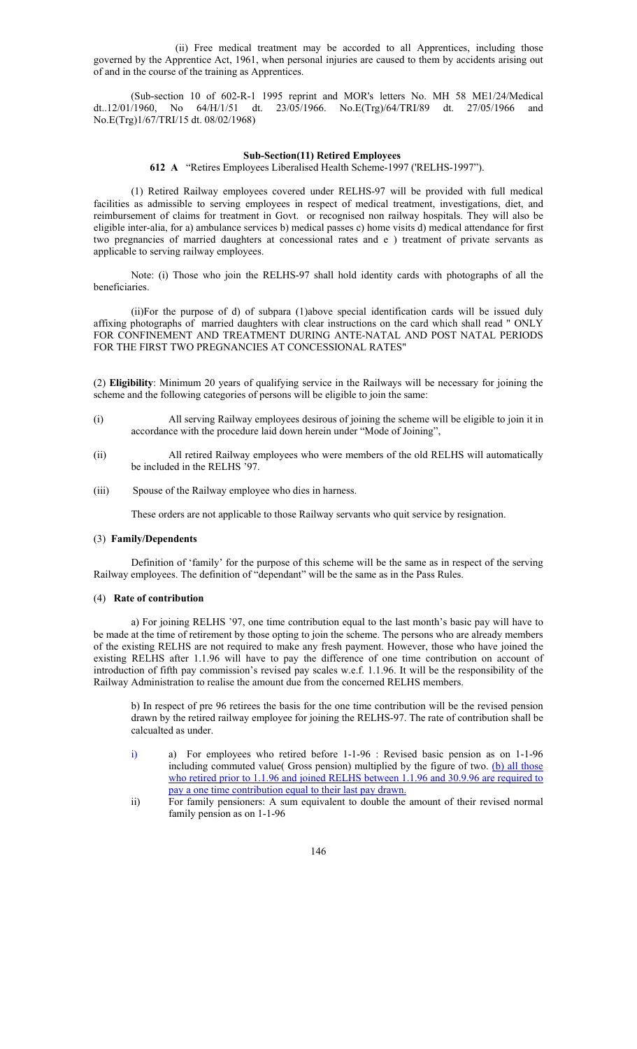(ii) Free medical treatment may be accorded to all Apprentices, including those governed by the Apprentice Act, 1961, when personal injuries are caused to them by accidents arising out of and in the course of the training as Apprentices.

 (Sub-section 10 of 602-R-1 1995 reprint and MOR's letters No. MH 58 ME1/24/Medical dt..12/01/1960, No 64/H/1/51 dt. 23/05/1966. No.E(Trg)/64/TRI/89 dt. 27/05/1966 and No.E(Trg)1/67/TRI/15 dt. 08/02/1968)

#### **Sub-Section(11) Retired Employees**

**612 A** "Retires Employees Liberalised Health Scheme-1997 ('RELHS-1997").

(1) Retired Railway employees covered under RELHS-97 will be provided with full medical facilities as admissible to serving employees in respect of medical treatment, investigations, diet, and reimbursement of claims for treatment in Govt. or recognised non railway hospitals. They will also be eligible inter-alia, for a) ambulance services b) medical passes c) home visits d) medical attendance for first two pregnancies of married daughters at concessional rates and e ) treatment of private servants as applicable to serving railway employees.

Note: (i) Those who join the RELHS-97 shall hold identity cards with photographs of all the beneficiaries.

(ii)For the purpose of d) of subpara (1)above special identification cards will be issued duly affixing photographs of married daughters with clear instructions on the card which shall read " ONLY FOR CONFINEMENT AND TREATMENT DURING ANTE-NATAL AND POST NATAL PERIODS FOR THE FIRST TWO PREGNANCIES AT CONCESSIONAL RATES"

(2) **Eligibility**: Minimum 20 years of qualifying service in the Railways will be necessary for joining the scheme and the following categories of persons will be eligible to join the same:

- (i) All serving Railway employees desirous of joining the scheme will be eligible to join it in accordance with the procedure laid down herein under "Mode of Joining",
- (ii) All retired Railway employees who were members of the old RELHS will automatically be included in the RELHS '97.
- (iii) Spouse of the Railway employee who dies in harness.

These orders are not applicable to those Railway servants who quit service by resignation.

#### (3) **Family/Dependents**

Definition of 'family' for the purpose of this scheme will be the same as in respect of the serving Railway employees. The definition of "dependant" will be the same as in the Pass Rules.

#### (4) **Rate of contribution**

a) For joining RELHS '97, one time contribution equal to the last month's basic pay will have to be made at the time of retirement by those opting to join the scheme. The persons who are already members of the existing RELHS are not required to make any fresh payment. However, those who have joined the existing RELHS after 1.1.96 will have to pay the difference of one time contribution on account of introduction of fifth pay commission's revised pay scales w.e.f. 1.1.96. It will be the responsibility of the Railway Administration to realise the amount due from the concerned RELHS members.

b) In respect of pre 96 retirees the basis for the one time contribution will be the revised pension drawn by the retired railway employee for joining the RELHS-97. The rate of contribution shall be calcualted as under.

- i) a) For employees who retired before 1-1-96 : Revised basic pension as on 1-1-96 including commuted value( Gross pension) multiplied by the figure of two. (b) all those who retired prior to 1.1.96 and joined RELHS between 1.1.96 and 30.9.96 are required to pay a one time contribution equal to their last pay drawn.
- ii) For family pensioners: A sum equivalent to double the amount of their revised normal family pension as on 1-1-96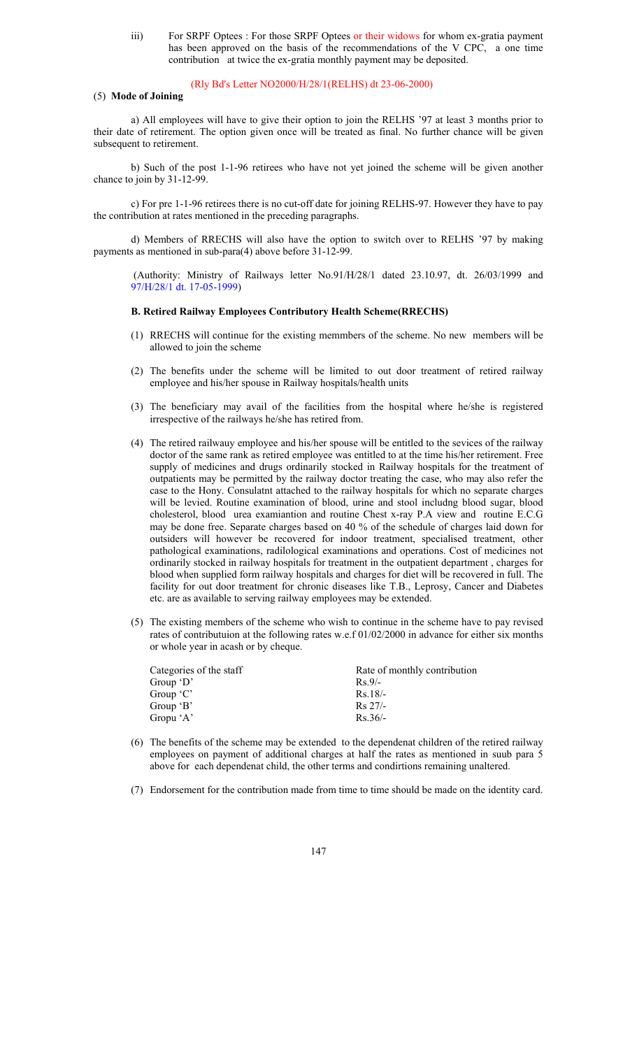iii) For SRPF Optees : For those SRPF Optees or their widows for whom ex-gratia payment has been approved on the basis of the recommendations of the V CPC, a one time contribution at twice the ex-gratia monthly payment may be deposited.

## (Rly Bd's Letter NO2000/H/28/1(RELHS) dt 23-06-2000)

## (5) **Mode of Joining**

a) All employees will have to give their option to join the RELHS '97 at least 3 months prior to their date of retirement. The option given once will be treated as final. No further chance will be given subsequent to retirement.

b) Such of the post 1-1-96 retirees who have not yet joined the scheme will be given another chance to join by 31-12-99.

c) For pre 1-1-96 retirees there is no cut-off date for joining RELHS-97. However they have to pay the contribution at rates mentioned in the preceding paragraphs.

d) Members of RRECHS will also have the option to switch over to RELHS '97 by making payments as mentioned in sub-para(4) above before 31-12-99.

 (Authority: Ministry of Railways letter No.91/H/28/1 dated 23.10.97, dt. 26/03/1999 and 97/H/28/1 dt. 17-05-1999)

#### **B. Retired Railway Employees Contributory Health Scheme(RRECHS)**

- (1) RRECHS will continue for the existing memmbers of the scheme. No new members will be allowed to join the scheme
- (2) The benefits under the scheme will be limited to out door treatment of retired railway employee and his/her spouse in Railway hospitals/health units
- (3) The beneficiary may avail of the facilities from the hospital where he/she is registered irrespective of the railways he/she has retired from.
- (4) The retired railwauy employee and his/her spouse will be entitled to the sevices of the railway doctor of the same rank as retired employee was entitled to at the time his/her retirement. Free supply of medicines and drugs ordinarily stocked in Railway hospitals for the treatment of outpatients may be permitted by the railway doctor treating the case, who may also refer the case to the Hony. Consulatnt attached to the railway hospitals for which no separate charges will be levied. Routine examination of blood, urine and stool includng blood sugar, blood cholesterol, blood urea examiantion and routine Chest x-ray P.A view and routine E.C.G may be done free. Separate charges based on 40 % of the schedule of charges laid down for outsiders will however be recovered for indoor treatment, specialised treatment, other pathological examinations, radilological examinations and operations. Cost of medicines not ordinarily stocked in railway hospitals for treatment in the outpatient department , charges for blood when supplied form railway hospitals and charges for diet will be recovered in full. The facility for out door treatment for chronic diseases like T.B., Leprosy, Cancer and Diabetes etc. are as available to serving railway employees may be extended.
- (5) The existing members of the scheme who wish to continue in the scheme have to pay revised rates of contributuion at the following rates w.e.f 01/02/2000 in advance for either six months or whole year in acash or by cheque.

| Categories of the staff | Rate of monthly contribution |
|-------------------------|------------------------------|
| Group 'D'               | $R_S$ 9/-                    |
| Group 'C'               | $Rs.18/-$                    |
| Group 'B'               | $Rs\ 27/-$                   |
| Gropu 'A'               | $Rs.36/-$                    |

- (6) The benefits of the scheme may be extended to the dependenat children of the retired railway employees on payment of additional charges at half the rates as mentioned in suub para 5 above for each dependenat child, the other terms and condirtions remaining unaltered.
- (7) Endorsement for the contribution made from time to time should be made on the identity card.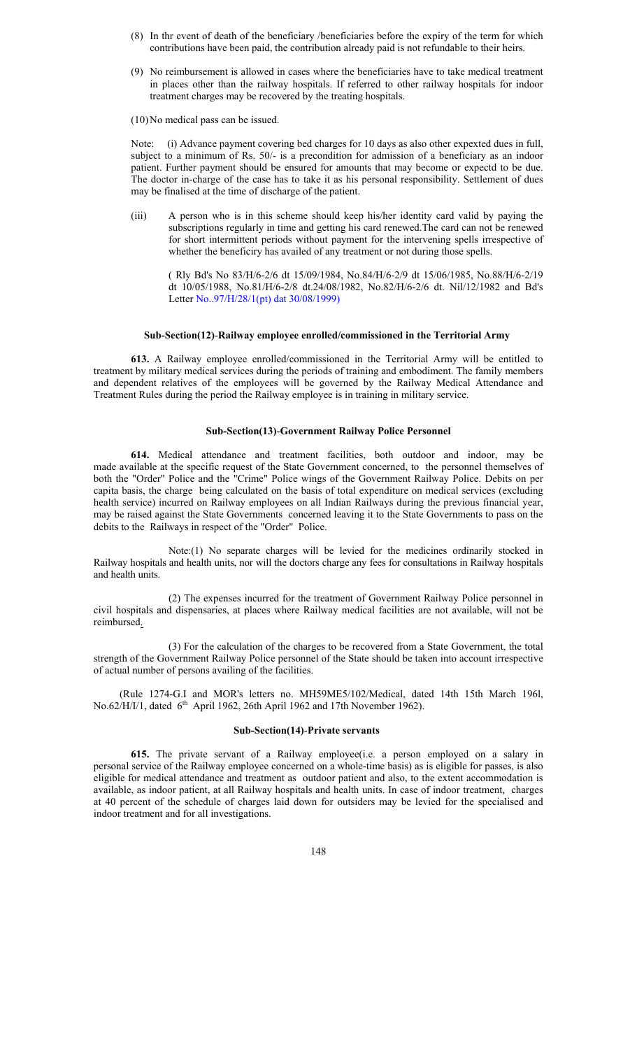- (8) In thr event of death of the beneficiary /beneficiaries before the expiry of the term for which contributions have been paid, the contribution already paid is not refundable to their heirs.
- (9) No reimbursement is allowed in cases where the beneficiaries have to take medical treatment in places other than the railway hospitals. If referred to other railway hospitals for indoor treatment charges may be recovered by the treating hospitals.
- (10) No medical pass can be issued.

Note: (i) Advance payment covering bed charges for 10 days as also other expexted dues in full, subject to a minimum of Rs. 50/- is a precondition for admission of a beneficiary as an indoor patient. Further payment should be ensured for amounts that may become or expectd to be due. The doctor in-charge of the case has to take it as his personal responsibility. Settlement of dues may be finalised at the time of discharge of the patient.

(iii) A person who is in this scheme should keep his/her identity card valid by paying the subscriptions regularly in time and getting his card renewed.The card can not be renewed for short intermittent periods without payment for the intervening spells irrespective of whether the beneficiry has availed of any treatment or not during those spells.

( Rly Bd's No 83/H/6-2/6 dt 15/09/1984, No.84/H/6-2/9 dt 15/06/1985, No.88/H/6-2/19 dt 10/05/1988, No.81/H/6-2/8 dt.24/08/1982, No.82/H/6-2/6 dt. Nil/12/1982 and Bd's Letter No..97/H/28/1(pt) dat 30/08/1999)

#### **Sub-Section(12)**-**Railway employee enrolled/commissioned in the Territorial Army**

**613.** A Railway employee enrolled/commissioned in the Territorial Army will be entitled to treatment by military medical services during the periods of training and embodiment. The family members and dependent relatives of the employees will be governed by the Railway Medical Attendance and Treatment Rules during the period the Railway employee is in training in military service.

#### **Sub-Section(13)**-**Government Railway Police Personnel**

**614.** Medical attendance and treatment facilities, both outdoor and indoor, may be made available at the specific request of the State Government concerned, to the personnel themselves of both the "Order" Police and the "Crime" Police wings of the Government Railway Police. Debits on per capita basis, the charge being calculated on the basis of total expenditure on medical services (excluding health service) incurred on Railway employees on all Indian Railways during the previous financial year, may be raised against the State Governments concerned leaving it to the State Governments to pass on the debits to the Railways in respect of the "Order" Police.

Note:(1) No separate charges will be levied for the medicines ordinarily stocked in Railway hospitals and health units, nor will the doctors charge any fees for consultations in Railway hospitals and health units.

(2) The expenses incurred for the treatment of Government Railway Police personnel in civil hospitals and dispensaries, at places where Railway medical facilities are not available, will not be reimbursed.

(3) For the calculation of the charges to be recovered from a State Government, the total strength of the Government Railway Police personnel of the State should be taken into account irrespective of actual number of persons availing of the facilities.

 (Rule 1274-G.I and MOR's letters no. MH59ME5/102/Medical, dated 14th 15th March 196l, No.62/H/I/1, dated  $6<sup>th</sup>$  April 1962, 26th April 1962 and 17th November 1962).

#### **Sub-Section(14)**-**Private servants**

**615.** The private servant of a Railway employee(i.e. a person employed on a salary in personal service of the Railway employee concerned on a whole-time basis) as is eligible for passes, is also eligible for medical attendance and treatment as outdoor patient and also, to the extent accommodation is available, as indoor patient, at all Railway hospitals and health units. In case of indoor treatment, charges at 40 percent of the schedule of charges laid down for outsiders may be levied for the specialised and indoor treatment and for all investigations.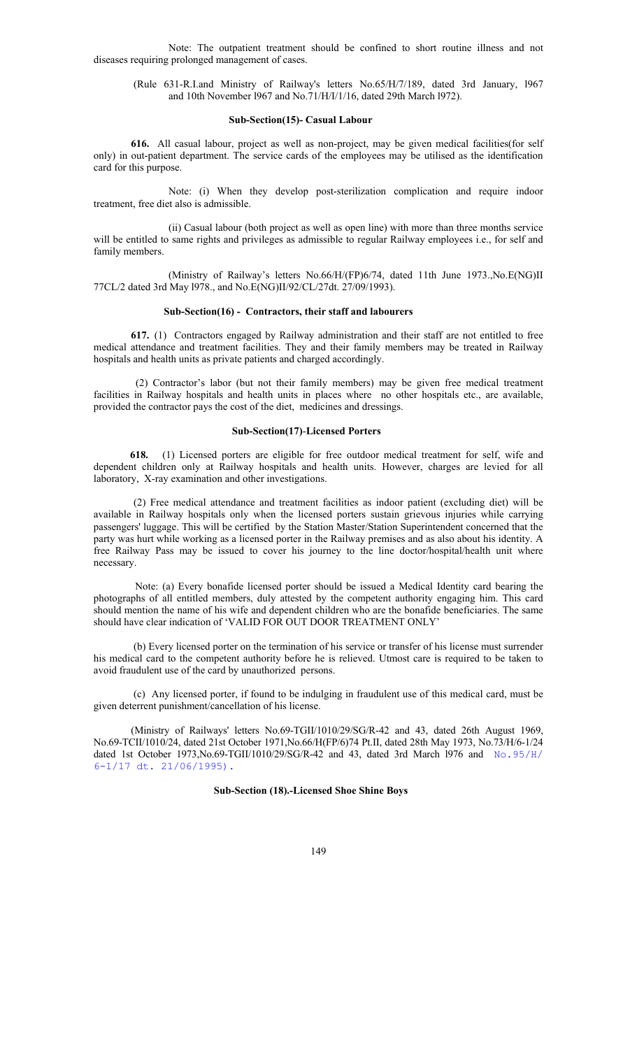Note: The outpatient treatment should be confined to short routine illness and not diseases requiring prolonged management of cases.

 (Rule 631-R.I.and Ministry of Railway's letters No.65/H/7/189, dated 3rd January, l967 and 10th November l967 and No.71/H/I/1/16, dated 29th March l972).

#### **Sub-Section(15)- Casual Labour**

**616.** All casual labour, project as well as non-project, may be given medical facilities(for self only) in out-patient department. The service cards of the employees may be utilised as the identification card for this purpose.

Note: (i) When they develop post-sterilization complication and require indoor treatment, free diet also is admissible.

 (ii) Casual labour (both project as well as open line) with more than three months service will be entitled to same rights and privileges as admissible to regular Railway employees i.e., for self and family members.

 (Ministry of Railway's letters No.66/H/(FP)6/74, dated 11th June 1973.,No.E(NG)II 77CL/2 dated 3rd May l978., and No.E(NG)II/92/CL/27dt. 27/09/1993).

#### **Sub-Section(16) - Contractors, their staff and labourers**

**617.** (1) Contractors engaged by Railway administration and their staff are not entitled to free medical attendance and treatment facilities. They and their family members may be treated in Railway hospitals and health units as private patients and charged accordingly.

(2) Contractor's labor (but not their family members) may be given free medical treatment facilities in Railway hospitals and health units in places where no other hospitals etc., are available, provided the contractor pays the cost of the diet, medicines and dressings.

## **Sub-Section(17)**-**Licensed Porters**

 **618.** (1) Licensed porters are eligible for free outdoor medical treatment for self, wife and dependent children only at Railway hospitals and health units. However, charges are levied for all laboratory, X-ray examination and other investigations.

 (2) Free medical attendance and treatment facilities as indoor patient (excluding diet) will be available in Railway hospitals only when the licensed porters sustain grievous injuries while carrying passengers' luggage. This will be certified by the Station Master/Station Superintendent concerned that the party was hurt while working as a licensed porter in the Railway premises and as also about his identity. A free Railway Pass may be issued to cover his journey to the line doctor/hospital/health unit where necessary.

 Note: (a) Every bonafide licensed porter should be issued a Medical Identity card bearing the photographs of all entitled members, duly attested by the competent authority engaging him. This card should mention the name of his wife and dependent children who are the bonafide beneficiaries. The same should have clear indication of 'VALID FOR OUT DOOR TREATMENT ONLY'

 (b) Every licensed porter on the termination of his service or transfer of his license must surrender his medical card to the competent authority before he is relieved. Utmost care is required to be taken to avoid fraudulent use of the card by unauthorized persons.

 (c) Any licensed porter, if found to be indulging in fraudulent use of this medical card, must be given deterrent punishment/cancellation of his license.

 (Ministry of Railways' letters No.69-TGII/1010/29/SG/R-42 and 43, dated 26th August 1969, No.69-TCII/1010/24, dated 21st October 1971,No.66/H(FP/6)74 Pt.II, dated 28th May 1973, No.73/H/6-1/24 dated 1st October 1973,No.69-TGII/1010/29/SG/R-42 and 43, dated 3rd March l976 and No.95/H/ 6-1/17 dt. 21/06/1995).

## **Sub-Section (18).-Licensed Shoe Shine Boys**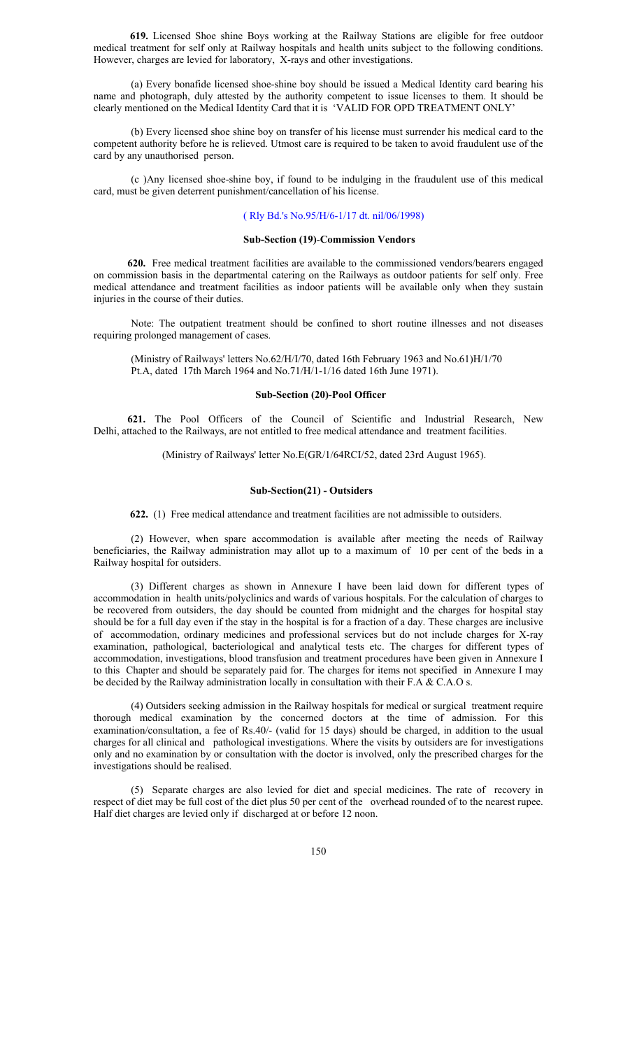**619.** Licensed Shoe shine Boys working at the Railway Stations are eligible for free outdoor medical treatment for self only at Railway hospitals and health units subject to the following conditions. However, charges are levied for laboratory, X-rays and other investigations.

(a) Every bonafide licensed shoe-shine boy should be issued a Medical Identity card bearing his name and photograph, duly attested by the authority competent to issue licenses to them. It should be clearly mentioned on the Medical Identity Card that it is 'VALID FOR OPD TREATMENT ONLY'

 (b) Every licensed shoe shine boy on transfer of his license must surrender his medical card to the competent authority before he is relieved. Utmost care is required to be taken to avoid fraudulent use of the card by any unauthorised person.

 (c )Any licensed shoe-shine boy, if found to be indulging in the fraudulent use of this medical card, must be given deterrent punishment/cancellation of his license.

#### ( Rly Bd.'s No.95/H/6-1/17 dt. nil/06/1998)

#### **Sub-Section (19)**-**Commission Vendors**

 **620.** Free medical treatment facilities are available to the commissioned vendors/bearers engaged on commission basis in the departmental catering on the Railways as outdoor patients for self only. Free medical attendance and treatment facilities as indoor patients will be available only when they sustain injuries in the course of their duties.

 Note: The outpatient treatment should be confined to short routine illnesses and not diseases requiring prolonged management of cases.

 (Ministry of Railways' letters No.62/H/I/70, dated 16th February 1963 and No.61)H/1/70 Pt.A, dated 17th March 1964 and No.71/H/1-1/16 dated 16th June 1971).

#### **Sub-Section (20)**-**Pool Officer**

 **621.** The Pool Officers of the Council of Scientific and Industrial Research, New Delhi, attached to the Railways, are not entitled to free medical attendance and treatment facilities.

(Ministry of Railways' letter No.E(GR/1/64RCI/52, dated 23rd August 1965).

### **Sub-Section(21) - Outsiders**

 **622.** (1) Free medical attendance and treatment facilities are not admissible to outsiders.

(2) However, when spare accommodation is available after meeting the needs of Railway beneficiaries, the Railway administration may allot up to a maximum of 10 per cent of the beds in a Railway hospital for outsiders.

(3) Different charges as shown in Annexure I have been laid down for different types of accommodation in health units/polyclinics and wards of various hospitals. For the calculation of charges to be recovered from outsiders, the day should be counted from midnight and the charges for hospital stay should be for a full day even if the stay in the hospital is for a fraction of a day. These charges are inclusive of accommodation, ordinary medicines and professional services but do not include charges for X-ray examination, pathological, bacteriological and analytical tests etc. The charges for different types of accommodation, investigations, blood transfusion and treatment procedures have been given in Annexure I to this Chapter and should be separately paid for. The charges for items not specified in Annexure I may be decided by the Railway administration locally in consultation with their F.A & C.A.O s.

(4) Outsiders seeking admission in the Railway hospitals for medical or surgical treatment require thorough medical examination by the concerned doctors at the time of admission. For this examination/consultation, a fee of Rs.40/- (valid for 15 days) should be charged, in addition to the usual charges for all clinical and pathological investigations. Where the visits by outsiders are for investigations only and no examination by or consultation with the doctor is involved, only the prescribed charges for the investigations should be realised.

(5) Separate charges are also levied for diet and special medicines. The rate of recovery in respect of diet may be full cost of the diet plus 50 per cent of the overhead rounded of to the nearest rupee. Half diet charges are levied only if discharged at or before 12 noon.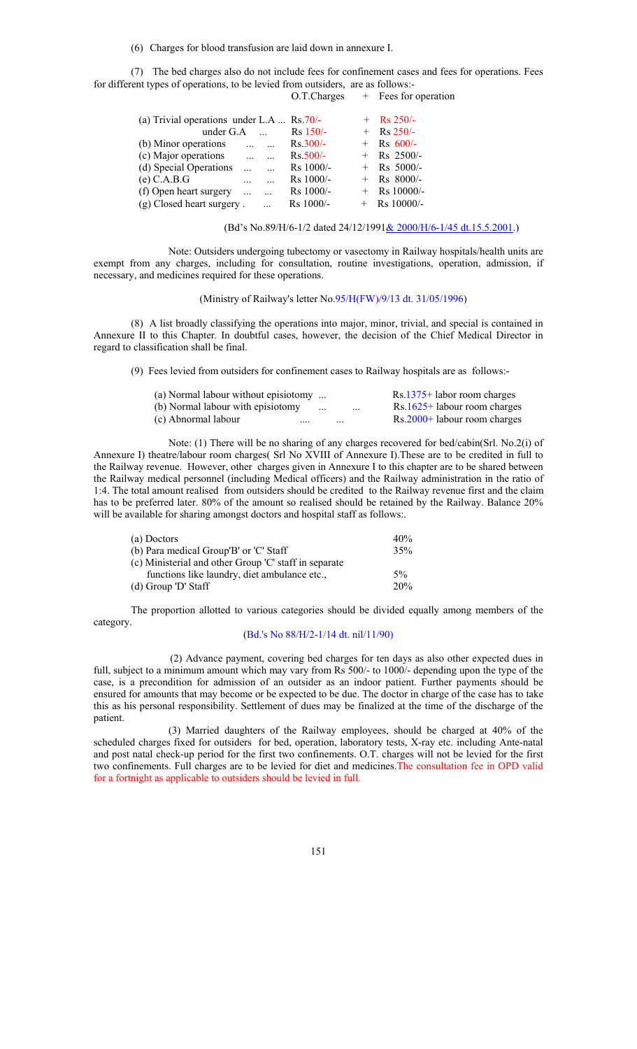(6) Charges for blood transfusion are laid down in annexure I.

(7) The bed charges also do not include fees for confinement cases and fees for operations. Fees for different types of operations, to be levied from outsiders, are as follows:-

O.T.Charges + Fees for operation

| (a) Trivial operations under L.A $\text{Rs } 70/-$ |            |                   |             | $+$ Rs 250/-   |
|----------------------------------------------------|------------|-------------------|-------------|----------------|
| under $G.A$                                        |            | $\cdots$          | $Rs$ 150/-  | $+$ Rs 250/-   |
| (b) Minor operations                               |            | $\cdots$ $\cdots$ | $Rs.300/-$  | $+$ Rs 600/-   |
| (c) Major operations                               | $\ddotsc$  |                   | $Rs.500/-$  | $+$ Rs 2500/-  |
| (d) Special Operations                             |            |                   | $Rs$ 1000/- | $+$ Rs 5000/-  |
| $(e)$ C.A.B.G                                      |            |                   | $Rs$ 1000/- | $+$ Rs 8000/-  |
| (f) Open heart surgery                             | $\dddotsc$ |                   | $Rs$ 1000/- | $+$ Rs 10000/- |
| (g) Closed heart surgery.                          |            |                   | $Rs$ 1000/- | $+$ Rs 10000/- |

(Bd's No.89/H/6-1/2 dated 24/12/1991& 2000/H/6-1/45 dt.15.5.2001.)

 Note: Outsiders undergoing tubectomy or vasectomy in Railway hospitals/health units are exempt from any charges, including for consultation, routine investigations, operation, admission, if necessary, and medicines required for these operations.

## (Ministry of Railway's letter No.95/H(FW)/9/13 dt. 31/05/1996)

 (8) A list broadly classifying the operations into major, minor, trivial, and special is contained in Annexure II to this Chapter. In doubtful cases, however, the decision of the Chief Medical Director in regard to classification shall be final.

(9) Fees levied from outsiders for confinement cases to Railway hospitals are as follows:-

| (a) Normal labour without episiotomy $\ldots$ |               |          |          | Rs.1375+ labor room charges  |
|-----------------------------------------------|---------------|----------|----------|------------------------------|
| (b) Normal labour with episiotomy             | $\sim$ $\sim$ |          | $\cdots$ | Rs.1625+ labour room charges |
| (c) Abnormal labour<br>$\cdots$               |               | $\cdots$ |          | Rs.2000+ labour room charges |

 Note: (1) There will be no sharing of any charges recovered for bed/cabin(Srl. No.2(i) of Annexure I) theatre/labour room charges( Srl No XVIII of Annexure I).These are to be credited in full to the Railway revenue. However, other charges given in Annexure I to this chapter are to be shared between the Railway medical personnel (including Medical officers) and the Railway administration in the ratio of 1:4. The total amount realised from outsiders should be credited to the Railway revenue first and the claim has to be preferred later. 80% of the amount so realised should be retained by the Railway. Balance 20% will be available for sharing amongst doctors and hospital staff as follows:.

| (a) Doctors                                           | 40% |
|-------------------------------------------------------|-----|
| (b) Para medical Group'B' or 'C' Staff                | 35% |
| (c) Ministerial and other Group 'C' staff in separate |     |
| functions like laundry, diet ambulance etc.,          | 5%  |
| $(d)$ Group 'D' Staff                                 | 20% |

The proportion allotted to various categories should be divided equally among members of the category.

## (Bd.'s No 88/H/2-1/14 dt. nil/11/90)

 (2) Advance payment, covering bed charges for ten days as also other expected dues in full, subject to a minimum amount which may vary from Rs 500/- to 1000/- depending upon the type of the case, is a precondition for admission of an outsider as an indoor patient. Further payments should be ensured for amounts that may become or be expected to be due. The doctor in charge of the case has to take this as his personal responsibility. Settlement of dues may be finalized at the time of the discharge of the patient.

(3) Married daughters of the Railway employees, should be charged at 40% of the scheduled charges fixed for outsiders for bed, operation, laboratory tests, X-ray etc. including Ante-natal and post natal check-up period for the first two confinements. O.T. charges will not be levied for the first two confinements. Full charges are to be levied for diet and medicines.The consultation fee in OPD valid for a fortnight as applicable to outsiders should be levied in full.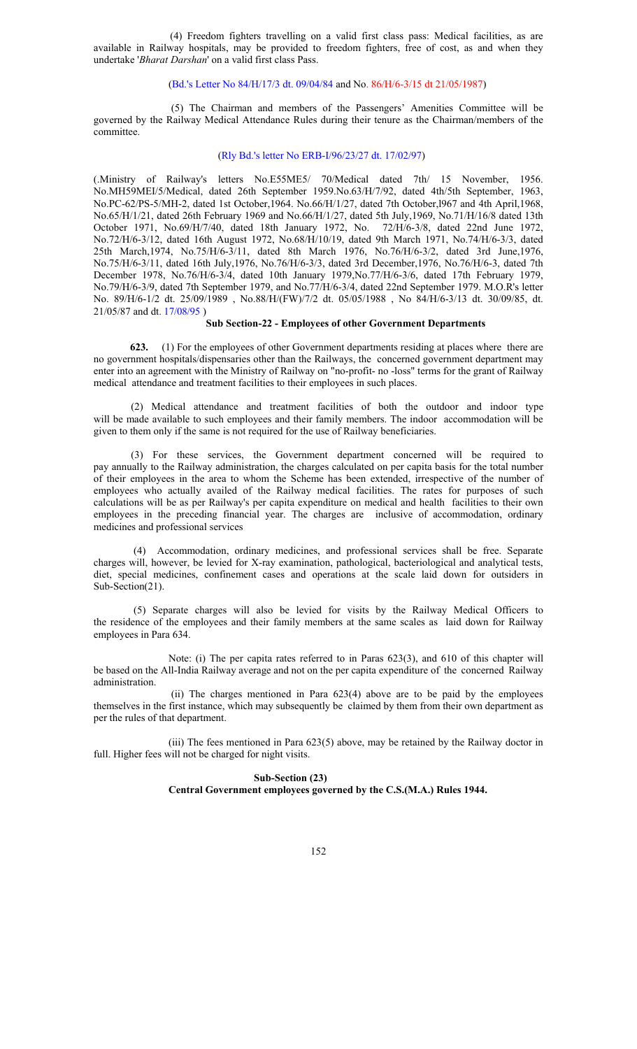(4) Freedom fighters travelling on a valid first class pass: Medical facilities, as are available in Railway hospitals, may be provided to freedom fighters, free of cost, as and when they undertake '*Bharat Darshan*' on a valid first class Pass.

## (Bd.'s Letter No 84/H/17/3 dt. 09/04/84 and No. 86/H/6-3/15 dt 21/05/1987)

 (5) The Chairman and members of the Passengers' Amenities Committee will be governed by the Railway Medical Attendance Rules during their tenure as the Chairman/members of the committee.

#### (Rly Bd.'s letter No ERB-I/96/23/27 dt. 17/02/97)

(.Ministry of Railway's letters No.E55ME5/ 70/Medical dated 7th/ 15 November, 1956. No.MH59MEI/5/Medical, dated 26th September 1959.No.63/H/7/92, dated 4th/5th September, 1963, No.PC-62/PS-5/MH-2, dated 1st October,1964. No.66/H/1/27, dated 7th October,l967 and 4th April,1968, No.65/H/1/21, dated 26th February 1969 and No.66/H/1/27, dated 5th July,1969, No.71/H/16/8 dated 13th October 1971, No.69/H/7/40, dated 18th January 1972, No. 72/H/6-3/8, dated 22nd June 1972, No.72/H/6-3/12, dated 16th August 1972, No.68/H/10/19, dated 9th March 1971, No.74/H/6-3/3, dated 25th March,1974, No.75/H/6-3/11, dated 8th March 1976, No.76/H/6-3/2, dated 3rd June,1976, No.75/H/6-3/11, dated 16th July,1976, No.76/H/6-3/3, dated 3rd December,1976, No.76/H/6-3, dated 7th December 1978, No.76/H/6-3/4, dated 10th January 1979,No.77/H/6-3/6, dated 17th February 1979, No.79/H/6-3/9, dated 7th September 1979, and No.77/H/6-3/4, dated 22nd September 1979. M.O.R's letter No. 89/H/6-1/2 dt. 25/09/1989 , No.88/H/(FW)/7/2 dt. 05/05/1988 , No 84/H/6-3/13 dt. 30/09/85, dt. 21/05/87 and dt. 17/08/95 )

#### **Sub Section-22 - Employees of other Government Departments**

 **623.** (1) For the employees of other Government departments residing at places where there are no government hospitals/dispensaries other than the Railways, the concerned government department may enter into an agreement with the Ministry of Railway on "no-profit- no -loss" terms for the grant of Railway medical attendance and treatment facilities to their employees in such places.

 (2) Medical attendance and treatment facilities of both the outdoor and indoor type will be made available to such employees and their family members. The indoor accommodation will be given to them only if the same is not required for the use of Railway beneficiaries.

(3) For these services, the Government department concerned will be required to pay annually to the Railway administration, the charges calculated on per capita basis for the total number of their employees in the area to whom the Scheme has been extended, irrespective of the number of employees who actually availed of the Railway medical facilities. The rates for purposes of such calculations will be as per Railway's per capita expenditure on medical and health facilities to their own employees in the preceding financial year. The charges are inclusive of accommodation, ordinary medicines and professional services

 (4) Accommodation, ordinary medicines, and professional services shall be free. Separate charges will, however, be levied for X-ray examination, pathological, bacteriological and analytical tests, diet, special medicines, confinement cases and operations at the scale laid down for outsiders in Sub-Section(21).

 (5) Separate charges will also be levied for visits by the Railway Medical Officers to the residence of the employees and their family members at the same scales as laid down for Railway employees in Para 634.

 Note: (i) The per capita rates referred to in Paras 623(3), and 610 of this chapter will be based on the All-India Railway average and not on the per capita expenditure of the concerned Railway administration.

 (ii) The charges mentioned in Para 623(4) above are to be paid by the employees themselves in the first instance, which may subsequently be claimed by them from their own department as per the rules of that department.

(iii) The fees mentioned in Para 623(5) above, may be retained by the Railway doctor in full. Higher fees will not be charged for night visits.

# **Sub-Section (23)**

**Central Government employees governed by the C.S.(M.A.) Rules 1944.**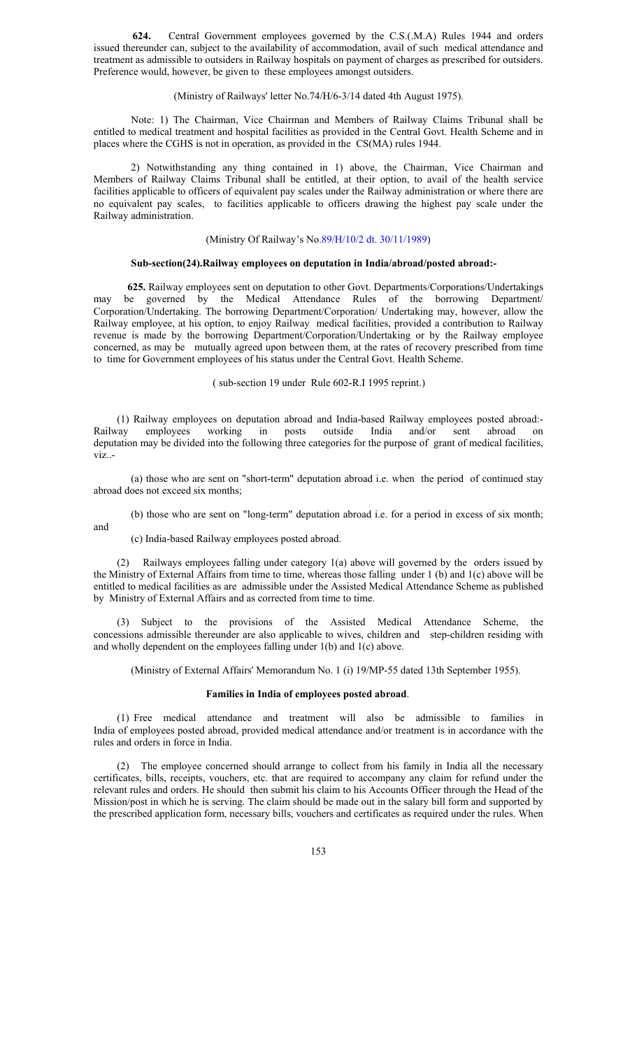**624.** Central Government employees governed by the C.S.(.M.A) Rules 1944 and orders issued thereunder can, subject to the availability of accommodation, avail of such medical attendance and treatment as admissible to outsiders in Railway hospitals on payment of charges as prescribed for outsiders. Preference would, however, be given to these employees amongst outsiders.

#### (Ministry of Railways' letter No.74/H/6-3/14 dated 4th August 1975).

Note: 1) The Chairman, Vice Chairman and Members of Railway Claims Tribunal shall be entitled to medical treatment and hospital facilities as provided in the Central Govt. Health Scheme and in places where the CGHS is not in operation, as provided in the CS(MA) rules 1944.

2) Notwithstanding any thing contained in 1) above, the Chairman, Vice Chairman and Members of Railway Claims Tribunal shall be entitled, at their option, to avail of the health service facilities applicable to officers of equivalent pay scales under the Railway administration or where there are no equivalent pay scales, to facilities applicable to officers drawing the highest pay scale under the Railway administration.

## (Ministry Of Railway's No.89/H/10/2 dt. 30/11/1989)

#### **Sub-section(24).Railway employees on deputation in India/abroad/posted abroad:-**

 **625.** Railway employees sent on deputation to other Govt. Departments/Corporations/Undertakings may be governed by the Medical Attendance Rules of the borrowing Department/ Corporation/Undertaking. The borrowing Department/Corporation/ Undertaking may, however, allow the Railway employee, at his option, to enjoy Railway medical facilities, provided a contribution to Railway revenue is made by the borrowing Department/Corporation/Undertaking or by the Railway employee concerned, as may be mutually agreed upon between them, at the rates of recovery prescribed from time to time for Government employees of his status under the Central Govt. Health Scheme.

( sub-section 19 under Rule 602-R.I 1995 reprint.)

 (1) Railway employees on deputation abroad and India-based Railway employees posted abroad:- Railway employees working in posts outside India and/or sent abroad on deputation may be divided into the following three categories for the purpose of grant of medical facilities, viz..-

(a) those who are sent on "short-term" deputation abroad i.e. when the period of continued stay abroad does not exceed six months;

(b) those who are sent on "long-term" deputation abroad i.e. for a period in excess of six month;

and

(c) India-based Railway employees posted abroad.

(2) Railways employees falling under category 1(a) above will governed by the orders issued by the Ministry of External Affairs from time to time, whereas those falling under 1 (b) and 1(c) above will be entitled to medical facilities as are admissible under the Assisted Medical Attendance Scheme as published by Ministry of External Affairs and as corrected from time to time.

(3) Subject to the provisions of the Assisted Medical Attendance Scheme, the concessions admissible thereunder are also applicable to wives, children and step-children residing with and wholly dependent on the employees falling under 1(b) and 1(c) above.

(Ministry of External Affairs' Memorandum No. 1 (i) 19/MP-55 dated 13th September 1955).

## **Families in India of employees posted abroad**.

(1) Free medical attendance and treatment will also be admissible to families in India of employees posted abroad, provided medical attendance and/or treatment is in accordance with the rules and orders in force in India.

(2) The employee concerned should arrange to collect from his family in India all the necessary certificates, bills, receipts, vouchers, etc. that are required to accompany any claim for refund under the relevant rules and orders. He should then submit his claim to his Accounts Officer through the Head of the Mission/post in which he is serving. The claim should be made out in the salary bill form and supported by the prescribed application form, necessary bills, vouchers and certificates as required under the rules. When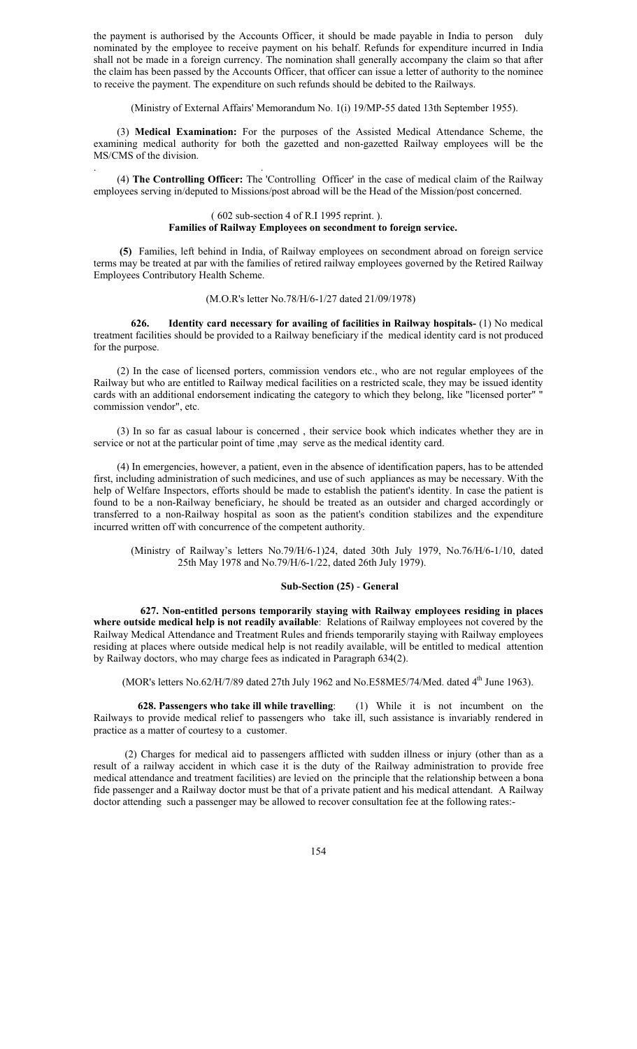the payment is authorised by the Accounts Officer, it should be made payable in India to person duly nominated by the employee to receive payment on his behalf. Refunds for expenditure incurred in India shall not be made in a foreign currency. The nomination shall generally accompany the claim so that after the claim has been passed by the Accounts Officer, that officer can issue a letter of authority to the nominee to receive the payment. The expenditure on such refunds should be debited to the Railways.

(Ministry of External Affairs' Memorandum No. 1(i) 19/MP-55 dated 13th September 1955).

 (3) **Medical Examination:** For the purposes of the Assisted Medical Attendance Scheme, the examining medical authority for both the gazetted and non-gazetted Railway employees will be the MS/CMS of the division.

(4) **The Controlling Officer:** The 'Controlling Officer' in the case of medical claim of the Railway employees serving in/deputed to Missions/post abroad will be the Head of the Mission/post concerned.

. .

#### ( 602 sub-section 4 of R.I 1995 reprint. ). **Families of Railway Employees on secondment to foreign service.**

 **(5)** Families, left behind in India, of Railway employees on secondment abroad on foreign service terms may be treated at par with the families of retired railway employees governed by the Retired Railway Employees Contributory Health Scheme.

#### (M.O.R's letter No.78/H/6-1/27 dated 21/09/1978)

**626. Identity card necessary for availing of facilities in Railway hospitals-** (1) No medical treatment facilities should be provided to a Railway beneficiary if the medical identity card is not produced for the purpose.

 (2) In the case of licensed porters, commission vendors etc., who are not regular employees of the Railway but who are entitled to Railway medical facilities on a restricted scale, they may be issued identity cards with an additional endorsement indicating the category to which they belong, like "licensed porter" " commission vendor", etc.

 (3) In so far as casual labour is concerned , their service book which indicates whether they are in service or not at the particular point of time ,may serve as the medical identity card.

 (4) In emergencies, however, a patient, even in the absence of identification papers, has to be attended first, including administration of such medicines, and use of such appliances as may be necessary. With the help of Welfare Inspectors, efforts should be made to establish the patient's identity. In case the patient is found to be a non-Railway beneficiary, he should be treated as an outsider and charged accordingly or transferred to a non-Railway hospital as soon as the patient's condition stabilizes and the expenditure incurred written off with concurrence of the competent authority.

 (Ministry of Railway's letters No.79/H/6-1)24, dated 30th July 1979, No.76/H/6-1/10, dated 25th May 1978 and No.79/H/6-1/22, dated 26th July 1979).

#### **Sub-Section (25)** - **General**

 **627. Non-entitled persons temporarily staying with Railway employees residing in places where outside medical help is not readily available**: Relations of Railway employees not covered by the Railway Medical Attendance and Treatment Rules and friends temporarily staying with Railway employees residing at places where outside medical help is not readily available, will be entitled to medical attention by Railway doctors, who may charge fees as indicated in Paragraph 634(2).

(MOR's letters No.62/H/7/89 dated 27th July 1962 and No.E58ME5/74/Med. dated 4<sup>th</sup> June 1963).

 **628. Passengers who take ill while travelling**: (1) While it is not incumbent on the Railways to provide medical relief to passengers who take ill, such assistance is invariably rendered in practice as a matter of courtesy to a customer.

 (2) Charges for medical aid to passengers afflicted with sudden illness or injury (other than as a result of a railway accident in which case it is the duty of the Railway administration to provide free medical attendance and treatment facilities) are levied on the principle that the relationship between a bona fide passenger and a Railway doctor must be that of a private patient and his medical attendant. A Railway doctor attending such a passenger may be allowed to recover consultation fee at the following rates:-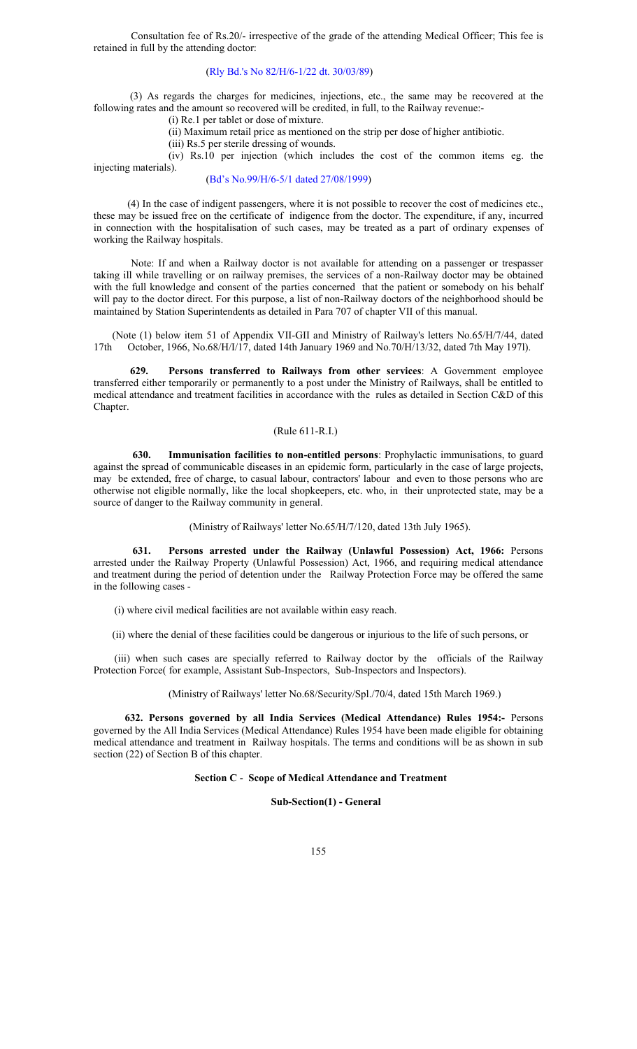Consultation fee of Rs.20/- irrespective of the grade of the attending Medical Officer; This fee is retained in full by the attending doctor:

#### (Rly Bd.'s No 82/H/6-1/22 dt. 30/03/89)

 (3) As regards the charges for medicines, injections, etc., the same may be recovered at the following rates and the amount so recovered will be credited, in full, to the Railway revenue:-

(i) Re.1 per tablet or dose of mixture.

(ii) Maximum retail price as mentioned on the strip per dose of higher antibiotic.

(iii) Rs.5 per sterile dressing of wounds.

 (iv) Rs.10 per injection (which includes the cost of the common items eg. the injecting materials).

#### (Bd's No.99/H/6-5/1 dated 27/08/1999)

 (4) In the case of indigent passengers, where it is not possible to recover the cost of medicines etc., these may be issued free on the certificate of indigence from the doctor. The expenditure, if any, incurred in connection with the hospitalisation of such cases, may be treated as a part of ordinary expenses of working the Railway hospitals.

 Note: If and when a Railway doctor is not available for attending on a passenger or trespasser taking ill while travelling or on railway premises, the services of a non-Railway doctor may be obtained with the full knowledge and consent of the parties concerned that the patient or somebody on his behalf will pay to the doctor direct. For this purpose, a list of non-Railway doctors of the neighborhood should be maintained by Station Superintendents as detailed in Para 707 of chapter VII of this manual.

(Note (1) below item 51 of Appendix VII-GII and Ministry of Railway's letters No.65/H/7/44, dated 17th October, 1966, No.68/H/I/17, dated 14th January 1969 and No.70/H/13/32, dated 7th May 1971). 17th October, 1966, No.68/H/I/17, dated 14th January 1969 and No.70/H/13/32, dated 7th May 197l).

 **629. Persons transferred to Railways from other services**: A Government employee transferred either temporarily or permanently to a post under the Ministry of Railways, shall be entitled to medical attendance and treatment facilities in accordance with the rules as detailed in Section C&D of this Chapter.

#### (Rule 611-R.I.)

 **630. Immunisation facilities to non-entitled persons**: Prophylactic immunisations, to guard against the spread of communicable diseases in an epidemic form, particularly in the case of large projects, may be extended, free of charge, to casual labour, contractors' labour and even to those persons who are otherwise not eligible normally, like the local shopkeepers, etc. who, in their unprotected state, may be a source of danger to the Railway community in general.

(Ministry of Railways' letter No.65/H/7/120, dated 13th July 1965).

 **631. Persons arrested under the Railway (Unlawful Possession) Act, 1966:** Persons arrested under the Railway Property (Unlawful Possession) Act, 1966, and requiring medical attendance and treatment during the period of detention under the Railway Protection Force may be offered the same in the following cases -

(i) where civil medical facilities are not available within easy reach.

(ii) where the denial of these facilities could be dangerous or injurious to the life of such persons, or

 (iii) when such cases are specially referred to Railway doctor by the officials of the Railway Protection Force( for example, Assistant Sub-Inspectors, Sub-Inspectors and Inspectors).

(Ministry of Railways' letter No.68/Security/Spl./70/4, dated 15th March 1969.)

 **632. Persons governed by all India Services (Medical Attendance) Rules 1954:-** Persons governed by the All India Services (Medical Attendance) Rules 1954 have been made eligible for obtaining medical attendance and treatment in Railway hospitals. The terms and conditions will be as shown in sub section (22) of Section B of this chapter.

#### **Section C** - **Scope of Medical Attendance and Treatment**

 **Sub-Section(1) - General**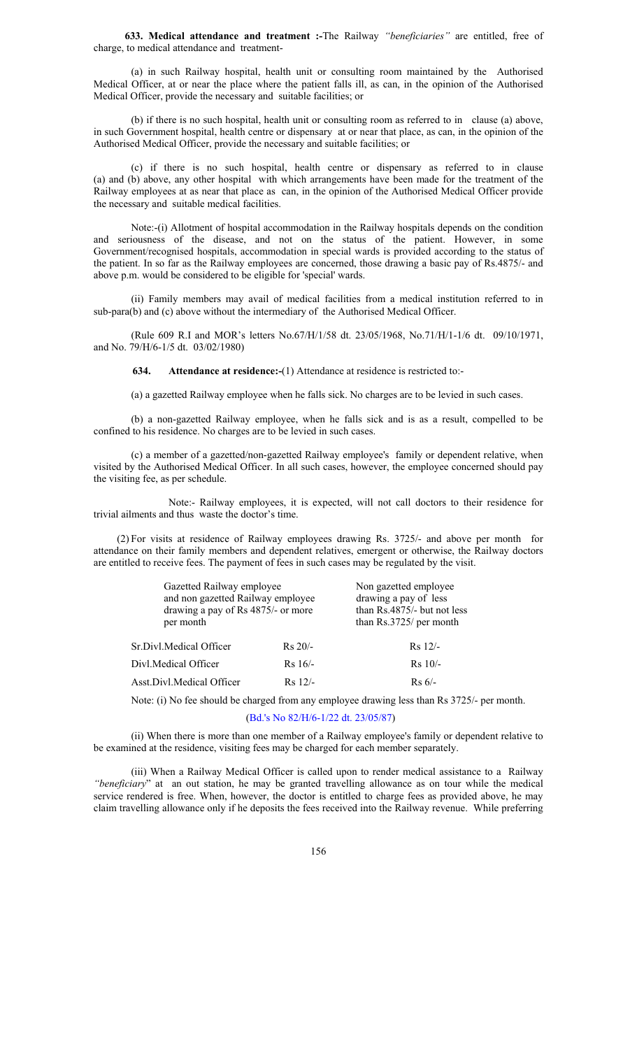**633. Medical attendance and treatment :-**The Railway *"beneficiaries"* are entitled, free of charge, to medical attendance and treatment-

 (a) in such Railway hospital, health unit or consulting room maintained by the Authorised Medical Officer, at or near the place where the patient falls ill, as can, in the opinion of the Authorised Medical Officer, provide the necessary and suitable facilities; or

(b) if there is no such hospital, health unit or consulting room as referred to in clause (a) above, in such Government hospital, health centre or dispensary at or near that place, as can, in the opinion of the Authorised Medical Officer, provide the necessary and suitable facilities; or

(c) if there is no such hospital, health centre or dispensary as referred to in clause (a) and (b) above, any other hospital with which arrangements have been made for the treatment of the Railway employees at as near that place as can, in the opinion of the Authorised Medical Officer provide the necessary and suitable medical facilities.

 Note:-(i) Allotment of hospital accommodation in the Railway hospitals depends on the condition and seriousness of the disease, and not on the status of the patient. However, in some Government/recognised hospitals, accommodation in special wards is provided according to the status of the patient. In so far as the Railway employees are concerned, those drawing a basic pay of Rs.4875/- and above p.m. would be considered to be eligible for 'special' wards.

(ii) Family members may avail of medical facilities from a medical institution referred to in sub-para(b) and (c) above without the intermediary of the Authorised Medical Officer.

 (Rule 609 R.I and MOR's letters No.67/H/1/58 dt. 23/05/1968, No.71/H/1-1/6 dt. 09/10/1971, and No. 79/H/6-1/5 dt. 03/02/1980)

 **634. Attendance at residence:-**(1) Attendance at residence is restricted to:-

(a) a gazetted Railway employee when he falls sick. No charges are to be levied in such cases.

 (b) a non-gazetted Railway employee, when he falls sick and is as a result, compelled to be confined to his residence. No charges are to be levied in such cases.

(c) a member of a gazetted/non-gazetted Railway employee's family or dependent relative, when visited by the Authorised Medical Officer. In all such cases, however, the employee concerned should pay the visiting fee, as per schedule.

 Note:- Railway employees, it is expected, will not call doctors to their residence for trivial ailments and thus waste the doctor's time.

 (2) For visits at residence of Railway employees drawing Rs. 3725/- and above per month for attendance on their family members and dependent relatives, emergent or otherwise, the Railway doctors are entitled to receive fees. The payment of fees in such cases may be regulated by the visit.

| Gazetted Railway employee<br>and non gazetted Railway employee<br>drawing a pay of Rs 4875/- or more<br>per month |           | Non gazetted employee<br>drawing a pay of less<br>than Rs.4875/- but not less<br>than Rs.3725/ per month |
|-------------------------------------------------------------------------------------------------------------------|-----------|----------------------------------------------------------------------------------------------------------|
| Sr.Divl.Medical Officer                                                                                           | $Rs 20/-$ | $Rs$ 12/-                                                                                                |
| Divl.Medical Officer                                                                                              | $Rs 16/-$ | $Rs$ 10/-                                                                                                |
| Asst.Divl.Medical Officer                                                                                         | $Rs$ 12/- | $Rs 6/-$                                                                                                 |

Note: (i) No fee should be charged from any employee drawing less than Rs 3725/- per month.

# (Bd.'s No 82/H/6-1/22 dt. 23/05/87)

 (ii) When there is more than one member of a Railway employee's family or dependent relative to be examined at the residence, visiting fees may be charged for each member separately.

 (iii) When a Railway Medical Officer is called upon to render medical assistance to a Railway *"beneficiary*" at an out station, he may be granted travelling allowance as on tour while the medical service rendered is free. When, however, the doctor is entitled to charge fees as provided above, he may claim travelling allowance only if he deposits the fees received into the Railway revenue. While preferring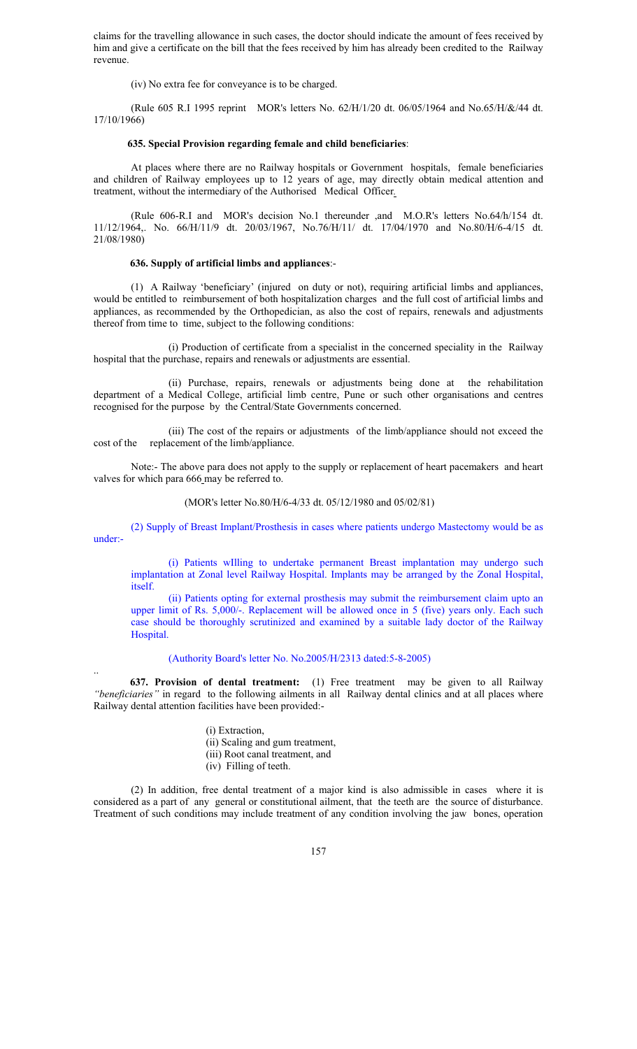claims for the travelling allowance in such cases, the doctor should indicate the amount of fees received by him and give a certificate on the bill that the fees received by him has already been credited to the Railway revenue.

(iv) No extra fee for conveyance is to be charged.

 (Rule 605 R.I 1995 reprint MOR's letters No. 62/H/1/20 dt. 06/05/1964 and No.65/H/&/44 dt. 17/10/1966)

#### **635. Special Provision regarding female and child beneficiaries**:

At places where there are no Railway hospitals or Government hospitals, female beneficiaries and children of Railway employees up to 12 years of age, may directly obtain medical attention and treatment, without the intermediary of the Authorised Medical Officer*.*

 (Rule 606-R.I and MOR's decision No.1 thereunder ,and M.O.R's letters No.64/h/154 dt. 11/12/1964,. No. 66/H/11/9 dt. 20/03/1967, No.76/H/11/ dt. 17/04/1970 and No.80/H/6-4/15 dt. 21/08/1980)

#### **636. Supply of artificial limbs and appliances**:-

(1) A Railway 'beneficiary' (injured on duty or not), requiring artificial limbs and appliances, would be entitled to reimbursement of both hospitalization charges and the full cost of artificial limbs and appliances, as recommended by the Orthopedician, as also the cost of repairs, renewals and adjustments thereof from time to time, subject to the following conditions:

(i) Production of certificate from a specialist in the concerned speciality in the Railway hospital that the purchase, repairs and renewals or adjustments are essential.

(ii) Purchase, repairs, renewals or adjustments being done at the rehabilitation department of a Medical College, artificial limb centre, Pune or such other organisations and centres recognised for the purpose by the Central/State Governments concerned.

 (iii) The cost of the repairs or adjustments of the limb/appliance should not exceed the cost of the replacement of the limb/appliance.

Note:- The above para does not apply to the supply or replacement of heart pacemakers and heart valves for which para 666 may be referred to.

(MOR's letter No.80/H/6-4/33 dt. 05/12/1980 and 05/02/81)

(2) Supply of Breast Implant/Prosthesis in cases where patients undergo Mastectomy would be as under:-

(i) Patients wIlling to undertake permanent Breast implantation may undergo such implantation at Zonal level Railway Hospital. Implants may be arranged by the Zonal Hospital, itself.

(ii) Patients opting for external prosthesis may submit the reimbursement claim upto an upper limit of Rs. 5,000/-. Replacement will be allowed once in 5 (five) years only. Each such case should be thoroughly scrutinized and examined by a suitable lady doctor of the Railway Hospital.

## (Authority Board's letter No. No.2005/H/2313 dated:5-8-2005)

 **637. Provision of dental treatment:** (1) Free treatment may be given to all Railway *"beneficiaries"* in regard to the following ailments in all Railway dental clinics and at all places where Railway dental attention facilities have been provided:-

- (i) Extraction, (ii) Scaling and gum treatment, (iii) Root canal treatment, and
- (iv) Filling of teeth.

..

(2) In addition, free dental treatment of a major kind is also admissible in cases where it is considered as a part of any general or constitutional ailment, that the teeth are the source of disturbance. Treatment of such conditions may include treatment of any condition involving the jaw bones, operation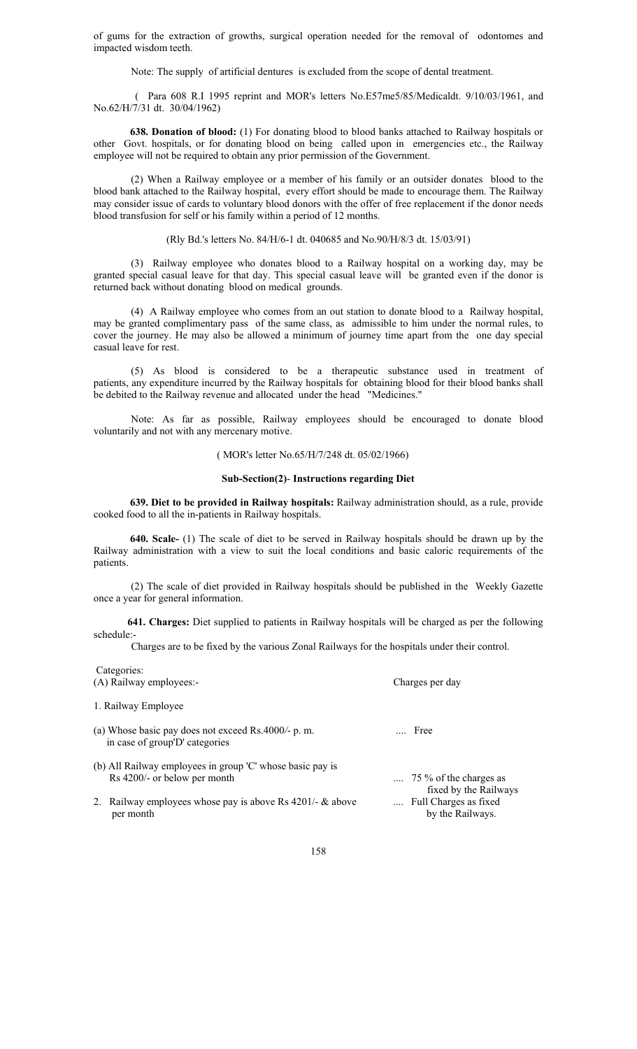of gums for the extraction of growths, surgical operation needed for the removal of odontomes and impacted wisdom teeth.

Note: The supply of artificial dentures is excluded from the scope of dental treatment.

 ( Para 608 R.I 1995 reprint and MOR's letters No.E57me5/85/Medicaldt. 9/10/03/1961, and No.62/H/7/31 dt. 30/04/1962)

 **638. Donation of blood:** (1) For donating blood to blood banks attached to Railway hospitals or other Govt. hospitals, or for donating blood on being called upon in emergencies etc., the Railway employee will not be required to obtain any prior permission of the Government.

(2) When a Railway employee or a member of his family or an outsider donates blood to the blood bank attached to the Railway hospital, every effort should be made to encourage them. The Railway may consider issue of cards to voluntary blood donors with the offer of free replacement if the donor needs blood transfusion for self or his family within a period of 12 months.

(Rly Bd.'s letters No. 84/H/6-1 dt. 040685 and No.90/H/8/3 dt. 15/03/91)

(3) Railway employee who donates blood to a Railway hospital on a working day, may be granted special casual leave for that day. This special casual leave will be granted even if the donor is returned back without donating blood on medical grounds.

(4) A Railway employee who comes from an out station to donate blood to a Railway hospital, may be granted complimentary pass of the same class, as admissible to him under the normal rules, to cover the journey. He may also be allowed a minimum of journey time apart from the one day special casual leave for rest.

(5) As blood is considered to be a therapeutic substance used in treatment of patients, any expenditure incurred by the Railway hospitals for obtaining blood for their blood banks shall be debited to the Railway revenue and allocated under the head "Medicines."

 Note: As far as possible, Railway employees should be encouraged to donate blood voluntarily and not with any mercenary motive.

## ( MOR's letter No.65/H/7/248 dt. 05/02/1966)

#### **Sub-Section(2)**- **Instructions regarding Diet**

 **639. Diet to be provided in Railway hospitals:** Railway administration should, as a rule, provide cooked food to all the in-patients in Railway hospitals.

 **640. Scale-** (1) The scale of diet to be served in Railway hospitals should be drawn up by the Railway administration with a view to suit the local conditions and basic caloric requirements of the patients.

(2) The scale of diet provided in Railway hospitals should be published in the Weekly Gazette once a year for general information.

 **641. Charges:** Diet supplied to patients in Railway hospitals will be charged as per the following schedule:-

Charges are to be fixed by the various Zonal Railways for the hospitals under their control.

| Categories:                                                                           |                                                          |
|---------------------------------------------------------------------------------------|----------------------------------------------------------|
| (A) Railway employees:-                                                               | Charges per day                                          |
| 1. Railway Employee                                                                   |                                                          |
| (a) Whose basic pay does not exceed Rs.4000/- p. m.<br>in case of group'D' categories | Free                                                     |
| (b) All Railway employees in group 'C' whose basic pay is                             |                                                          |
| Rs 4200/- or below per month                                                          | $\ldots$ 75 % of the charges as<br>fixed by the Railways |
| 2. Railway employees whose pay is above Rs $4201/-$ & above<br>per month              | Full Charges as fixed<br>by the Railways.                |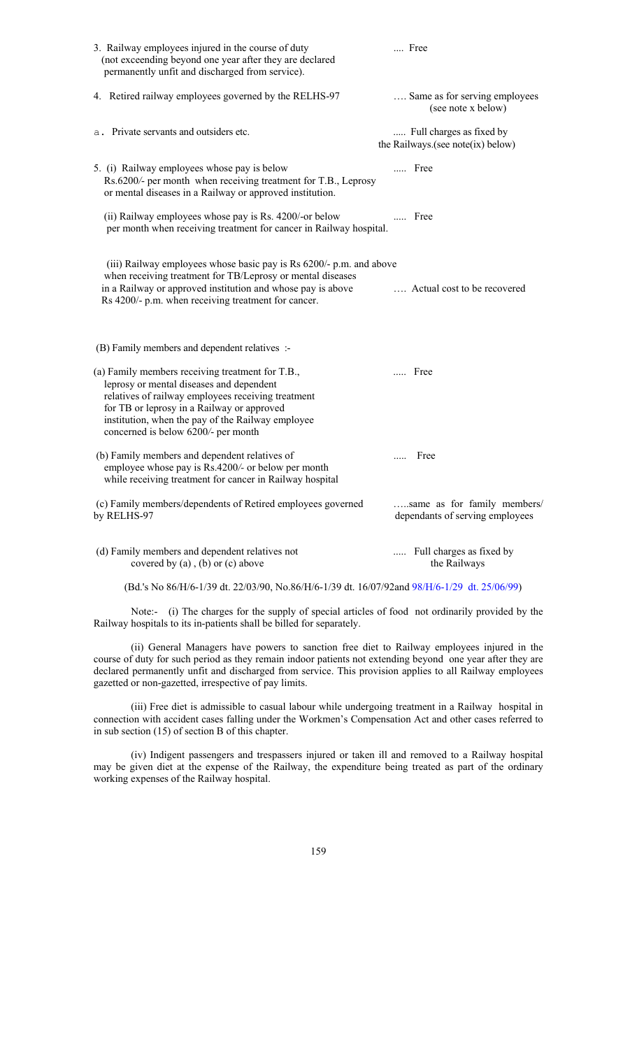| 3. Railway employees injured in the course of duty<br>(not exceending beyond one year after they are declared<br>permanently unfit and discharged from service).                                                                                                                             | Free                                                           |
|----------------------------------------------------------------------------------------------------------------------------------------------------------------------------------------------------------------------------------------------------------------------------------------------|----------------------------------------------------------------|
| 4. Retired railway employees governed by the RELHS-97                                                                                                                                                                                                                                        | Same as for serving employees<br>(see note x below)            |
| a. Private servants and outsiders etc.                                                                                                                                                                                                                                                       | Full charges as fixed by<br>the Railways.(see note(ix) below)  |
| 5. (i) Railway employees whose pay is below<br>Rs.6200/- per month when receiving treatment for T.B., Leprosy<br>or mental diseases in a Railway or approved institution.                                                                                                                    | Free                                                           |
| (ii) Railway employees whose pay is Rs. 4200/-or below<br>per month when receiving treatment for cancer in Railway hospital.                                                                                                                                                                 | Free                                                           |
| (iii) Railway employees whose basic pay is Rs 6200/- p.m. and above<br>when receiving treatment for TB/Leprosy or mental diseases<br>in a Railway or approved institution and whose pay is above<br>Rs 4200/- p.m. when receiving treatment for cancer.                                      | Actual cost to be recovered                                    |
| (B) Family members and dependent relatives :-                                                                                                                                                                                                                                                |                                                                |
| (a) Family members receiving treatment for T.B.,<br>leprosy or mental diseases and dependent<br>relatives of railway employees receiving treatment<br>for TB or leprosy in a Railway or approved<br>institution, when the pay of the Railway employee<br>concerned is below 6200/- per month | Free                                                           |
| (b) Family members and dependent relatives of<br>employee whose pay is Rs.4200/- or below per month<br>while receiving treatment for cancer in Railway hospital                                                                                                                              | Free                                                           |
| (c) Family members/dependents of Retired employees governed<br>by RELHS-97                                                                                                                                                                                                                   | same as for family members/<br>dependants of serving employees |
| (d) Family members and dependent relatives not<br>covered by $(a)$ , $(b)$ or $(c)$ above                                                                                                                                                                                                    | Full charges as fixed by<br>$\cdots$<br>the Railways           |
| (Bd.'s No 86/H/6-1/39 dt. 22/03/90, No.86/H/6-1/39 dt. 16/07/92and 98/H/6-1/29 dt. 25/06/99)                                                                                                                                                                                                 |                                                                |

 Note:- (i) The charges for the supply of special articles of food not ordinarily provided by the Railway hospitals to its in-patients shall be billed for separately.

 (ii) General Managers have powers to sanction free diet to Railway employees injured in the course of duty for such period as they remain indoor patients not extending beyond one year after they are declared permanently unfit and discharged from service. This provision applies to all Railway employees gazetted or non-gazetted, irrespective of pay limits.

(iii) Free diet is admissible to casual labour while undergoing treatment in a Railway hospital in connection with accident cases falling under the Workmen's Compensation Act and other cases referred to in sub section (15) of section B of this chapter.

 (iv) Indigent passengers and trespassers injured or taken ill and removed to a Railway hospital may be given diet at the expense of the Railway, the expenditure being treated as part of the ordinary working expenses of the Railway hospital.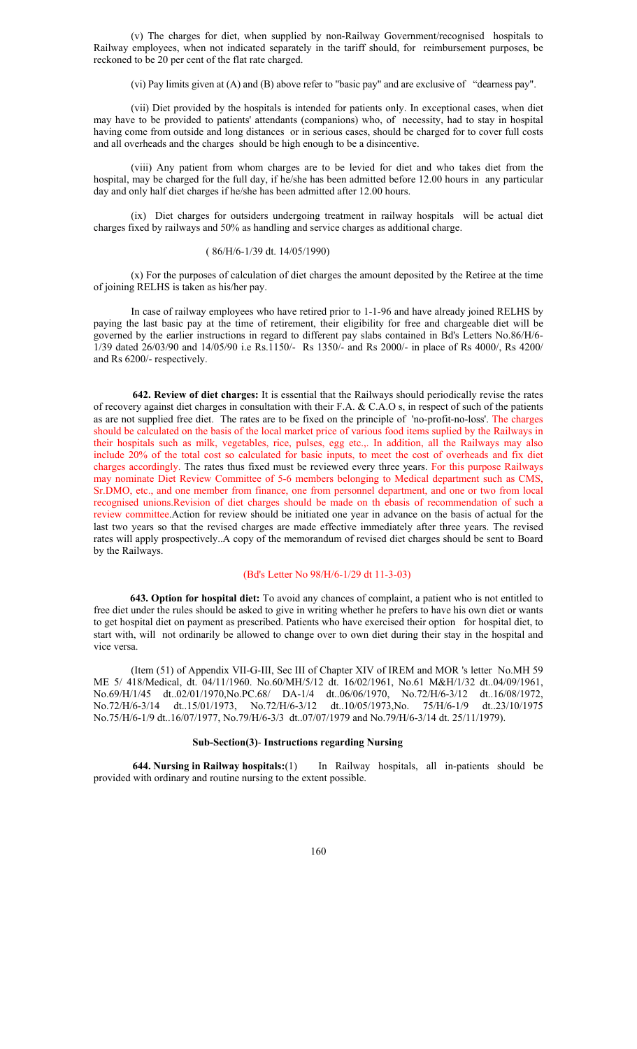(v) The charges for diet, when supplied by non-Railway Government/recognised hospitals to Railway employees, when not indicated separately in the tariff should, for reimbursement purposes, be reckoned to be 20 per cent of the flat rate charged.

(vi) Pay limits given at (A) and (B) above refer to "basic pay" and are exclusive of "dearness pay".

(vii) Diet provided by the hospitals is intended for patients only. In exceptional cases, when diet may have to be provided to patients' attendants (companions) who, of necessity, had to stay in hospital having come from outside and long distances or in serious cases, should be charged for to cover full costs and all overheads and the charges should be high enough to be a disincentive.

(viii) Any patient from whom charges are to be levied for diet and who takes diet from the hospital, may be charged for the full day, if he/she has been admitted before 12.00 hours in any particular day and only half diet charges if he/she has been admitted after 12.00 hours.

 (ix) Diet charges for outsiders undergoing treatment in railway hospitals will be actual diet charges fixed by railways and 50% as handling and service charges as additional charge.

## ( 86/H/6-1/39 dt. 14/05/1990)

(x) For the purposes of calculation of diet charges the amount deposited by the Retiree at the time of joining RELHS is taken as his/her pay.

In case of railway employees who have retired prior to 1-1-96 and have already joined RELHS by paying the last basic pay at the time of retirement, their eligibility for free and chargeable diet will be governed by the earlier instructions in regard to different pay slabs contained in Bd's Letters No.86/H/6- 1/39 dated 26/03/90 and 14/05/90 i.e Rs.1150/- Rs 1350/- and Rs 2000/- in place of Rs 4000/, Rs 4200/ and Rs 6200/- respectively.

 **642. Review of diet charges:** It is essential that the Railways should periodically revise the rates of recovery against diet charges in consultation with their F.A. & C.A.O s, in respect of such of the patients as are not supplied free diet. The rates are to be fixed on the principle of 'no-profit-no-loss'. The charges should be calculated on the basis of the local market price of various food items suplied by the Railways in their hospitals such as milk, vegetables, rice, pulses, egg etc.,. In addition, all the Railways may also include 20% of the total cost so calculated for basic inputs, to meet the cost of overheads and fix diet charges accordingly. The rates thus fixed must be reviewed every three years. For this purpose Railways may nominate Diet Review Committee of 5-6 members belonging to Medical department such as CMS, Sr.DMO, etc., and one member from finance, one from personnel department, and one or two from local recognised unions.Revision of diet charges should be made on th ebasis of recommendation of such a review committee.Action for review should be initiated one year in advance on the basis of actual for the last two years so that the revised charges are made effective immediately after three years. The revised rates will apply prospectively..A copy of the memorandum of revised diet charges should be sent to Board by the Railways.

### (Bd's Letter No 98/H/6-1/29 dt 11-3-03)

 **643. Option for hospital diet:** To avoid any chances of complaint, a patient who is not entitled to free diet under the rules should be asked to give in writing whether he prefers to have his own diet or wants to get hospital diet on payment as prescribed. Patients who have exercised their option for hospital diet, to start with, will not ordinarily be allowed to change over to own diet during their stay in the hospital and vice versa.

 (Item (51) of Appendix VII-G-III, Sec III of Chapter XIV of IREM and MOR 's letter No.MH 59 ME 5/ 418/Medical, dt. 04/11/1960. No.60/MH/5/12 dt. 16/02/1961, No.61 M&H/1/32 dt..04/09/1961, No.69/H/1/45 dt..02/01/1970,No.PC.68/ DA-1/4 dt..06/06/1970, No.72/H/6-3/12 dt..16/08/1972,<br>No.72/H/6-3/14 dt..15/01/1973, No.72/H/6-3/12 dt..10/05/1973,No. 75/H/6-1/9 dt..23/10/1975 No.72/H/6-3/14 dt..15/01/1973, No.72/H/6-3/12 dt..10/05/1973,No. 75/H/6-1/9 dt..23/10/1975 No.75/H/6-1/9 dt..16/07/1977, No.79/H/6-3/3 dt..07/07/1979 and No.79/H/6-3/14 dt. 25/11/1979).

## **Sub-Section(3)**- **Instructions regarding Nursing**

 **644. Nursing in Railway hospitals:**(1) In Railway hospitals, all in-patients should be provided with ordinary and routine nursing to the extent possible.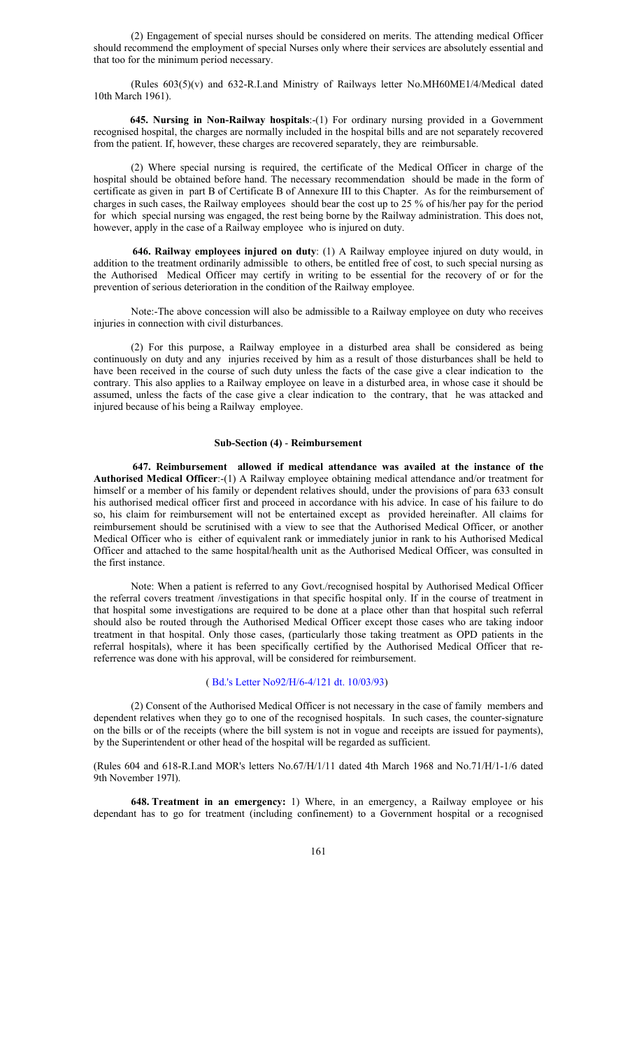(2) Engagement of special nurses should be considered on merits. The attending medical Officer should recommend the employment of special Nurses only where their services are absolutely essential and that too for the minimum period necessary.

 (Rules 603(5)(v) and 632-R.I.and Ministry of Railways letter No.MH60ME1/4/Medical dated 10th March 1961).

**645. Nursing in Non-Railway hospitals**:-(1) For ordinary nursing provided in a Government recognised hospital, the charges are normally included in the hospital bills and are not separately recovered from the patient. If, however, these charges are recovered separately, they are reimbursable.

(2) Where special nursing is required, the certificate of the Medical Officer in charge of the hospital should be obtained before hand. The necessary recommendation should be made in the form of certificate as given in part B of Certificate B of Annexure III to this Chapter. As for the reimbursement of charges in such cases, the Railway employees should bear the cost up to 25 % of his/her pay for the period for which special nursing was engaged, the rest being borne by the Railway administration. This does not, however, apply in the case of a Railway employee who is injured on duty.

 **646. Railway employees injured on duty**: (1) A Railway employee injured on duty would, in addition to the treatment ordinarily admissible to others, be entitled free of cost, to such special nursing as the Authorised Medical Officer may certify in writing to be essential for the recovery of or for the prevention of serious deterioration in the condition of the Railway employee.

 Note:-The above concession will also be admissible to a Railway employee on duty who receives injuries in connection with civil disturbances.

(2) For this purpose, a Railway employee in a disturbed area shall be considered as being continuously on duty and any injuries received by him as a result of those disturbances shall be held to have been received in the course of such duty unless the facts of the case give a clear indication to the contrary. This also applies to a Railway employee on leave in a disturbed area, in whose case it should be assumed, unless the facts of the case give a clear indication to the contrary, that he was attacked and injured because of his being a Railway employee.

#### **Sub-Section (4)** - **Reimbursement**

 **647. Reimbursement allowed if medical attendance was availed at the instance of the Authorised Medical Officer**:-(1) A Railway employee obtaining medical attendance and/or treatment for himself or a member of his family or dependent relatives should, under the provisions of para 633 consult his authorised medical officer first and proceed in accordance with his advice. In case of his failure to do so, his claim for reimbursement will not be entertained except as provided hereinafter. All claims for reimbursement should be scrutinised with a view to see that the Authorised Medical Officer, or another Medical Officer who is either of equivalent rank or immediately junior in rank to his Authorised Medical Officer and attached to the same hospital/health unit as the Authorised Medical Officer, was consulted in the first instance.

 Note: When a patient is referred to any Govt./recognised hospital by Authorised Medical Officer the referral covers treatment /investigations in that specific hospital only. If in the course of treatment in that hospital some investigations are required to be done at a place other than that hospital such referral should also be routed through the Authorised Medical Officer except those cases who are taking indoor treatment in that hospital. Only those cases, (particularly those taking treatment as OPD patients in the referral hospitals), where it has been specifically certified by the Authorised Medical Officer that rereferrence was done with his approval, will be considered for reimbursement.

#### ( Bd.'s Letter No92/H/6-4/121 dt. 10/03/93)

(2) Consent of the Authorised Medical Officer is not necessary in the case of family members and dependent relatives when they go to one of the recognised hospitals. In such cases, the counter-signature on the bills or of the receipts (where the bill system is not in vogue and receipts are issued for payments), by the Superintendent or other head of the hospital will be regarded as sufficient.

(Rules 604 and 618-R.I.and MOR's letters No.67/H/1/11 dated 4th March 1968 and No.71/H/1-1/6 dated 9th November 197l).

**648. Treatment in an emergency:** 1) Where, in an emergency, a Railway employee or his dependant has to go for treatment (including confinement) to a Government hospital or a recognised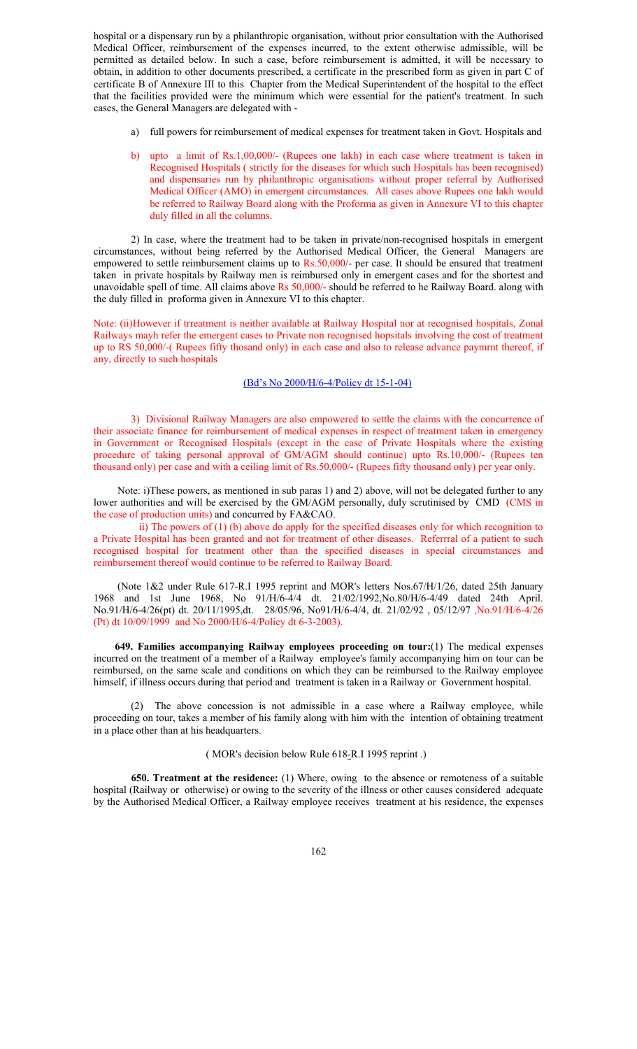hospital or a dispensary run by a philanthropic organisation, without prior consultation with the Authorised Medical Officer, reimbursement of the expenses incurred, to the extent otherwise admissible, will be permitted as detailed below. In such a case, before reimbursement is admitted, it will be necessary to obtain, in addition to other documents prescribed, a certificate in the prescribed form as given in part C of certificate B of Annexure III to this Chapter from the Medical Superintendent of the hospital to the effect that the facilities provided were the minimum which were essential for the patient's treatment. In such cases, the General Managers are delegated with -

- a) full powers for reimbursement of medical expenses for treatment taken in Govt. Hospitals and
- b) upto a limit of Rs.1,00,000/- (Rupees one lakh) in each case where treatment is taken in Recognised Hospitals ( strictly for the diseases for which such Hospitals has been recognised) and dispensaries run by philanthropic organisations without proper referral by Authorised Medical Officer (AMO) in emergent circumstances. All cases above Rupees one lakh would be referred to Railway Board along with the Proforma as given in Annexure VI to this chapter duly filled in all the columns.

 2) In case, where the treatment had to be taken in private/non-recognised hospitals in emergent circumstances, without being referred by the Authorised Medical Officer, the General Managers are empowered to settle reimbursement claims up to Rs.50,000/- per case. It should be ensured that treatment taken in private hospitals by Railway men is reimbursed only in emergent cases and for the shortest and unavoidable spell of time. All claims above Rs 50,000/- should be referred to he Railway Board. along with the duly filled in proforma given in Annexure VI to this chapter.

Note: (ii)However if trreatment is neither available at Railway Hospital nor at recognised hospitals, Zonal Railways mayh refer the emergent cases to Private non recognised hopsitals involving the cost of treatment up to RS 50,000/-( Rupees fifty thosand only) in each case and also to release advance paymrnt thereof, if any, directly to such hospitals

#### (Bd's No 2000/H/6-4/Policy dt 15-1-04)

3) Divisional Railway Managers are also empowered to settle the claims with the concurrence of their associate finance for reimbursement of medical expenses in respect of treatment taken in emergency in Government or Recognised Hospitals (except in the case of Private Hospitals where the existing procedure of taking personal approval of GM/AGM should continue) upto Rs.10,000/- (Rupees ten thousand only) per case and with a ceiling limit of Rs.50,000/- (Rupees fifty thousand only) per year only.

 Note: i)These powers, as mentioned in sub paras 1) and 2) above, will not be delegated further to any lower authorities and will be exercised by the GM/AGM personally, duly scrutinised by CMD (CMS in the case of production units) and concurred by FA&CAO.

 ii) The powers of (1) (b) above do apply for the specified diseases only for which recognition to a Private Hospital has been granted and not for treatment of other diseases. Referrral of a patient to such recognised hospital for treatment other than the specified diseases in special circumstances and reimbursement thereof would continue to be referred to Railway Board.

 (Note 1&2 under Rule 617-R.I 1995 reprint and MOR's letters Nos.67/H/1/26, dated 25th January 1968 and 1st June 1968, No 91/H/6-4/4 dt. 21/02/1992,No.80/H/6-4/49 dated 24th April. No.91/H/6-4/26(pt) dt. 20/11/1995,dt. 28/05/96, No91/H/6-4/4, dt. 21/02/92 , 05/12/97 ,No.91/H/6-4/26 (Pt) dt 10/09/1999 and No 2000/H/6-4/Policy dt 6-3-2003).

**649. Families accompanying Railway employees proceeding on tour:**(1) The medical expenses incurred on the treatment of a member of a Railway employee's family accompanying him on tour can be reimbursed, on the same scale and conditions on which they can be reimbursed to the Railway employee himself, if illness occurs during that period and treatment is taken in a Railway or Government hospital.

(2) The above concession is not admissible in a case where a Railway employee, while proceeding on tour, takes a member of his family along with him with the intention of obtaining treatment in a place other than at his headquarters.

### ( MOR's decision below Rule 618*-*R.I 1995 reprint .)

**650. Treatment at the residence:** (1) Where, owing to the absence or remoteness of a suitable hospital (Railway or otherwise) or owing to the severity of the illness or other causes considered adequate by the Authorised Medical Officer, a Railway employee receives treatment at his residence, the expenses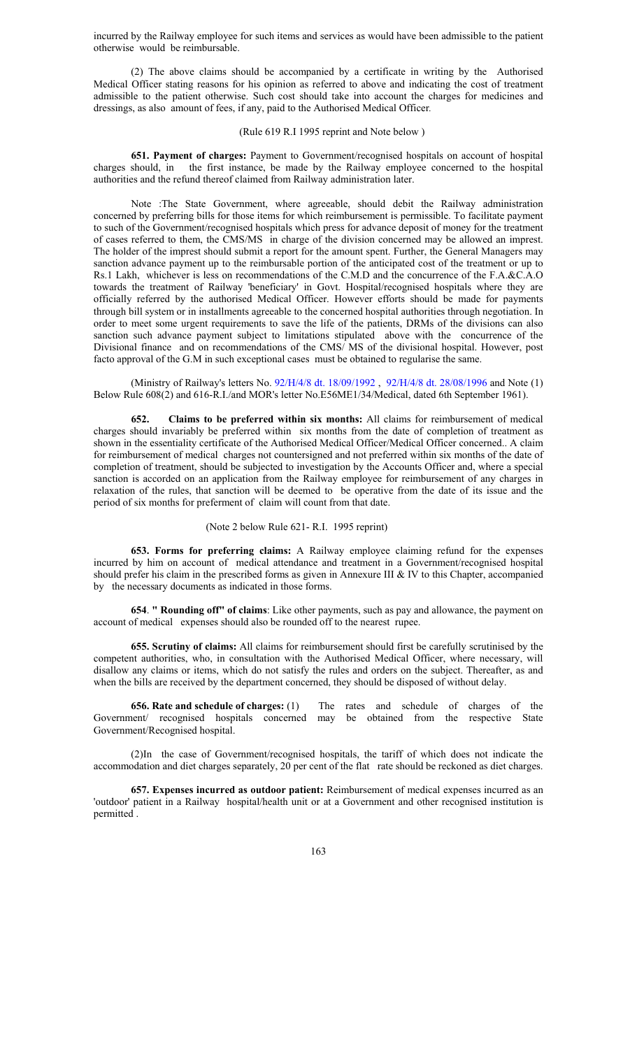incurred by the Railway employee for such items and services as would have been admissible to the patient otherwise would be reimbursable.

(2) The above claims should be accompanied by a certificate in writing by the Authorised Medical Officer stating reasons for his opinion as referred to above and indicating the cost of treatment admissible to the patient otherwise. Such cost should take into account the charges for medicines and dressings, as also amount of fees, if any, paid to the Authorised Medical Officer*.*

#### (Rule 619 R.I 1995 reprint and Note below )

**651. Payment of charges:** Payment to Government/recognised hospitals on account of hospital charges should, in the first instance, be made by the Railway employee concerned to the hospital authorities and the refund thereof claimed from Railway administration later.

 Note :The State Government, where agreeable, should debit the Railway administration concerned by preferring bills for those items for which reimbursement is permissible. To facilitate payment to such of the Government/recognised hospitals which press for advance deposit of money for the treatment of cases referred to them, the CMS/MS in charge of the division concerned may be allowed an imprest. The holder of the imprest should submit a report for the amount spent. Further, the General Managers may sanction advance payment up to the reimbursable portion of the anticipated cost of the treatment or up to Rs.1 Lakh, whichever is less on recommendations of the C.M.D and the concurrence of the F.A.&C.A.O towards the treatment of Railway 'beneficiary' in Govt. Hospital/recognised hospitals where they are officially referred by the authorised Medical Officer. However efforts should be made for payments through bill system or in installments agreeable to the concerned hospital authorities through negotiation. In order to meet some urgent requirements to save the life of the patients, DRMs of the divisions can also sanction such advance payment subject to limitations stipulated above with the concurrence of the Divisional finance and on recommendations of the CMS/ MS of the divisional hospital. However, post facto approval of the G.M in such exceptional cases must be obtained to regularise the same.

 (Ministry of Railway's letters No. 92/H/4/8 dt. 18/09/1992 , 92/H/4/8 dt. 28/08/1996 and Note (1) Below Rule 608(2) and 616-R.I./and MOR's letter No.E56ME1/34/Medical, dated 6th September 1961).

**652. Claims to be preferred within six months:** All claims for reimbursement of medical charges should invariably be preferred within six months from the date of completion of treatment as shown in the essentiality certificate of the Authorised Medical Officer/Medical Officer concerned.. A claim for reimbursement of medical charges not countersigned and not preferred within six months of the date of completion of treatment, should be subjected to investigation by the Accounts Officer and, where a special sanction is accorded on an application from the Railway employee for reimbursement of any charges in relaxation of the rules, that sanction will be deemed to be operative from the date of its issue and the period of six months for preferment of claim will count from that date.

#### (Note 2 below Rule 621- R.I. 1995 reprint)

**653. Forms for preferring claims:** A Railway employee claiming refund for the expenses incurred by him on account of medical attendance and treatment in a Government/recognised hospital should prefer his claim in the prescribed forms as given in Annexure III & IV to this Chapter, accompanied by the necessary documents as indicated in those forms.

**654**. **" Rounding off" of claims**: Like other payments, such as pay and allowance, the payment on account of medical expenses should also be rounded off to the nearest rupee.

**655. Scrutiny of claims:** All claims for reimbursement should first be carefully scrutinised by the competent authorities, who, in consultation with the Authorised Medical Officer, where necessary, will disallow any claims or items, which do not satisfy the rules and orders on the subject. Thereafter, as and when the bills are received by the department concerned, they should be disposed of without delay.

**656. Rate and schedule of charges:** (1) The rates and schedule of charges of the Government/ recognised hospitals concerned may be obtained from the respective State Government/Recognised hospital.

(2)In the case of Government/recognised hospitals, the tariff of which does not indicate the accommodation and diet charges separately, 20 per cent of the flat rate should be reckoned as diet charges.

**657. Expenses incurred as outdoor patient:** Reimbursement of medical expenses incurred as an 'outdoor' patient in a Railway hospital/health unit or at a Government and other recognised institution is permitted .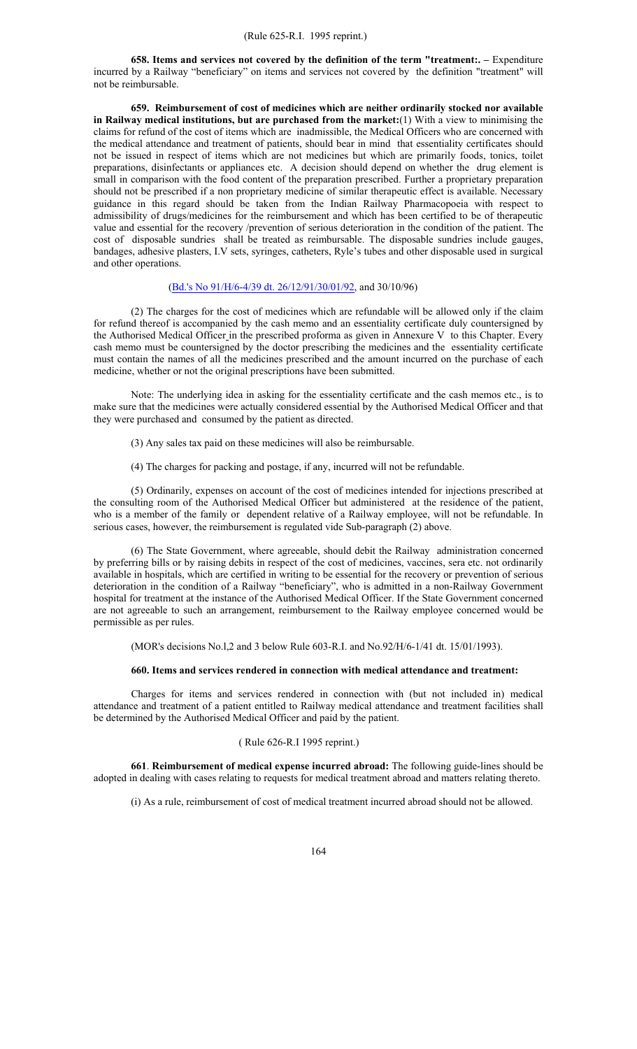**658. Items and services not covered by the definition of the term "treatment:. – Expenditure** incurred by a Railway "beneficiary" on items and services not covered by the definition "treatment" will not be reimbursable.

**659. Reimbursement of cost of medicines which are neither ordinarily stocked nor available in Railway medical institutions, but are purchased from the market:**(1) With a view to minimising the claims for refund of the cost of items which are inadmissible, the Medical Officers who are concerned with the medical attendance and treatment of patients, should bear in mind that essentiality certificates should not be issued in respect of items which are not medicines but which are primarily foods, tonics, toilet preparations, disinfectants or appliances etc. A decision should depend on whether the drug element is small in comparison with the food content of the preparation prescribed. Further a proprietary preparation should not be prescribed if a non proprietary medicine of similar therapeutic effect is available. Necessary guidance in this regard should be taken from the Indian Railway Pharmacopoeia with respect to admissibility of drugs/medicines for the reimbursement and which has been certified to be of therapeutic value and essential for the recovery /prevention of serious deterioration in the condition of the patient. The cost of disposable sundries shall be treated as reimbursable. The disposable sundries include gauges, bandages, adhesive plasters, I.V sets, syringes, catheters, Ryle's tubes and other disposable used in surgical and other operations.

#### (Bd.'s No 91/H/6-4/39 dt. 26/12/91/30/01/92, and 30/10/96)

 (2) The charges for the cost of medicines which are refundable will be allowed only if the claim for refund thereof is accompanied by the cash memo and an essentiality certificate duly countersigned by the Authorised Medical Officer in the prescribed proforma as given in Annexure V to this Chapter. Every cash memo must be countersigned by the doctor prescribing the medicines and the essentiality certificate must contain the names of all the medicines prescribed and the amount incurred on the purchase of each medicine, whether or not the original prescriptions have been submitted.

 Note: The underlying idea in asking for the essentiality certificate and the cash memos etc., is to make sure that the medicines were actually considered essential by the Authorised Medical Officer and that they were purchased and consumed by the patient as directed.

- (3) Any sales tax paid on these medicines will also be reimbursable.
- (4) The charges for packing and postage, if any, incurred will not be refundable.

(5) Ordinarily, expenses on account of the cost of medicines intended for injections prescribed at the consulting room of the Authorised Medical Officer but administered at the residence of the patient, who is a member of the family or dependent relative of a Railway employee, will not be refundable. In serious cases, however, the reimbursement is regulated vide Sub-paragraph (2) above.

(6) The State Government, where agreeable, should debit the Railway administration concerned by preferring bills or by raising debits in respect of the cost of medicines, vaccines, sera etc. not ordinarily available in hospitals, which are certified in writing to be essential for the recovery or prevention of serious deterioration in the condition of a Railway "beneficiary", who is admitted in a non-Railway Government hospital for treatment at the instance of the Authorised Medical Officer. If the State Government concerned are not agreeable to such an arrangement, reimbursement to the Railway employee concerned would be permissible as per rules.

(MOR's decisions No.l,2 and 3 below Rule 603-R.I. and No.92/H/6-1/41 dt. 15/01/1993).

#### **660. Items and services rendered in connection with medical attendance and treatment:**

Charges for items and services rendered in connection with (but not included in) medical attendance and treatment of a patient entitled to Railway medical attendance and treatment facilities shall be determined by the Authorised Medical Officer and paid by the patient.

## ( Rule 626-R.I 1995 reprint.)

**661**. **Reimbursement of medical expense incurred abroad:** The following guide-lines should be adopted in dealing with cases relating to requests for medical treatment abroad and matters relating thereto.

(i) As a rule, reimbursement of cost of medical treatment incurred abroad should not be allowed.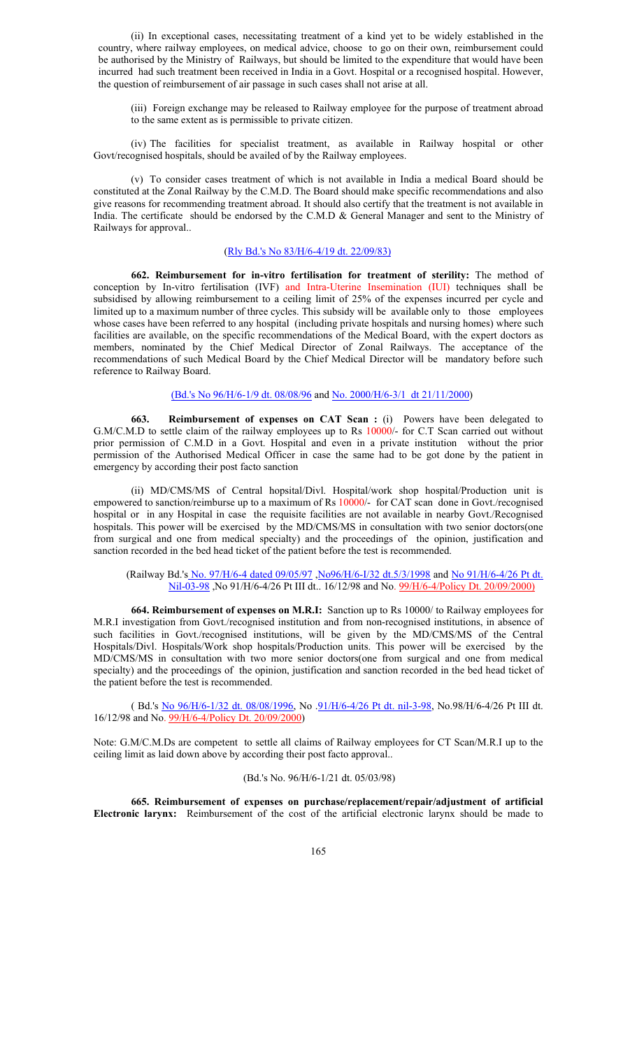(ii) In exceptional cases, necessitating treatment of a kind yet to be widely established in the country, where railway employees, on medical advice, choose to go on their own, reimbursement could be authorised by the Ministry of Railways, but should be limited to the expenditure that would have been incurred had such treatment been received in India in a Govt. Hospital or a recognised hospital. However, the question of reimbursement of air passage in such cases shall not arise at all.

(iii) Foreign exchange may be released to Railway employee for the purpose of treatment abroad to the same extent as is permissible to private citizen.

(iv) The facilities for specialist treatment, as available in Railway hospital or other Govt/recognised hospitals, should be availed of by the Railway employees.

(v) To consider cases treatment of which is not available in India a medical Board should be constituted at the Zonal Railway by the C.M.D. The Board should make specific recommendations and also give reasons for recommending treatment abroad. It should also certify that the treatment is not available in India. The certificate should be endorsed by the C.M.D & General Manager and sent to the Ministry of Railways for approval..

## (Rly Bd.'s No 83/H/6-4/19 dt. 22/09/83)

**662. Reimbursement for in-vitro fertilisation for treatment of sterility:** The method of conception by In-vitro fertilisation (IVF) and Intra-Uterine Insemination (IUI) techniques shall be subsidised by allowing reimbursement to a ceiling limit of 25% of the expenses incurred per cycle and limited up to a maximum number of three cycles. This subsidy will be available only to those employees whose cases have been referred to any hospital (including private hospitals and nursing homes) where such facilities are available, on the specific recommendations of the Medical Board, with the expert doctors as members, nominated by the Chief Medical Director of Zonal Railways. The acceptance of the recommendations of such Medical Board by the Chief Medical Director will be mandatory before such reference to Railway Board.

## (Bd.'s No 96/H/6-1/9 dt. 08/08/96 and No. 2000/H/6-3/1 dt 21/11/2000)

**663. Reimbursement of expenses on CAT Scan :** (i) Powers have been delegated to G.M/C.M.D to settle claim of the railway employees up to Rs 10000/- for C.T Scan carried out without prior permission of C.M.D in a Govt. Hospital and even in a private institution without the prior permission of the Authorised Medical Officer in case the same had to be got done by the patient in emergency by according their post facto sanction

(ii) MD/CMS/MS of Central hopsital/Divl. Hospital/work shop hospital/Production unit is empowered to sanction/reimburse up to a maximum of Rs 10000/- for CAT scan done in Govt./recognised hospital or in any Hospital in case the requisite facilities are not available in nearby Govt./Recognised hospitals. This power will be exercised by the MD/CMS/MS in consultation with two senior doctors(one from surgical and one from medical specialty) and the proceedings of the opinion, justification and sanction recorded in the bed head ticket of the patient before the test is recommended.

(Railway Bd.'s No. 97/H/6-4 dated 09/05/97, No96/H/6-I/32 dt.5/3/1998 and No 91/H/6-4/26 Pt dt. Nil-03-98 ,No 91/H/6-4/26 Pt III dt.. 16/12/98 and No. 99/H/6-4/Policy Dt. 20/09/2000)

**664. Reimbursement of expenses on M.R.I:** Sanction up to Rs 10000/ to Railway employees for M.R.I investigation from Govt./recognised institution and from non-recognised institutions, in absence of such facilities in Govt./recognised institutions, will be given by the MD/CMS/MS of the Central Hospitals/Divl. Hospitals/Work shop hospitals/Production units. This power will be exercised by the MD/CMS/MS in consultation with two more senior doctors(one from surgical and one from medical specialty) and the proceedings of the opinion, justification and sanction recorded in the bed head ticket of the patient before the test is recommended.

 ( Bd.'s No 96/H/6-1/32 dt. 08/08/1996, No .91/H/6-4/26 Pt dt. nil-3-98, No.98/H/6-4/26 Pt III dt. 16/12/98 and No. 99/H/6-4/Policy Dt. 20/09/2000)

Note: G.M/C.M.Ds are competent to settle all claims of Railway employees for CT Scan/M.R.I up to the ceiling limit as laid down above by according their post facto approval..

#### (Bd.'s No. 96/H/6-1/21 dt. 05/03/98)

**665. Reimbursement of expenses on purchase/replacement/repair/adjustment of artificial Electronic larynx:** Reimbursement of the cost of the artificial electronic larynx should be made to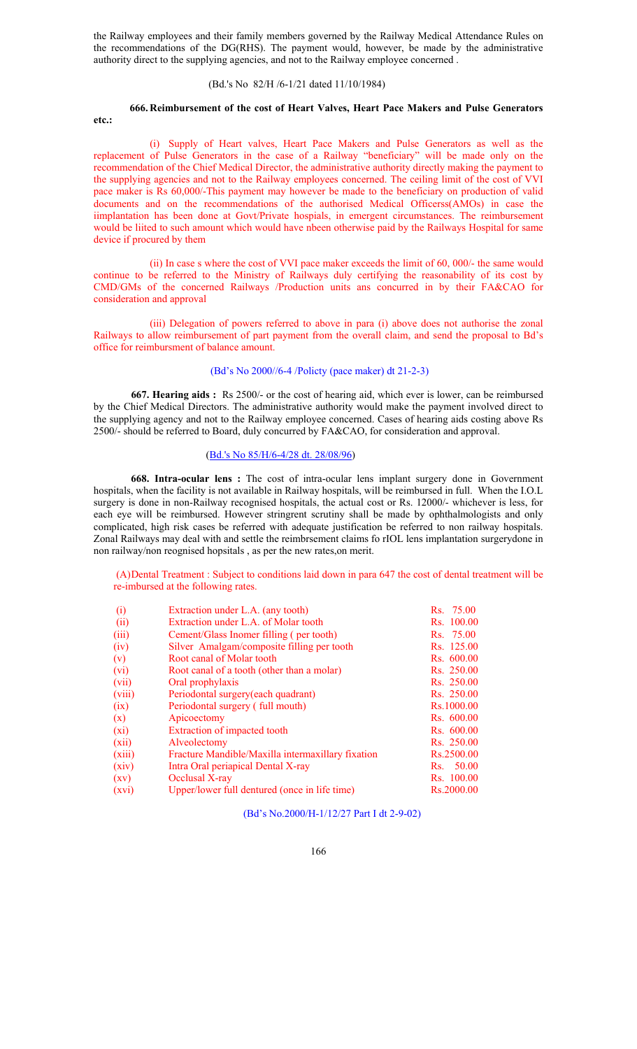the Railway employees and their family members governed by the Railway Medical Attendance Rules on the recommendations of the DG(RHS). The payment would, however, be made by the administrative authority direct to the supplying agencies, and not to the Railway employee concerned .

## (Bd.'s No 82/H /6-1/21 dated 11/10/1984)

#### **666. Reimbursement of the cost of Heart Valves, Heart Pace Makers and Pulse Generators etc.:**

(i) Supply of Heart valves, Heart Pace Makers and Pulse Generators as well as the replacement of Pulse Generators in the case of a Railway "beneficiary" will be made only on the recommendation of the Chief Medical Director, the administrative authority directly making the payment to the supplying agencies and not to the Railway employees concerned. The ceiling limit of the cost of VVI pace maker is Rs 60,000/-This payment may however be made to the beneficiary on production of valid documents and on the recommendations of the authorised Medical Officerss(AMOs) in case the iimplantation has been done at Govt/Private hospials, in emergent circumstances. The reimbursement would be liited to such amount which would have nbeen otherwise paid by the Railways Hospital for same device if procured by them

(ii) In case s where the cost of VVI pace maker exceeds the limit of 60, 000/- the same would continue to be referred to the Ministry of Railways duly certifying the reasonability of its cost by CMD/GMs of the concerned Railways /Production units ans concurred in by their FA&CAO for consideration and approval

(iii) Delegation of powers referred to above in para (i) above does not authorise the zonal Railways to allow reimbursement of part payment from the overall claim, and send the proposal to Bd's office for reimbursment of balance amount.

#### (Bd's No 2000//6-4 /Policty (pace maker) dt 21-2-3)

**667. Hearing aids :** Rs 2500/- or the cost of hearing aid, which ever is lower, can be reimbursed by the Chief Medical Directors. The administrative authority would make the payment involved direct to the supplying agency and not to the Railway employee concerned. Cases of hearing aids costing above Rs 2500/- should be referred to Board, duly concurred by FA&CAO, for consideration and approval.

## (Bd.'s No 85/H/6-4/28 dt. 28/08/96)

**668. Intra-ocular lens :** The cost of intra-ocular lens implant surgery done in Government hospitals, when the facility is not available in Railway hospitals, will be reimbursed in full. When the I.O.L surgery is done in non-Railway recognised hospitals, the actual cost or Rs. 12000/- whichever is less, for each eye will be reimbursed. However stringrent scrutiny shall be made by ophthalmologists and only complicated, high risk cases be referred with adequate justification be referred to non railway hospitals. Zonal Railways may deal with and settle the reimbrsement claims fo rIOL lens implantation surgerydone in non railway/non reognised hopsitals , as per the new rates,on merit.

(A) Dental Treatment : Subject to conditions laid down in para 647 the cost of dental treatment will be re-imbursed at the following rates.

| (i)                | Extraction under L.A. (any tooth)                 | Rs. 75.00  |
|--------------------|---------------------------------------------------|------------|
| (ii)               | Extraction under L.A. of Molar tooth              | Rs. 100.00 |
| (iii)              | Cement/Glass Inomer filling (per tooth)           | Rs. 75.00  |
| (iv)               | Silver Amalgam/composite filling per tooth        | Rs. 125.00 |
| (v)                | Root canal of Molar tooth                         | Rs. 600.00 |
| (vi)               | Root canal of a tooth (other than a molar)        | Rs. 250.00 |
| (vii)              | Oral prophylaxis                                  | Rs. 250.00 |
| (viii)             | Periodontal surgery (each quadrant)               | Rs. 250.00 |
| (ix)               | Periodontal surgery (full mouth)                  | Rs.1000.00 |
| (x)                | Apicoectomy                                       | Rs. 600.00 |
| (xi)               | Extraction of impacted tooth                      | Rs. 600.00 |
| (xii)              | Alveolectomy                                      | Rs. 250.00 |
| (xiii)             | Fracture Mandible/Maxilla intermaxillary fixation | Rs.2500.00 |
| (xiv)              | Intra Oral periapical Dental X-ray                | Rs. 50.00  |
| $\left( xy\right)$ | Occlusal X-ray                                    | Rs. 100.00 |
| (xvi)              | Upper/lower full dentured (once in life time)     | Rs.2000.00 |

(Bd's No.2000/H-1/12/27 Part I dt 2-9-02)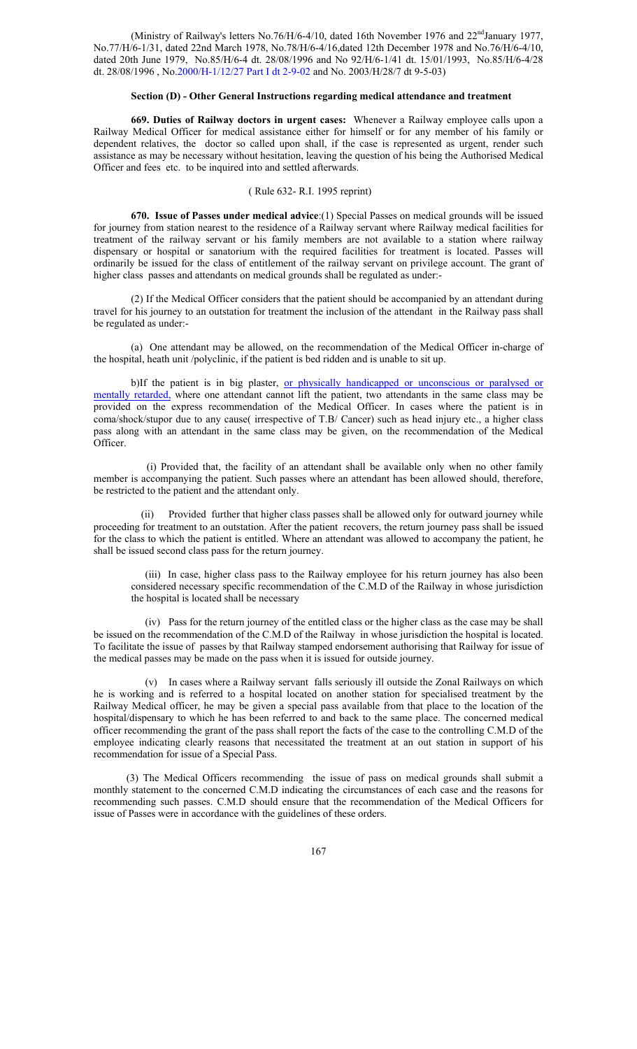(Ministry of Railway's letters No.76/H/6-4/10, dated 16th November 1976 and  $22<sup>nd</sup>$ January 1977, No.77/H/6-1/31, dated 22nd March 1978, No.78/H/6-4/16,dated 12th December 1978 and No.76/H/6-4/10, dated 20th June 1979, No.85/H/6-4 dt. 28/08/1996 and No 92/H/6-1/41 dt. 15/01/1993, No.85/H/6-4/28 dt. 28/08/1996 , No.2000/H-1/12/27 Part I dt 2-9-02 and No. 2003/H/28/7 dt 9-5-03)

#### **Section (D) - Other General Instructions regarding medical attendance and treatment**

**669. Duties of Railway doctors in urgent cases:** Whenever a Railway employee calls upon a Railway Medical Officer for medical assistance either for himself or for any member of his family or dependent relatives, the doctor so called upon shall, if the case is represented as urgent, render such assistance as may be necessary without hesitation, leaving the question of his being the Authorised Medical Officer and fees etc. to be inquired into and settled afterwards.

# ( Rule 632- R.I. 1995 reprint)

**670. Issue of Passes under medical advice**:(1) Special Passes on medical grounds will be issued for journey from station nearest to the residence of a Railway servant where Railway medical facilities for treatment of the railway servant or his family members are not available to a station where railway dispensary or hospital or sanatorium with the required facilities for treatment is located. Passes will ordinarily be issued for the class of entitlement of the railway servant on privilege account. The grant of higher class passes and attendants on medical grounds shall be regulated as under:-

(2) If the Medical Officer considers that the patient should be accompanied by an attendant during travel for his journey to an outstation for treatment the inclusion of the attendant in the Railway pass shall be regulated as under:-

(a) One attendant may be allowed, on the recommendation of the Medical Officer in-charge of the hospital, heath unit /polyclinic, if the patient is bed ridden and is unable to sit up.

b)If the patient is in big plaster, or physically handicapped or unconscious or paralysed or mentally retarded, where one attendant cannot lift the patient, two attendants in the same class may be provided on the express recommendation of the Medical Officer. In cases where the patient is in coma/shock/stupor due to any cause( irrespective of T.B/ Cancer) such as head injury etc., a higher class pass along with an attendant in the same class may be given, on the recommendation of the Medical Officer.

 (i) Provided that, the facility of an attendant shall be available only when no other family member is accompanying the patient. Such passes where an attendant has been allowed should, therefore, be restricted to the patient and the attendant only.

(ii) Provided further that higher class passes shall be allowed only for outward journey while proceeding for treatment to an outstation. After the patient recovers, the return journey pass shall be issued for the class to which the patient is entitled. Where an attendant was allowed to accompany the patient, he shall be issued second class pass for the return journey.

(iii) In case, higher class pass to the Railway employee for his return journey has also been considered necessary specific recommendation of the C.M.D of the Railway in whose jurisdiction the hospital is located shall be necessary

(iv) Pass for the return journey of the entitled class or the higher class as the case may be shall be issued on the recommendation of the C.M.D of the Railway in whose jurisdiction the hospital is located. To facilitate the issue of passes by that Railway stamped endorsement authorising that Railway for issue of the medical passes may be made on the pass when it is issued for outside journey.

(v) In cases where a Railway servant falls seriously ill outside the Zonal Railways on which he is working and is referred to a hospital located on another station for specialised treatment by the Railway Medical officer, he may be given a special pass available from that place to the location of the hospital/dispensary to which he has been referred to and back to the same place. The concerned medical officer recommending the grant of the pass shall report the facts of the case to the controlling C.M.D of the employee indicating clearly reasons that necessitated the treatment at an out station in support of his recommendation for issue of a Special Pass.

(3) The Medical Officers recommending the issue of pass on medical grounds shall submit a monthly statement to the concerned C.M.D indicating the circumstances of each case and the reasons for recommending such passes. C.M.D should ensure that the recommendation of the Medical Officers for issue of Passes were in accordance with the guidelines of these orders.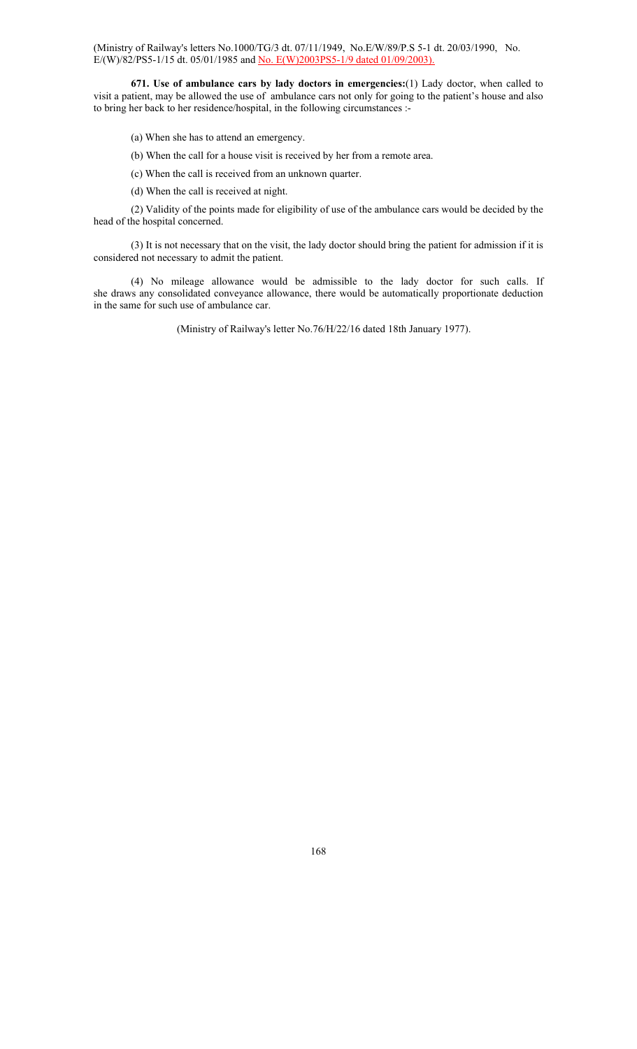(Ministry of Railway's letters No.1000/TG/3 dt. 07/11/1949, No.E/W/89/P.S 5-1 dt. 20/03/1990, No. E/(W)/82/PS5-1/15 dt. 05/01/1985 and No. E(W)2003PS5-1/9 dated 01/09/2003).

**671. Use of ambulance cars by lady doctors in emergencies:**(1) Lady doctor, when called to visit a patient, may be allowed the use of ambulance cars not only for going to the patient's house and also to bring her back to her residence/hospital, in the following circumstances :-

- (a) When she has to attend an emergency.
- (b) When the call for a house visit is received by her from a remote area.
- (c) When the call is received from an unknown quarter.
- (d) When the call is received at night.

 (2) Validity of the points made for eligibility of use of the ambulance cars would be decided by the head of the hospital concerned.

 (3) It is not necessary that on the visit, the lady doctor should bring the patient for admission if it is considered not necessary to admit the patient.

 (4) No mileage allowance would be admissible to the lady doctor for such calls. If she draws any consolidated conveyance allowance, there would be automatically proportionate deduction in the same for such use of ambulance car.

(Ministry of Railway's letter No.76/H/22/16 dated 18th January 1977).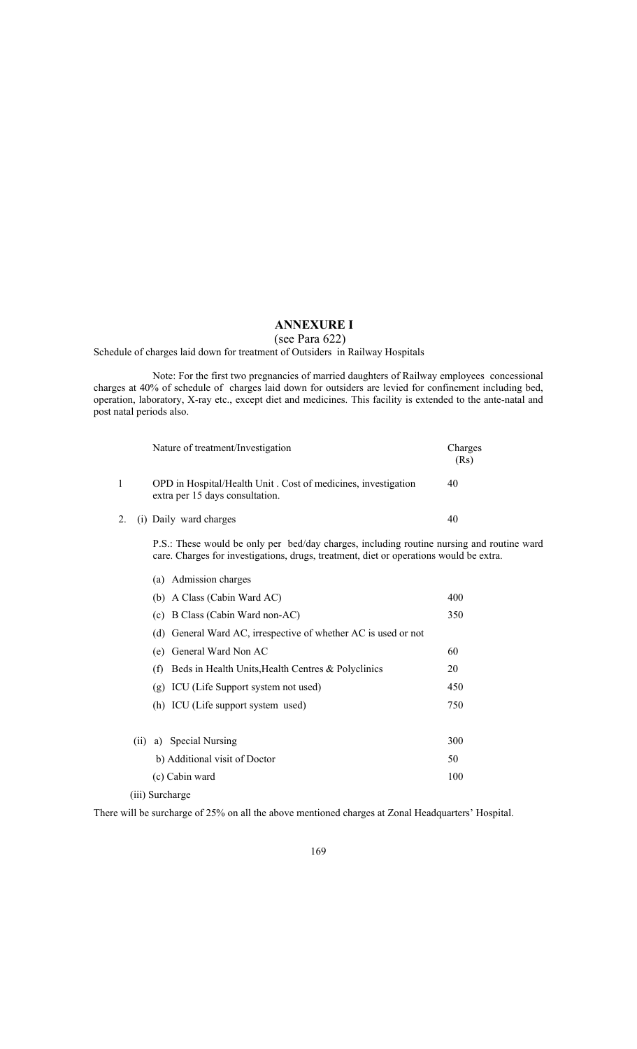# **ANNEXURE I**

## (see Para 622)

Schedule of charges laid down for treatment of Outsiders in Railway Hospitals

 Note: For the first two pregnancies of married daughters of Railway employees concessional charges at 40% of schedule of charges laid down for outsiders are levied for confinement including bed, operation, laboratory, X-ray etc., except diet and medicines. This facility is extended to the ante-natal and post natal periods also.

|  | Nature of treatment/Investigation                                                                | Charges<br>(Rs) |
|--|--------------------------------------------------------------------------------------------------|-----------------|
|  | OPD in Hospital/Health Unit. Cost of medicines, investigation<br>extra per 15 days consultation. | 40              |
|  | 2. (i) Daily ward charges                                                                        | 40              |

P.S.: These would be only per bed/day charges, including routine nursing and routine ward care. Charges for investigations, drugs, treatment, diet or operations would be extra.

|      | (a) Admission charges                                          |     |
|------|----------------------------------------------------------------|-----|
|      | (b) A Class (Cabin Ward AC)                                    | 400 |
|      | (c) B Class (Cabin Ward non-AC)                                | 350 |
|      | (d) General Ward AC, irrespective of whether AC is used or not |     |
|      | (e) General Ward Non AC                                        | 60  |
|      | Beds in Health Units, Health Centres & Polyclinics<br>(f)      | 20  |
|      | (g) ICU (Life Support system not used)                         | 450 |
|      | (h) ICU (Life support system used)                             | 750 |
| (11) | a) Special Nursing                                             | 300 |
|      | b) Additional visit of Doctor                                  | 50  |
|      | (c) Cabin ward                                                 | 100 |
|      | $\cdots$ $\alpha$ 1                                            |     |

(iii) Surcharge

There will be surcharge of 25% on all the above mentioned charges at Zonal Headquarters' Hospital.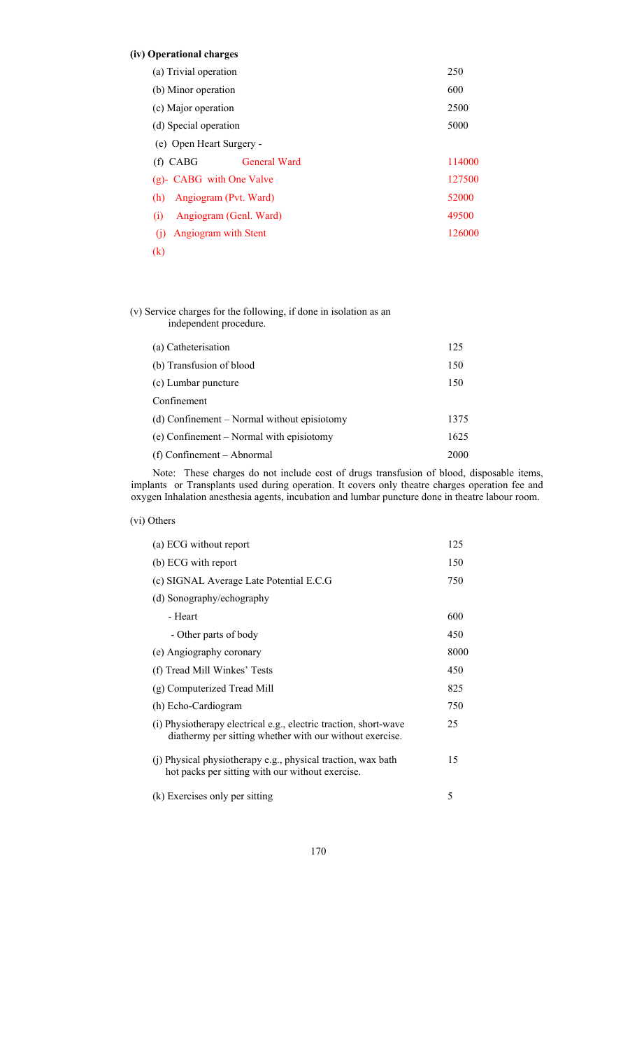# **(iv) Operational charges**

| (a) Trivial operation             | 250    |
|-----------------------------------|--------|
| (b) Minor operation               | 600    |
| (c) Major operation               | 2500   |
| (d) Special operation             | 5000   |
| (e) Open Heart Surgery -          |        |
| $(f)$ CABG<br><b>General Ward</b> | 114000 |
| (g)- CABG with One Valve          | 127500 |
| Angiogram (Pvt. Ward)<br>(h)      | 52000  |
| Angiogram (Genl. Ward)<br>(i)     | 49500  |
| Angiogram with Stent<br>(1)       | 126000 |
| $\left( \mathrm{k}\right)$        |        |

# (v) Service charges for the following, if done in isolation as an independent procedure.

| (a) Catheterisation                         | 125  |
|---------------------------------------------|------|
| (b) Transfusion of blood                    | 150  |
| (c) Lumbar puncture                         | 150  |
| Confinement                                 |      |
| (d) Confinement – Normal without episiotomy | 1375 |
| (e) Confinement – Normal with episiotomy    | 1625 |
| (f) Confinement – Abnormal                  | 2000 |
|                                             |      |

 Note: These charges do not include cost of drugs transfusion of blood, disposable items, implants or Transplants used during operation. It covers only theatre charges operation fee and oxygen Inhalation anesthesia agents, incubation and lumbar puncture done in theatre labour room.

(vi) Others

| (a) ECG without report                                                                                                       | 125  |
|------------------------------------------------------------------------------------------------------------------------------|------|
| (b) ECG with report                                                                                                          | 150  |
| (c) SIGNAL Average Late Potential E.C.G                                                                                      | 750  |
| (d) Sonography/echography                                                                                                    |      |
| - Heart                                                                                                                      | 600  |
| - Other parts of body                                                                                                        | 450  |
| (e) Angiography coronary                                                                                                     | 8000 |
| (f) Tread Mill Winkes' Tests                                                                                                 | 450  |
| (g) Computerized Tread Mill                                                                                                  | 825  |
| (h) Echo-Cardiogram                                                                                                          | 750  |
| (i) Physiotherapy electrical e.g., electric traction, short-wave<br>diathermy per sitting whether with our without exercise. | 25   |
| (j) Physical physiotherapy e.g., physical traction, wax bath<br>hot packs per sitting with our without exercise.             | 15   |
| (k) Exercises only per sitting                                                                                               | 5    |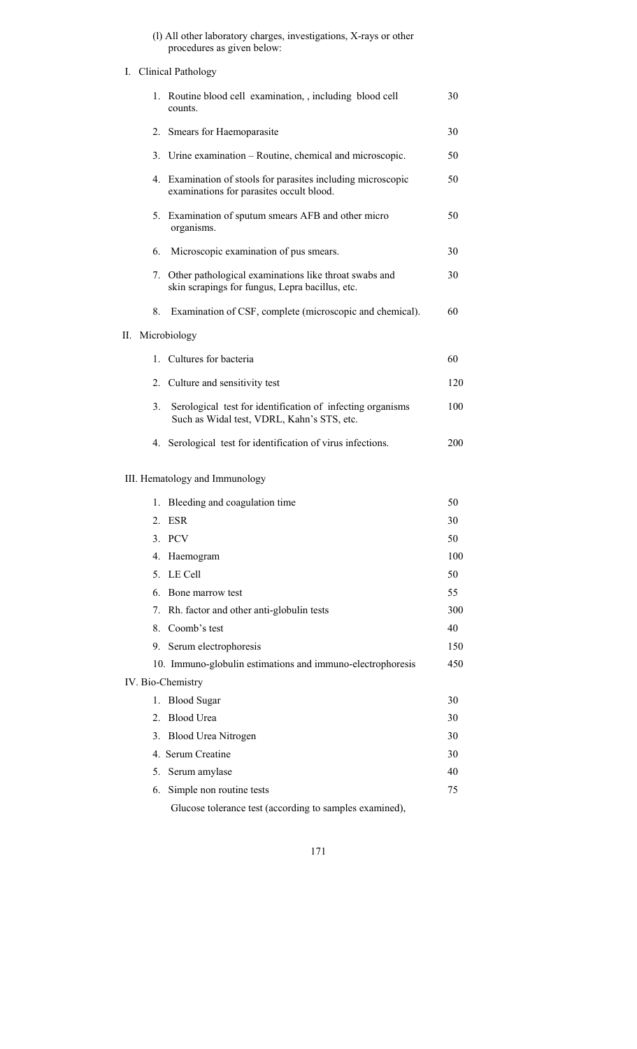(l) All other laboratory charges, investigations, X-rays or other procedures as given below:

I. Clinical Pathology

|                  | 1. Routine blood cell examination, including blood cell<br>counts.                                       | 30  |
|------------------|----------------------------------------------------------------------------------------------------------|-----|
| 2.               | Smears for Haemoparasite                                                                                 | 30  |
|                  | 3. Urine examination – Routine, chemical and microscopic.                                                | 50  |
|                  | 4. Examination of stools for parasites including microscopic<br>examinations for parasites occult blood. | 50  |
|                  | 5. Examination of sputum smears AFB and other micro<br>organisms.                                        | 50  |
| 6.               | Microscopic examination of pus smears.                                                                   | 30  |
| 7.               | Other pathological examinations like throat swabs and<br>skin scrapings for fungus, Lepra bacillus, etc. | 30  |
| 8.               | Examination of CSF, complete (microscopic and chemical).                                                 | 60  |
| II. Microbiology |                                                                                                          |     |
| $\mathbf{1}$     | Cultures for bacteria                                                                                    | 60  |
|                  | 2. Culture and sensitivity test                                                                          | 120 |
| 3.               | Serological test for identification of infecting organisms<br>Such as Widal test, VDRL, Kahn's STS, etc. | 100 |
| 4.               | Serological test for identification of virus infections.                                                 | 200 |
|                  | III. Hematology and Immunology                                                                           |     |
| 1.               | Bleeding and coagulation time                                                                            | 50  |
| 2.               | <b>ESR</b>                                                                                               | 30  |
|                  | 3. PCV                                                                                                   | 50  |
| 4.               | Haemogram                                                                                                | 100 |
| 5.               | LE Cell                                                                                                  | 50  |
| 6.               | Bone marrow test                                                                                         | 55  |
| 7.               | Rh. factor and other anti-globulin tests                                                                 | 300 |
| 8.               | Coomb's test                                                                                             | 40  |
|                  | 9. Serum electrophoresis                                                                                 | 150 |
|                  | 10. Immuno-globulin estimations and immuno-electrophoresis                                               | 450 |
|                  | IV. Bio-Chemistry                                                                                        |     |
| 1.               | <b>Blood Sugar</b>                                                                                       | 30  |
| 2.               | <b>Blood Urea</b>                                                                                        | 30  |
| 3.               | Blood Urea Nitrogen                                                                                      | 30  |
|                  | 4. Serum Creatine                                                                                        | 30  |
| 5.               | Serum amylase                                                                                            | 40  |
| 6.               | Simple non routine tests                                                                                 | 75  |
|                  | Glucose tolerance test (according to samples examined),                                                  |     |
|                  |                                                                                                          |     |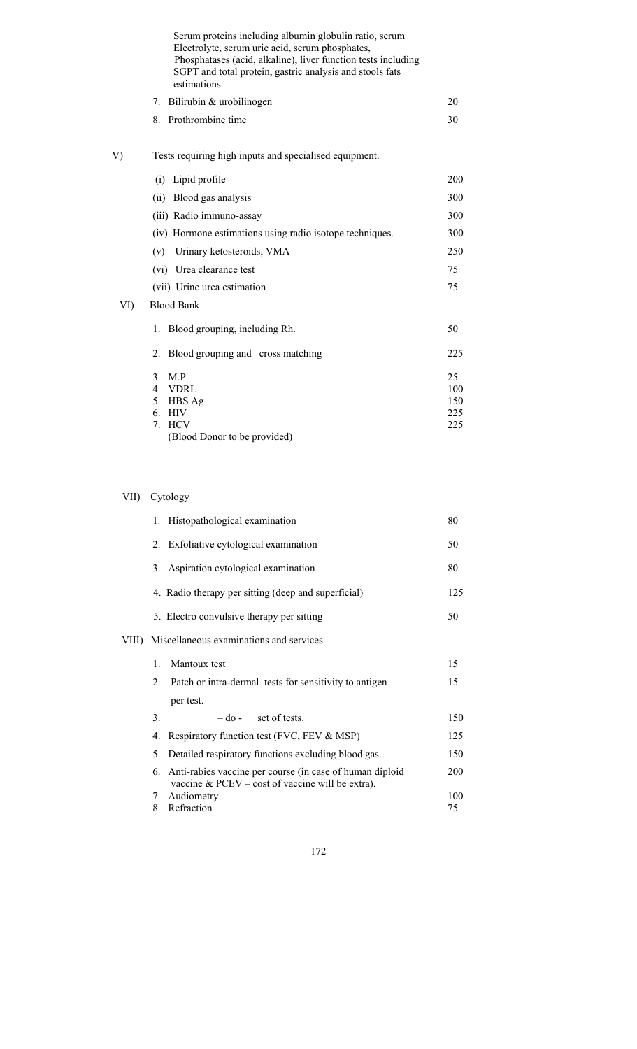|     | Serum proteins including albumin globulin ratio, serum<br>Electrolyte, serum uric acid, serum phosphates,<br>Phosphatases (acid, alkaline), liver function tests including<br>SGPT and total protein, gastric analysis and stools fats<br>estimations. |                                |
|-----|--------------------------------------------------------------------------------------------------------------------------------------------------------------------------------------------------------------------------------------------------------|--------------------------------|
|     | Bilirubin & urobilinogen<br>7.                                                                                                                                                                                                                         | 20                             |
|     | Prothrombine time<br>8.                                                                                                                                                                                                                                | 30                             |
| V)  | Tests requiring high inputs and specialised equipment.                                                                                                                                                                                                 |                                |
|     | (i) Lipid profile                                                                                                                                                                                                                                      | 200                            |
|     | Blood gas analysis<br>(ii)                                                                                                                                                                                                                             | 300                            |
|     | (iii) Radio immuno-assay                                                                                                                                                                                                                               | 300                            |
|     | (iv) Hormone estimations using radio isotope techniques.                                                                                                                                                                                               | 300                            |
|     | Urinary ketosteroids, VMA<br>(v)                                                                                                                                                                                                                       | 250                            |
|     | (vi) Urea clearance test                                                                                                                                                                                                                               | 75                             |
|     | (vii) Urine urea estimation                                                                                                                                                                                                                            | 75                             |
| VI) | <b>Blood Bank</b>                                                                                                                                                                                                                                      |                                |
|     | Blood grouping, including Rh.<br>1.                                                                                                                                                                                                                    | 50                             |
|     | Blood grouping and cross matching<br>$\overline{2}$ .                                                                                                                                                                                                  | 225                            |
|     | 3 <sub>1</sub><br>M.P<br>4. VDRL<br>5. HBS Ag<br>HIV<br>6.<br><b>HCV</b><br>$7_{\scriptscriptstyle{\ddots}}$                                                                                                                                           | 25<br>100<br>150<br>225<br>225 |
|     | (Blood Donor to be provided)                                                                                                                                                                                                                           |                                |

# VII) Cytology

| 1. Histopathological examination                                                                                  | 80  |
|-------------------------------------------------------------------------------------------------------------------|-----|
| 2. Exfoliative cytological examination                                                                            | 50  |
| 3. Aspiration cytological examination                                                                             | 80  |
| 4. Radio therapy per sitting (deep and superficial)                                                               | 125 |
| 5. Electro convulsive therapy per sitting                                                                         | 50  |
| VIII) Miscellaneous examinations and services.                                                                    |     |
| Mantoux test<br>1.                                                                                                | 15  |
| Patch or intra-dermal tests for sensitivity to antigen<br>2.                                                      | 15  |
| per test.                                                                                                         |     |
| 3.<br>$-do$ - set of tests.                                                                                       | 150 |
| Respiratory function test (FVC, FEV & MSP)<br>4.                                                                  | 125 |
| Detailed respiratory functions excluding blood gas.<br>5.                                                         | 150 |
| 6. Anti-rabies vaccine per course (in case of human diploid<br>vaccine $&$ PCEV – cost of vaccine will be extra). | 200 |
| Audiometry<br>7.                                                                                                  | 100 |
| Refraction<br>8.                                                                                                  | 75  |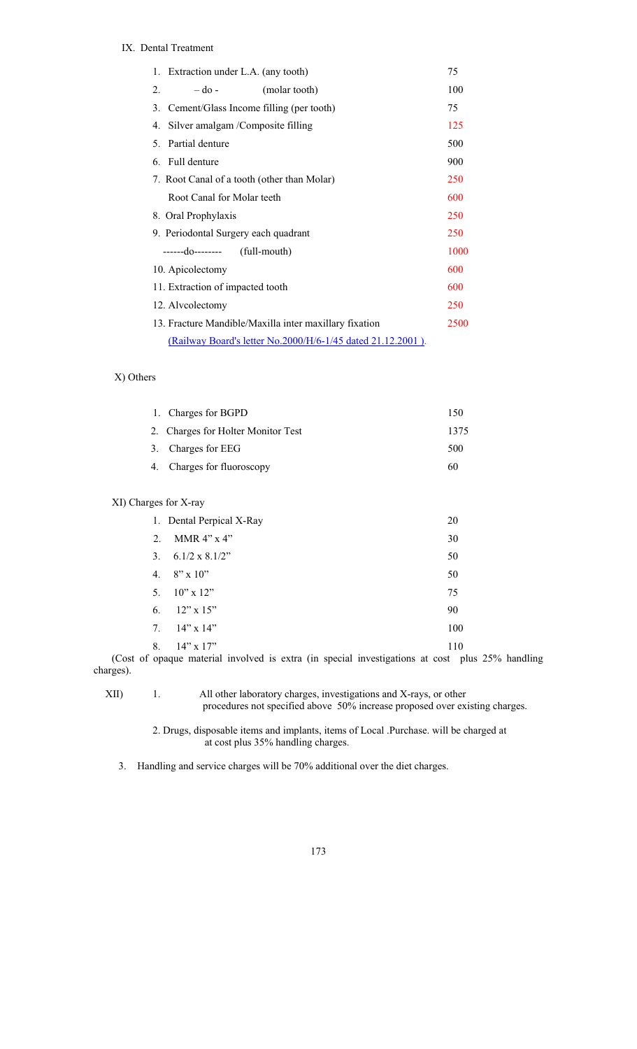# IX. Dental Treatment

| Extraction under L.A. (any tooth)<br>1.                     | 75   |
|-------------------------------------------------------------|------|
| 2.<br>$-do-$<br>(molar tooth)                               | 100  |
| Cement/Glass Income filling (per tooth)<br>3.               | 75   |
| Silver amalgam /Composite filling<br>4.                     | 125  |
| Partial denture<br>5.                                       | 500  |
| 6. Full denture                                             | 900  |
| 7. Root Canal of a tooth (other than Molar)                 | 250  |
| Root Canal for Molar teeth                                  | 600  |
| 8. Oral Prophylaxis                                         | 250  |
| 9. Periodontal Surgery each quadrant                        | 250  |
| $---do--- (full-month)$                                     | 1000 |
| 10. Apicolectomy                                            | 600  |
| 11. Extraction of impacted tooth                            | 600  |
| 12. Alvcolectomy                                            | 250  |
| 13. Fracture Mandible/Maxilla inter maxillary fixation      | 2500 |
| (Railway Board's letter No.2000/H/6-1/45 dated 21.12.2001). |      |

## X) Others

| 1. Charges for BGPD                | 150  |
|------------------------------------|------|
| 2. Charges for Holter Monitor Test | 1375 |
| 3. Charges for EEG                 | 500  |
| 4. Charges for fluoroscopy         | 60   |
|                                    |      |
|                                    |      |

# XI) Charges for X-ray

|                | 1. Dental Perpical X-Ray | 20  |
|----------------|--------------------------|-----|
| $2_{\cdot}$    | MMR $4$ " x $4$ "        | 30  |
| 3 <sub>1</sub> | $6.1/2 \times 8.1/2$ "   | 50  |
| 4.             | $8'' \times 10''$        | 50  |
|                | 5. $10" \times 12"$      | 75  |
|                | 6. $12" \times 15"$      | 90  |
| 7.             | $14$ " x $14$ "          | 100 |
| 8.             | $14"$ x $17"$            | 110 |

 (Cost of opaque material involved is extra (in special investigations at cost plus 25% handling charges).

XII) 1. All other laboratory charges, investigations and X-rays, or other procedures not specified above 50% increase proposed over existing charges.

> 2. Drugs, disposable items and implants, items of Local .Purchase. will be charged at at cost plus 35% handling charges.

3. Handling and service charges will be 70% additional over the diet charges.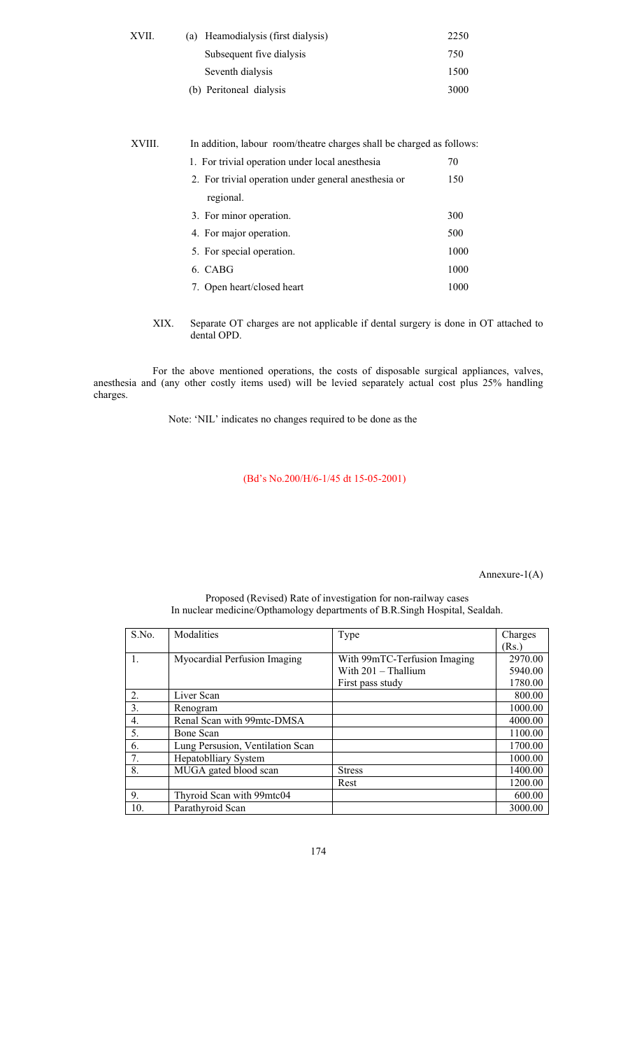| XVII. | (a) Heamodialysis (first dialysis) | 2250 |
|-------|------------------------------------|------|
|       | Subsequent five dialysis           | 750  |
|       | Seventh dialysis                   | 1500 |
|       | (b) Peritoneal dialysis            | 3000 |

| XVIII. | In addition, labour room/theatre charges shall be charged as follows: |      |
|--------|-----------------------------------------------------------------------|------|
|        | 1. For trivial operation under local anesthesia                       | 70   |
|        | 2. For trivial operation under general anesthesia or                  | 150  |
|        | regional.                                                             |      |
|        | 3. For minor operation.                                               | 300  |
|        | 4. For major operation.                                               | 500  |
|        | 5. For special operation.                                             | 1000 |
|        | 6. CABG                                                               | 1000 |
|        | 7. Open heart/closed heart                                            | 1000 |
|        |                                                                       |      |

XIX. Separate OT charges are not applicable if dental surgery is done in OT attached to dental OPD.

For the above mentioned operations, the costs of disposable surgical appliances, valves, anesthesia and (any other costly items used) will be levied separately actual cost plus 25% handling charges.

Note: 'NIL' indicates no changes required to be done as the

(Bd's No.200/H/6-1/45 dt 15-05-2001)

Annexure-1(A)

| S.No. | Modalities                       | Type                         | Charges |
|-------|----------------------------------|------------------------------|---------|
|       |                                  |                              | (Rs.)   |
| 1.    | Myocardial Perfusion Imaging     | With 99mTC-Terfusion Imaging | 2970.00 |
|       |                                  | With 201 - Thallium          | 5940.00 |
|       |                                  | First pass study             | 1780.00 |
| 2.    | Liver Scan                       |                              | 800.00  |
| 3.    | Renogram                         |                              | 1000.00 |
| 4.    | Renal Scan with 99mtc-DMSA       |                              | 4000.00 |
| 5.    | Bone Scan                        |                              | 1100.00 |
| 6.    | Lung Persusion, Ventilation Scan |                              | 1700.00 |
| 7.    | Hepatoblliary System             |                              | 1000.00 |
| 8.    | MUGA gated blood scan            | <b>Stress</b>                | 1400.00 |
|       |                                  | Rest                         | 1200.00 |
| 9.    | Thyroid Scan with 99mtc04        |                              | 600.00  |
| 10.   | Parathyroid Scan                 |                              | 3000.00 |

#### Proposed (Revised) Rate of investigation for non-railway cases In nuclear medicine/Opthamology departments of B.R.Singh Hospital, Sealdah.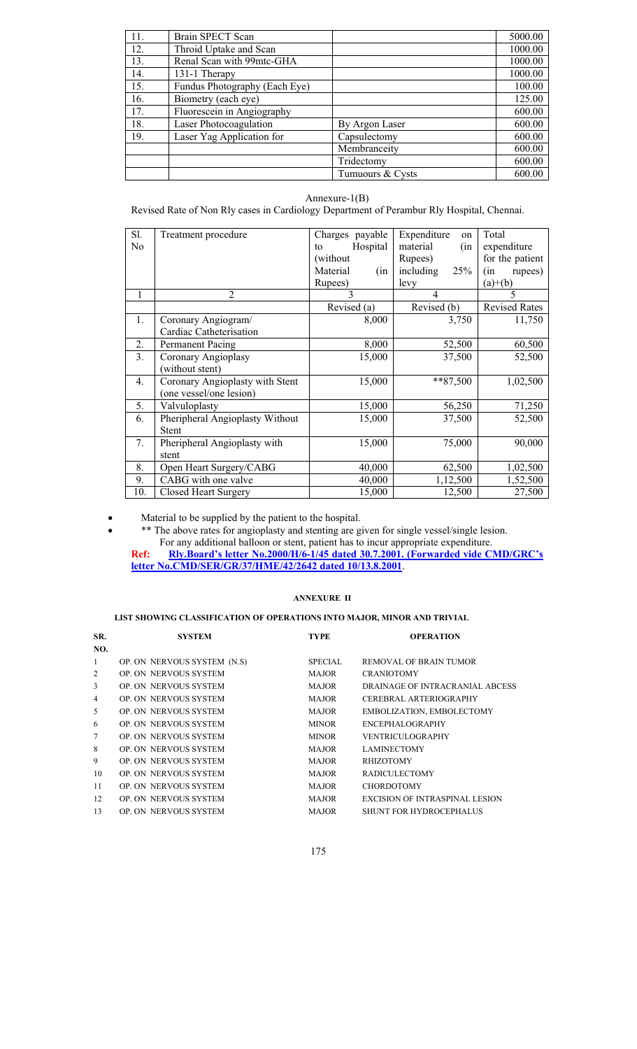| 11. | Brain SPECT Scan              |                  | 5000.00 |
|-----|-------------------------------|------------------|---------|
| 12. | Throid Uptake and Scan        |                  | 1000.00 |
| 13. | Renal Scan with 99mtc-GHA     |                  | 1000.00 |
| 14. | 131-1 Therapy                 |                  | 1000.00 |
| 15. | Fundus Photography (Each Eye) |                  | 100.00  |
| 16. | Biometry (each eye)           |                  | 125.00  |
| 17. | Fluorescein in Angiography    |                  | 600.00  |
| 18. | Laser Photocoagulation        | By Argon Laser   | 600.00  |
| 19. | Laser Yag Application for     | Capsulectomy     | 600.00  |
|     |                               | Membranceity     | 600.00  |
|     |                               | Tridectomy       | 600.00  |
|     |                               | Tumuours & Cysts | 600.00  |

## Annexure-1(B)

Revised Rate of Non Rly cases in Cardiology Department of Perambur Rly Hospital, Chennai.

| Sl.<br>No | Treatment procedure                                        | Charges<br>payable<br>Hospital<br>to<br>(without)<br>Material<br>(in<br>Rupees) | Expenditure<br>on<br>material<br>(in<br>Rupees)<br>including<br>25%<br>levy | Total<br>expenditure<br>for the patient<br>rupees)<br>(in<br>$(a)+(b)$ |
|-----------|------------------------------------------------------------|---------------------------------------------------------------------------------|-----------------------------------------------------------------------------|------------------------------------------------------------------------|
| 1         | $\overline{2}$                                             | 3                                                                               | 4                                                                           | 5                                                                      |
|           |                                                            | Revised (a)                                                                     | Revised (b)                                                                 | <b>Revised Rates</b>                                                   |
| 1.        | Coronary Angiogram/<br>Cardiac Catheterisation             | 8,000                                                                           | 3,750                                                                       | 11,750                                                                 |
| 2.        | <b>Permanent Pacing</b>                                    | 8,000                                                                           | 52,500                                                                      | 60,500                                                                 |
| 3.        | Coronary Angioplasy<br>without stent)                      | 15,000                                                                          | 37,500                                                                      | 52,500                                                                 |
| 4.        | Coronary Angioplasty with Stent<br>(one vessel/one lesion) | 15,000                                                                          | $*87,500$                                                                   | 1,02,500                                                               |
| 5.        | Valvuloplasty                                              | 15,000                                                                          | 56,250                                                                      | 71,250                                                                 |
| 6.        | Pheripheral Angioplasty Without<br><b>Stent</b>            | 15,000                                                                          | 37,500                                                                      | 52,500                                                                 |
| 7.        | Pheripheral Angioplasty with<br>stent                      | 15,000                                                                          | 75,000                                                                      | 90,000                                                                 |
| 8.        | Open Heart Surgery/CABG                                    | 40,000                                                                          | 62,500                                                                      | 1,02,500                                                               |
| 9.        | CABG with one valve                                        | 40,000                                                                          | 1,12,500                                                                    | 1,52,500                                                               |
| 10.       | <b>Closed Heart Surgery</b>                                | 15,000                                                                          | 12,500                                                                      | 27,500                                                                 |

• Material to be supplied by the patient to the hospital.

• \*\* The above rates for angioplasty and stenting are given for single vessel/single lesion. For any additional balloon or stent, patient has to incur appropriate expenditure. **Ref: Rly.Board's letter No.2000/H/6-1/45 dated 30.7.2001. (Forwarded vide CMD/GRC's letter No.CMD/SER/GR/37/HME/42/2642 dated 10/13.8.2001**.

#### **ANNEXURE II**

# **LIST SHOWING CLASSIFICATION OF OPERATIONS INTO MAJOR, MINOR AND TRIVIAL**

| SR.             | <b>SYSTEM</b>                | <b>TYPE</b>    | <b>OPERATION</b>                      |
|-----------------|------------------------------|----------------|---------------------------------------|
| NO.             |                              |                |                                       |
| 1               | OP. ON NERVOUS SYSTEM (N.S)  | <b>SPECIAL</b> | REMOVAL OF BRAIN TUMOR                |
| 2               | <b>OP. ON NERVOUS SYSTEM</b> | <b>MAJOR</b>   | <b>CRANIOTOMY</b>                     |
| 3               | <b>OP. ON NERVOUS SYSTEM</b> | <b>MAJOR</b>   | DRAINAGE OF INTRACRANIAL ABCESS       |
| $\overline{4}$  | <b>OP. ON NERVOUS SYSTEM</b> | <b>MAJOR</b>   | CEREBRAL ARTERIOGRAPHY                |
| 5               | <b>OP. ON NERVOUS SYSTEM</b> | <b>MAJOR</b>   | EMBOLIZATION, EMBOLECTOMY             |
| 6               | <b>OP. ON NERVOUS SYSTEM</b> | <b>MINOR</b>   | ENCEPHALOGRAPHY                       |
| $7\phantom{.0}$ | <b>OP. ON NERVOUS SYSTEM</b> | <b>MINOR</b>   | <b>VENTRICULOGRAPHY</b>               |
| 8               | <b>OP. ON NERVOUS SYSTEM</b> | <b>MAJOR</b>   | <b>LAMINECTOMY</b>                    |
| 9               | <b>OP. ON NERVOUS SYSTEM</b> | <b>MAJOR</b>   | <b>RHIZOTOMY</b>                      |
| 10              | OP. ON NERVOUS SYSTEM        | <b>MAJOR</b>   | <b>RADICULECTOMY</b>                  |
| 11              | <b>OP. ON NERVOUS SYSTEM</b> | <b>MAJOR</b>   | <b>CHORDOTOMY</b>                     |
| 12              | OP. ON NERVOUS SYSTEM        | <b>MAJOR</b>   | <b>EXCISION OF INTRASPINAL LESION</b> |
| 13              | <b>OP. ON NERVOUS SYSTEM</b> | <b>MAJOR</b>   | <b>SHUNT FOR HYDROCEPHALUS</b>        |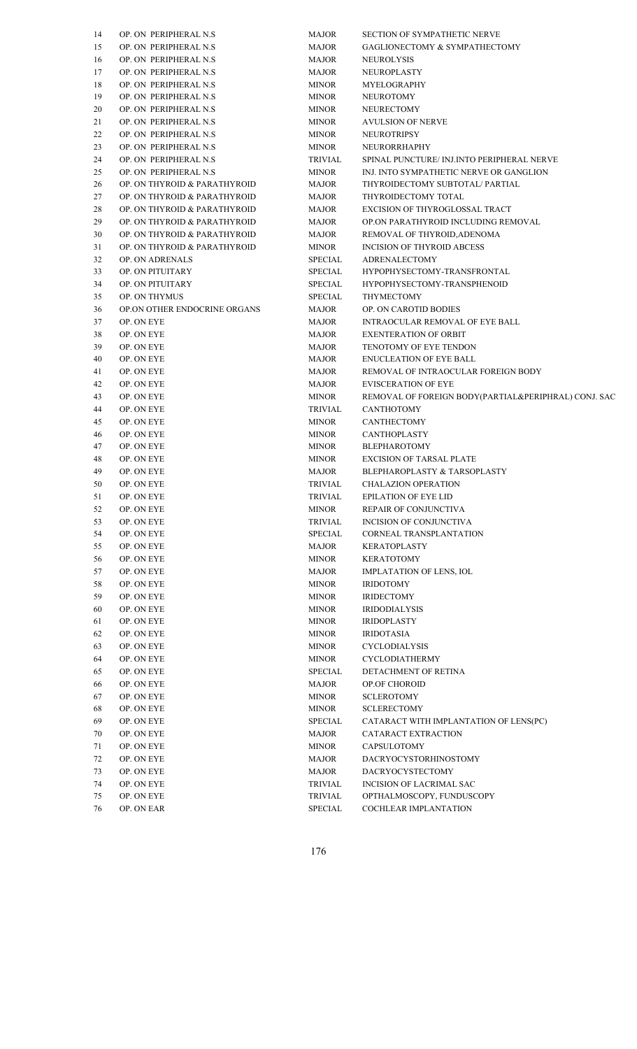| 14 | OP. ON PERIPHERAL N.S.       | <b>MAJOR</b> | <b>SECTION OF SYMPATHETIC NERVE</b>                  |
|----|------------------------------|--------------|------------------------------------------------------|
| 15 | OP. ON PERIPHERAL N.S.       | <b>MAJOR</b> | <b>GAGLIONECTOMY &amp; SYMPATHECTOMY</b>             |
| 16 | OP. ON PERIPHERAL N.S.       | <b>MAJOR</b> | NEUROLYSIS                                           |
| 17 | OP. ON PERIPHERAL N.S.       | <b>MAJOR</b> | NEUROPLASTY                                          |
| 18 | OP. ON PERIPHERAL N.S.       | <b>MINOR</b> | MYELOGRAPHY                                          |
| 19 | OP. ON PERIPHERAL N.S.       | <b>MINOR</b> | <b>NEUROTOMY</b>                                     |
| 20 | OP. ON PERIPHERAL N.S.       | <b>MINOR</b> | NEURECTOMY                                           |
| 21 | OP. ON PERIPHERAL N.S.       | <b>MINOR</b> | <b>AVULSION OF NERVE</b>                             |
| 22 | OP. ON PERIPHERAL N.S.       | <b>MINOR</b> | NEUROTRIPSY                                          |
| 23 | OP. ON PERIPHERAL N.S.       | <b>MINOR</b> | NEURORRHAPHY                                         |
| 24 | OP. ON PERIPHERAL N.S.       | TRIVIAL      | SPINAL PUNCTURE/ INJ.INTO PERIPHERAL NERVE           |
| 25 | OP. ON PERIPHERAL N.S.       | <b>MINOR</b> | INJ. INTO SYMPATHETIC NERVE OR GANGLION              |
| 26 | OP. ON THYROID & PARATHYROID | <b>MAJOR</b> | THYROIDECTOMY SUBTOTAL/ PARTIAL                      |
| 27 | OP. ON THYROID & PARATHYROID | <b>MAJOR</b> | THYROIDECTOMY TOTAL                                  |
|    | OP. ON THYROID & PARATHYROID | <b>MAJOR</b> | EXCISION OF THYROGLOSSAL TRACT                       |
| 28 | OP. ON THYROID & PARATHYROID |              | OP.ON PARATHYROID INCLUDING REMOVAL                  |
| 29 |                              | <b>MAJOR</b> |                                                      |
| 30 | OP. ON THYROID & PARATHYROID | <b>MAJOR</b> | REMOVAL OF THYROID, ADENOMA                          |
| 31 | OP. ON THYROID & PARATHYROID | <b>MINOR</b> | <b>INCISION OF THYROID ABCESS</b>                    |
| 32 | <b>OP. ON ADRENALS</b>       | SPECIAL      | <b>ADRENALECTOMY</b>                                 |
| 33 | OP. ON PITUITARY             | SPECIAL      | HYPOPHYSECTOMY-TRANSFRONTAL                          |
| 34 | OP. ON PITUITARY             | SPECIAL      | HYPOPHYSECTOMY-TRANSPHENOID                          |
| 35 | <b>OP. ON THYMUS</b>         | SPECIAL      | THYMECTOMY                                           |
| 36 | OP.ON OTHER ENDOCRINE ORGANS | <b>MAJOR</b> | OP. ON CAROTID BODIES                                |
| 37 | OP. ON EYE                   | <b>MAJOR</b> | <b>INTRAOCULAR REMOVAL OF EYE BALL</b>               |
| 38 | OP. ON EYE                   | <b>MAJOR</b> | <b>EXENTERATION OF ORBIT</b>                         |
| 39 | OP. ON EYE                   | <b>MAJOR</b> | TENOTOMY OF EYE TENDON                               |
| 40 | OP. ON EYE                   | <b>MAJOR</b> | ENUCLEATION OF EYE BALL                              |
| 41 | OP. ON EYE                   | <b>MAJOR</b> | REMOVAL OF INTRAOCULAR FOREIGN BODY                  |
| 42 | OP. ON EYE                   | <b>MAJOR</b> | <b>EVISCERATION OF EYE</b>                           |
| 43 | OP. ON EYE                   | <b>MINOR</b> | REMOVAL OF FOREIGN BODY(PARTIAL&PERIPHRAL) CONJ. SAC |
| 44 | OP. ON EYE                   | TRIVIAL      | <b>CANTHOTOMY</b>                                    |
| 45 | OP. ON EYE                   | <b>MINOR</b> | CANTHECTOMY                                          |
| 46 | OP. ON EYE                   | <b>MINOR</b> | <b>CANTHOPLASTY</b>                                  |
| 47 | OP. ON EYE                   | <b>MINOR</b> | <b>BLEPHAROTOMY</b>                                  |
| 48 | OP. ON EYE                   | <b>MINOR</b> | <b>EXCISION OF TARSAL PLATE</b>                      |
| 49 | OP. ON EYE                   | <b>MAJOR</b> | <b>BLEPHAROPLASTY &amp; TARSOPLASTY</b>              |
| 50 | OP. ON EYE                   | TRIVIAL      | <b>CHALAZION OPERATION</b>                           |
| 51 | OP. ON EYE                   | TRIVIAL      | <b>EPILATION OF EYE LID</b>                          |
| 52 | OP. ON EYE                   | MINOR        | REPAIR OF CONJUNCTIVA                                |
| 53 | OP. ON EYE                   | TRIVIAL      | INCISION OF CONJUNCTIVA                              |
| 54 | OP. ON EYE                   | SPECIAL      | CORNEAL TRANSPLANTATION                              |
| 55 | OP. ON EYE                   | <b>MAJOR</b> | KERATOPLASTY                                         |
| 56 | OP. ON EYE                   | <b>MINOR</b> | <b>KERATOTOMY</b>                                    |
| 57 | OP. ON EYE                   | <b>MAJOR</b> | IMPLATATION OF LENS, IOL                             |
| 58 | OP. ON EYE                   | <b>MINOR</b> | <b>IRIDOTOMY</b>                                     |
| 59 | OP. ON EYE                   | <b>MINOR</b> | <b>IRIDECTOMY</b>                                    |
| 60 | OP. ON EYE                   | MINOR        | <b>IRIDODIALYSIS</b>                                 |
| 61 | OP. ON EYE                   | <b>MINOR</b> | <b>IRIDOPLASTY</b>                                   |
| 62 | OP. ON EYE                   | <b>MINOR</b> | <b>IRIDOTASIA</b>                                    |
| 63 | OP. ON EYE                   | <b>MINOR</b> | CYCLODIALYSIS                                        |
| 64 | OP. ON EYE                   | <b>MINOR</b> | <b>CYCLODIATHERMY</b>                                |
| 65 | OP. ON EYE                   | SPECIAL      | DETACHMENT OF RETINA                                 |
|    | OP. ON EYE                   | <b>MAJOR</b> | OP.OF CHOROID                                        |
| 66 | OP. ON EYE                   | <b>MINOR</b> | <b>SCLEROTOMY</b>                                    |
| 67 |                              |              |                                                      |
| 68 | OP. ON EYE                   | <b>MINOR</b> | <b>SCLERECTOMY</b>                                   |
| 69 | OP. ON EYE                   | SPECIAL      | CATARACT WITH IMPLANTATION OF LENS(PC)               |
| 70 | OP. ON EYE                   | <b>MAJOR</b> | CATARACT EXTRACTION                                  |
| 71 | OP. ON EYE                   | MINOR        | CAPSULOTOMY                                          |
| 72 | OP. ON EYE                   | MAJOR        | DACRYOCYSTORHINOSTOMY                                |
| 73 | OP. ON EYE                   | MAJOR        | <b>DACRYOCYSTECTOMY</b>                              |
| 74 | OP. ON EYE                   | TRIVIAL      | INCISION OF LACRIMAL SAC                             |
| 75 | OP. ON EYE                   | TRIVIAL      | OPTHALMOSCOPY, FUNDUSCOPY                            |
| 76 | OP. ON EAR                   | SPECIAL      | COCHLEAR IMPLANTATION                                |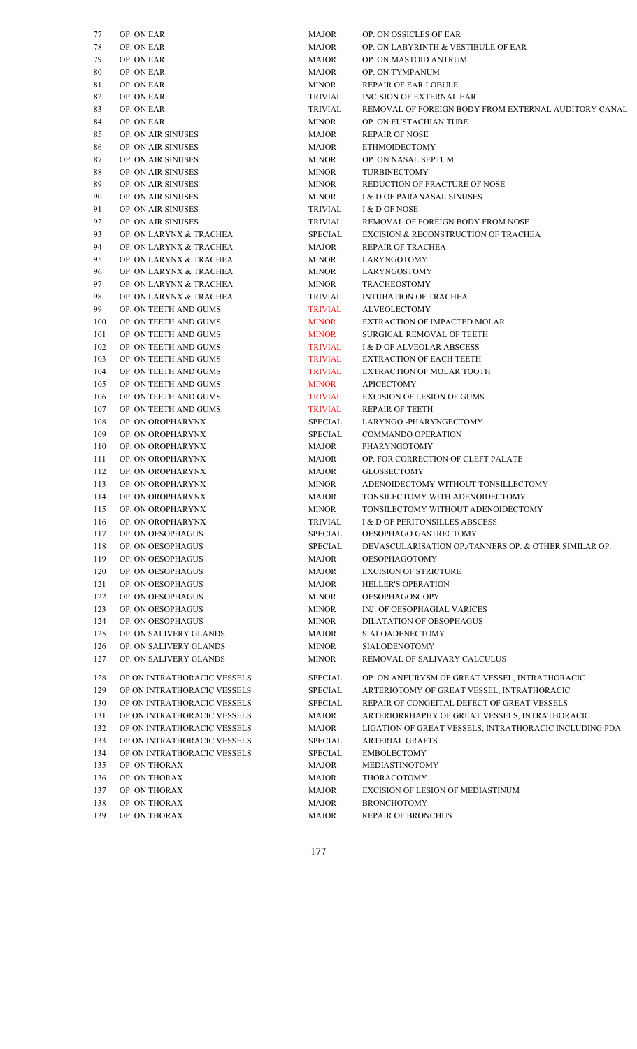| 77         | OP. ON EAR                                                 | MAJOR            | OP. ON OSSICLES OF EAR                                |
|------------|------------------------------------------------------------|------------------|-------------------------------------------------------|
| $78\,$     | OP. ON EAR                                                 | MAJOR            | OP. ON LABYRINTH & VES                                |
| 79         | OP. ON EAR                                                 | MAJOR            | OP. ON MASTOID ANTRUN                                 |
| 80         | OP. ON EAR                                                 | MAJOR            | OP. ON TYMPANUM                                       |
| 81         | OP. ON EAR                                                 | <b>MINOR</b>     | REPAIR OF EAR LOBULE                                  |
| 82         | OP. ON EAR                                                 | TRIVIAL          | <b>INCISION OF EXTERNAL E</b>                         |
| 83         | OP. ON EAR                                                 | TRIVIAL          | REMOVAL OF FOREIGN BO                                 |
| 84         | OP. ON EAR                                                 | <b>MINOR</b>     | OP. ON EUSTACHIAN TUB                                 |
| 85         | OP. ON AIR SINUSES                                         | MAJOR            | <b>REPAIR OF NOSE</b>                                 |
| 86         | <b>OP. ON AIR SINUSES</b>                                  | MAJOR            | <b>ETHMOIDECTOMY</b>                                  |
| 87         | OP. ON AIR SINUSES                                         | <b>MINOR</b>     | OP. ON NASAL SEPTUM                                   |
| 88         | OP. ON AIR SINUSES                                         | <b>MINOR</b>     | <b>TURBINECTOMY</b>                                   |
| 89         | OP. ON AIR SINUSES                                         | <b>MINOR</b>     | REDUCTION OF FRACTUR                                  |
| 90         | OP. ON AIR SINUSES                                         | <b>MINOR</b>     | I & D OF PARANASAL SINI                               |
| 91         | OP. ON AIR SINUSES                                         | TRIVIAL          | I & D OF NOSE                                         |
| 92         | OP. ON AIR SINUSES                                         | TRIVIAL          | REMOVAL OF FOREIGN BO                                 |
| 93         | OP. ON LARYNX & TRACHEA                                    | SPECIAL          | <b>EXCISION &amp; RECONSTRUG</b>                      |
| 94         | OP. ON LARYNX & TRACHEA                                    | MAJOR            | REPAIR OF TRACHEA                                     |
| 95         | OP. ON LARYNX & TRACHEA                                    | <b>MINOR</b>     | LARYNGOTOMY                                           |
| 96         | OP. ON LARYNX & TRACHEA                                    | <b>MINOR</b>     | LARYNGOSTOMY                                          |
| 97         | OP. ON LARYNX & TRACHEA                                    | <b>MINOR</b>     | TRACHEOSTOMY                                          |
| 98         | OP. ON LARYNX & TRACHEA                                    | TRIVIAL          | <b>INTUBATION OF TRACHE</b>                           |
| 99         | OP. ON TEETH AND GUMS                                      | <b>TRIVIAL</b>   | ALVEOLECTOMY                                          |
| 100        | OP. ON TEETH AND GUMS                                      | <b>MINOR</b>     | <b>EXTRACTION OF IMPACTI</b>                          |
| 101        | OP. ON TEETH AND GUMS                                      | <b>MINOR</b>     | <b>SURGICAL REMOVAL OF 7</b>                          |
| 102        | OP. ON TEETH AND GUMS                                      | <b>TRIVIAL</b>   | I & D OF ALVEOLAR ABSC                                |
| 103        | OP. ON TEETH AND GUMS                                      | <b>TRIVIAL</b>   | <b>EXTRACTION OF EACH TE</b>                          |
| 104        | OP. ON TEETH AND GUMS                                      | <b>TRIVIAL</b>   | <b>EXTRACTION OF MOLAR</b>                            |
| 105        | OP. ON TEETH AND GUMS                                      | <b>MINOR</b>     | APICECTOMY                                            |
| 106        | OP. ON TEETH AND GUMS                                      | <b>TRIVIAL</b>   | <b>EXCISION OF LESION OF C</b>                        |
| 107        | OP. ON TEETH AND GUMS                                      | <b>TRIVIAL</b>   | <b>REPAIR OF TEETH</b>                                |
| 108        | OP. ON OROPHARYNX                                          | SPECIAL          | LARYNGO -PHARYNGECT                                   |
| 109        | OP. ON OROPHARYNX                                          | SPECIAL          | <b>COMMANDO OPERATION</b>                             |
| 110        | OP. ON OROPHARYNX                                          | MAJOR            | PHARYNGOTOMY                                          |
| 111        | OP. ON OROPHARYNX                                          | MAJOR            | OP. FOR CORRECTION OF                                 |
| 112        | OP. ON OROPHARYNX                                          | MAJOR            | GLOSSECTOMY                                           |
| 113        | OP. ON OROPHARYNX                                          | <b>MINOR</b>     | ADENOIDECTOMY WITHC                                   |
| 114        | OP. ON OROPHARYNX                                          | <b>MAJOR</b>     | TONSILECTOMY WITH AD                                  |
| 115        | OP. ON OROPHARYNX                                          | <b>MINOR</b>     | TONSILECTOMY WITHOUT                                  |
| 116        | OP. ON OROPHARYNX                                          | TRIVIAL          | I & D OF PERITONSILLES A                              |
| 117        | OP. ON OESOPHAGUS                                          | SPECIAL          | OESOPHAGO GASTRECTO                                   |
| 118        | OP. ON OESOPHAGUS                                          | SPECIAL          | DEVASCULARISATION OP                                  |
| 119        | OP. ON OESOPHAGUS                                          | MAJOR            | <b>OESOPHAGOTOMY</b>                                  |
| 120        | OP. ON OESOPHAGUS                                          | <b>MAJOR</b>     | EXCISION OF STRICTURE                                 |
| 121        | OP. ON OESOPHAGUS                                          | MAJOR            | <b>HELLER'S OPERATION</b>                             |
| 122        | OP. ON OESOPHAGUS                                          | <b>MINOR</b>     | <b>OESOPHAGOSCOPY</b>                                 |
| 123        | OP. ON OESOPHAGUS                                          | <b>MINOR</b>     | INJ. OF OESOPHAGIAL VA                                |
| 124        | OP. ON OESOPHAGUS                                          | <b>MINOR</b>     | DILATATION OF OESOPHA                                 |
| 125        | OP. ON SALIVERY GLANDS                                     | MAJOR            | SIALOADENECTOMY                                       |
| 126        | OP. ON SALIVERY GLANDS                                     | <b>MINOR</b>     | SIALODENOTOMY                                         |
| 127        | OP. ON SALIVERY GLANDS                                     | <b>MINOR</b>     | REMOVAL OF SALIVARY                                   |
| 128        | OP.ON INTRATHORACIC VESSELS                                | <b>SPECIAL</b>   | OP. ON ANEURYSM OF GR                                 |
| 129        | OP.ON INTRATHORACIC VESSELS                                | SPECIAL          | <b>ARTERIOTOMY OF GREAT</b>                           |
|            |                                                            |                  |                                                       |
| 130<br>131 | OP.ON INTRATHORACIC VESSELS<br>OP.ON INTRATHORACIC VESSELS | SPECIAL<br>MAJOR | REPAIR OF CONGEITAL DI<br><b>ARTERIORRHAPHY OF GR</b> |
| 132        | OP.ON INTRATHORACIC VESSELS                                | MAJOR            | <b>LIGATION OF GREAT VES:</b>                         |
| 133        | OP.ON INTRATHORACIC VESSELS                                | SPECIAL          | <b>ARTERIAL GRAFTS</b>                                |
| 134        | OP.ON INTRATHORACIC VESSELS                                | SPECIAL          | <b>EMBOLECTOMY</b>                                    |
| 135        | OP. ON THORAX                                              | MAJOR            | MEDIASTINOTOMY                                        |
| 136        | OP. ON THORAX                                              | MAJOR            | THORACOTOMY                                           |
| 137        | OP. ON THORAX                                              | MAJOR            | <b>EXCISION OF LESION OF N</b>                        |
| 138        | OP. ON THORAX                                              | MAJOR            | <b>BRONCHOTOMY</b>                                    |
| 139        | OP. ON THORAX                                              | MAJOR            | <b>REPAIR OF BRONCHUS</b>                             |
|            |                                                            |                  |                                                       |

| 77  | OP. ON EAR                  | <b>MAJOR</b>   | OP. ON OSSICLES OF EAR                                 |
|-----|-----------------------------|----------------|--------------------------------------------------------|
| 78  | OP. ON EAR                  | <b>MAJOR</b>   | OP. ON LABYRINTH & VESTIBULE OF EAR                    |
| 79  | OP. ON EAR                  | <b>MAJOR</b>   | OP. ON MASTOID ANTRUM                                  |
| 80  | OP. ON EAR                  | <b>MAJOR</b>   | OP. ON TYMPANUM                                        |
| 81  | OP. ON EAR                  | <b>MINOR</b>   | <b>REPAIR OF EAR LOBULE</b>                            |
| 82  | OP. ON EAR                  | <b>TRIVIAL</b> | <b>INCISION OF EXTERNAL EAR</b>                        |
| 83  | OP. ON EAR                  | <b>TRIVIAL</b> | REMOVAL OF FOREIGN BODY FROM EXTERNAL AUDITORY CANAL   |
| 84  | OP. ON EAR                  | <b>MINOR</b>   | OP. ON EUSTACHIAN TUBE                                 |
| 85  | OP. ON AIR SINUSES          | <b>MAJOR</b>   | <b>REPAIR OF NOSE</b>                                  |
| 86  | OP. ON AIR SINUSES          | <b>MAJOR</b>   | <b>ETHMOIDECTOMY</b>                                   |
| 87  | <b>OP. ON AIR SINUSES</b>   | <b>MINOR</b>   | OP. ON NASAL SEPTUM                                    |
| 88  | OP. ON AIR SINUSES          | <b>MINOR</b>   | <b>TURBINECTOMY</b>                                    |
| 89  | OP. ON AIR SINUSES          | <b>MINOR</b>   | REDUCTION OF FRACTURE OF NOSE                          |
| 90  | OP. ON AIR SINUSES          | <b>MINOR</b>   | I & D OF PARANASAL SINUSES                             |
| 91  | OP. ON AIR SINUSES          | TRIVIAL        | I & D OF NOSE                                          |
| 92  | OP. ON AIR SINUSES          | TRIVIAL        | REMOVAL OF FOREIGN BODY FROM NOSE                      |
| 93  | OP. ON LARYNX & TRACHEA     | <b>SPECIAL</b> | EXCISION & RECONSTRUCTION OF TRACHEA                   |
| 94  | OP. ON LARYNX & TRACHEA     | <b>MAJOR</b>   | <b>REPAIR OF TRACHEA</b>                               |
| 95  | OP. ON LARYNX & TRACHEA     | <b>MINOR</b>   | LARYNGOTOMY                                            |
| 96  | OP. ON LARYNX & TRACHEA     | <b>MINOR</b>   | <b>LARYNGOSTOMY</b>                                    |
| 97  | OP. ON LARYNX & TRACHEA     | <b>MINOR</b>   | <b>TRACHEOSTOMY</b>                                    |
| 98  | OP. ON LARYNX & TRACHEA     | <b>TRIVIAL</b> | <b>INTUBATION OF TRACHEA</b>                           |
| 99  | OP. ON TEETH AND GUMS       | <b>TRIVIAL</b> | <b>ALVEOLECTOMY</b>                                    |
| 100 | OP. ON TEETH AND GUMS       | <b>MINOR</b>   | EXTRACTION OF IMPACTED MOLAR                           |
| 101 | OP. ON TEETH AND GUMS       | <b>MINOR</b>   | <b>SURGICAL REMOVAL OF TEETH</b>                       |
| 102 | OP. ON TEETH AND GUMS       | <b>TRIVIAL</b> | <b>I &amp; D OF ALVEOLAR ABSCESS</b>                   |
| 103 | OP. ON TEETH AND GUMS       | <b>TRIVIAL</b> | <b>EXTRACTION OF EACH TEETH</b>                        |
| 104 | OP. ON TEETH AND GUMS       | <b>TRIVIAL</b> | <b>EXTRACTION OF MOLAR TOOTH</b>                       |
| 105 | OP. ON TEETH AND GUMS       | <b>MINOR</b>   | <b>APICECTOMY</b>                                      |
| 106 | OP. ON TEETH AND GUMS       | <b>TRIVIAL</b> | <b>EXCISION OF LESION OF GUMS</b>                      |
| 107 | OP. ON TEETH AND GUMS       | <b>TRIVIAL</b> | <b>REPAIR OF TEETH</b>                                 |
| 108 | OP. ON OROPHARYNX           | <b>SPECIAL</b> | LARYNGO -PHARYNGECTOMY                                 |
| 109 | OP. ON OROPHARYNX           | <b>SPECIAL</b> | <b>COMMANDO OPERATION</b>                              |
| 110 | OP. ON OROPHARYNX           | <b>MAJOR</b>   | PHARYNGOTOMY                                           |
| 111 | OP. ON OROPHARYNX           | <b>MAJOR</b>   | OP. FOR CORRECTION OF CLEFT PALATE                     |
| 112 | OP. ON OROPHARYNX           | <b>MAJOR</b>   | <b>GLOSSECTOMY</b>                                     |
| 113 | OP. ON OROPHARYNX           | <b>MINOR</b>   | ADENOIDECTOMY WITHOUT TONSILLECTOMY                    |
| 114 | OP. ON OROPHARYNX           | <b>MAJOR</b>   | TONSILECTOMY WITH ADENOIDECTOMY                        |
| 115 | OP. ON OROPHARYNX           | <b>MINOR</b>   | TONSILECTOMY WITHOUT ADENOIDECTOMY                     |
| 116 | OP. ON OROPHARYNX           | TRIVIAL        | I & D OF PERITONSILLES ABSCESS                         |
| 117 | OP. ON OESOPHAGUS           | <b>SPECIAL</b> | OESOPHAGO GASTRECTOMY                                  |
| 118 | OP. ON OESOPHAGUS           | <b>SPECIAL</b> | DEVASCULARISATION OP./TANNERS OP. & OTHER SIMILAR OP.  |
| 119 | OP. ON OESOPHAGUS           | <b>MAJOR</b>   | <b>OESOPHAGOTOMY</b>                                   |
| 120 | OP. ON OESOPHAGUS           | <b>MAJOR</b>   | <b>EXCISION OF STRICTURE</b>                           |
| 121 | OP. ON OESOPHAGUS           | <b>MAJOR</b>   | <b>HELLER'S OPERATION</b>                              |
| 122 | OP. ON OESOPHAGUS           | <b>MINOR</b>   | <b>OESOPHAGOSCOPY</b>                                  |
| 123 | OP. ON OESOPHAGUS           | <b>MINOR</b>   | INJ. OF OESOPHAGIAL VARICES                            |
| 124 | OP. ON OESOPHAGUS           | <b>MINOR</b>   | DILATATION OF OESOPHAGUS                               |
| 125 | OP. ON SALIVERY GLANDS      | <b>MAJOR</b>   | SIALOADENECTOMY                                        |
|     |                             |                |                                                        |
| 126 | OP. ON SALIVERY GLANDS      | <b>MINOR</b>   | <b>SIALODENOTOMY</b>                                   |
| 127 | OP. ON SALIVERY GLANDS      | <b>MINOR</b>   | REMOVAL OF SALIVARY CALCULUS                           |
| 128 | OP.ON INTRATHORACIC VESSELS | SPECIAL        | OP. ON ANEURYSM OF GREAT VESSEL, INTRATHORACIC         |
| 129 | OP.ON INTRATHORACIC VESSELS | <b>SPECIAL</b> | ARTERIOTOMY OF GREAT VESSEL, INTRATHORACIC             |
| 130 | OP.ON INTRATHORACIC VESSELS | SPECIAL        | REPAIR OF CONGEITAL DEFECT OF GREAT VESSELS            |
| 131 | OP.ON INTRATHORACIC VESSELS | <b>MAJOR</b>   | ARTERIORRHAPHY OF GREAT VESSELS, INTRATHORACIC         |
| 132 | OP.ON INTRATHORACIC VESSELS | <b>MAJOR</b>   | LIGATION OF GREAT VESSELS, INTRATHORACIC INCLUDING PDA |
| 133 | OP.ON INTRATHORACIC VESSELS | <b>SPECIAL</b> | <b>ARTERIAL GRAFTS</b>                                 |
| 134 | OP.ON INTRATHORACIC VESSELS | <b>SPECIAL</b> | <b>EMBOLECTOMY</b>                                     |
| 135 | OP. ON THORAX               | <b>MAJOR</b>   | MEDIASTINOTOMY                                         |
| 136 | OP. ON THORAX               | <b>MAJOR</b>   | THORACOTOMY                                            |
| 137 | OP. ON THORAX               | <b>MAJOR</b>   | EXCISION OF LESION OF MEDIASTINUM                      |
| 138 | OP. ON THORAX               | <b>MAJOR</b>   | <b>BRONCHOTOMY</b>                                     |
| 139 | OP ON THORAX                | <b>MAIOR</b>   | REPAIR OF BRONCHUS                                     |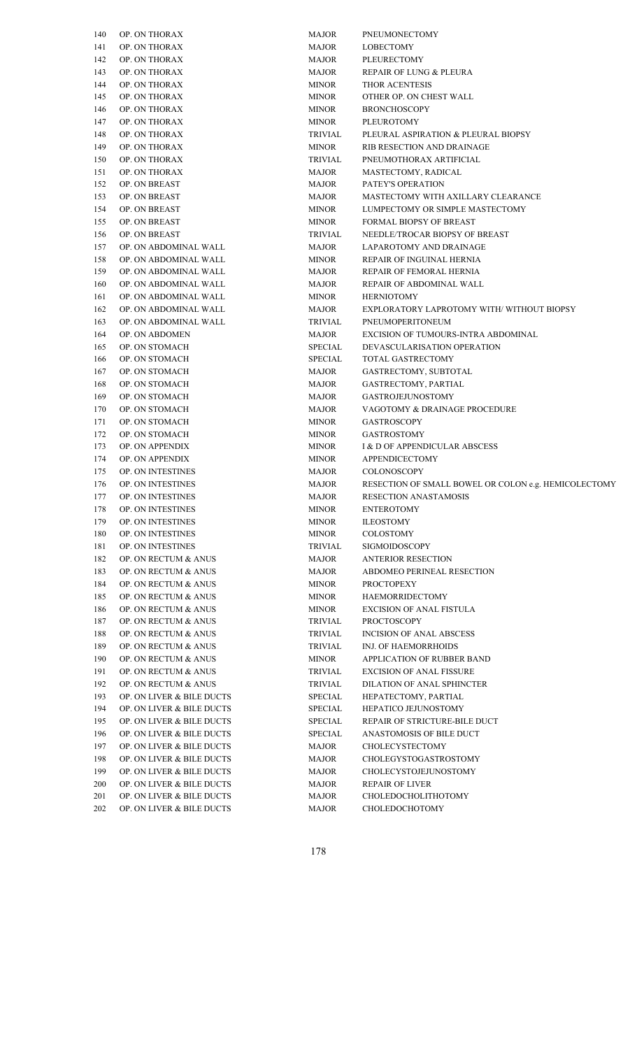| 140 | OP. ON THORAX             | MAJOR          | PNEUMONECTOMY                |
|-----|---------------------------|----------------|------------------------------|
| 141 | OP. ON THORAX             | MAJOR          | LOBECTOMY                    |
| 142 | OP. ON THORAX             | MAJOR          | PLEURECTOMY                  |
| 143 | OP. ON THORAX             | MAJOR          | REPAIR OF LUNG & PLE         |
| 144 | OP. ON THORAX             | <b>MINOR</b>   | THOR ACENTESIS               |
| 145 | OP. ON THORAX             | MINOR          | OTHER OP. ON CHEST W         |
| 146 | OP. ON THORAX             | MINOR          | <b>BRONCHOSCOPY</b>          |
| 147 | OP. ON THORAX             | MINOR          | PLEUROTOMY                   |
| 148 | OP. ON THORAX             | TRIVIAL        | PLEURAL ASPIRATION &         |
| 149 | OP. ON THORAX             | MINOR          | RIB RESECTION AND DR         |
| 150 | OP. ON THORAX             | TRIVIAL        | PNEUMOTHORAX ARTIF           |
| 151 | OP. ON THORAX             | MAJOR          | MASTECTOMY, RADICA           |
| 152 | OP. ON BREAST             | MAJOR          | PATEY'S OPERATION            |
| 153 | OP. ON BREAST             | MAJOR          | MASTECTOMY WITH AX           |
| 154 | OP. ON BREAST             | <b>MINOR</b>   | LUMPECTOMY OR SIMP           |
| 155 | OP. ON BREAST             |                | FORMAL BIOPSY OF BRI         |
|     |                           | <b>MINOR</b>   | <b>NEEDLE/TROCAR BIOPS</b>   |
| 156 | OP. ON BREAST             | TRIVIAL        |                              |
| 157 | OP. ON ABDOMINAL WALL     | MAJOR          | LAPAROTOMY AND DRA           |
| 158 | OP. ON ABDOMINAL WALL     | <b>MINOR</b>   | REPAIR OF INGUINAL H         |
| 159 | OP. ON ABDOMINAL WALL     | MAJOR          | REPAIR OF FEMORAL HI         |
| 160 | OP. ON ABDOMINAL WALL     | MAJOR          | <b>REPAIR OF ABDOMINAL</b>   |
| 161 | OP. ON ABDOMINAL WALL     | MINOR          | <b>HERNIOTOMY</b>            |
| 162 | OP. ON ABDOMINAL WALL     | MAJOR          | <b>EXPLORATORY LAPROT</b>    |
| 163 | OP. ON ABDOMINAL WALL     | <b>TRIVIAL</b> | PNEUMOPERITONEUM             |
| 164 | OP. ON ABDOMEN            | <b>MAJOR</b>   | <b>EXCISION OF TUMOURS</b>   |
| 165 | OP. ON STOMACH            | SPECIAL        | DEVASCULARISATION (          |
| 166 | OP. ON STOMACH            | <b>SPECIAL</b> | TOTAL GASTRECTOMY            |
| 167 | OP. ON STOMACH            | MAJOR          | GASTRECTOMY, SUBTO           |
| 168 | OP. ON STOMACH            | MAJOR          | GASTRECTOMY, PARTIA          |
| 169 | OP. ON STOMACH            | MAJOR          | <b>GASTROJEJUNOSTOMY</b>     |
| 170 | OP. ON STOMACH            | MAJOR          | VAGOTOMY & DRAINA            |
| 171 | OP. ON STOMACH            | MINOR          | <b>GASTROSCOPY</b>           |
| 172 | OP. ON STOMACH            | MINOR          | <b>GASTROSTOMY</b>           |
| 173 | OP. ON APPENDIX           | <b>MINOR</b>   | I & D OF APPENDICULAI        |
| 174 | OP. ON APPENDIX           | MINOR          | APPENDICECTOMY               |
| 175 | OP. ON INTESTINES         | MAJOR          | COLONOSCOPY                  |
| 176 | OP. ON INTESTINES         | MAJOR          | RESECTION OF SMALL E         |
| 177 | OP. ON INTESTINES         | <b>MAJOR</b>   | RESECTION ANASTAMO           |
| 178 | OP. ON INTESTINES         | <b>MINOR</b>   | <b>ENTEROTOMY</b>            |
| 179 | OP. ON INTESTINES         | <b>MINOR</b>   | <b>ILEOSTOMY</b>             |
| 180 | OP. ON INTESTINES         | <b>MINOR</b>   | COLOSTOMY                    |
| 181 | OP. ON INTESTINES         | TRIVIAL        | <b>SIGMOIDOSCOPY</b>         |
| 182 | OP. ON RECTUM & ANUS      | <b>MAJOR</b>   | <b>ANTERIOR RESECTION</b>    |
| 183 | OP. ON RECTUM & ANUS      | <b>MAJOR</b>   | <b>ABDOMEO PERINEAL RI</b>   |
| 184 | OP. ON RECTUM & ANUS      | <b>MINOR</b>   | <b>PROCTOPEXY</b>            |
| 185 | OP. ON RECTUM & ANUS      | <b>MINOR</b>   | <b>HAEMORRIDECTOMY</b>       |
|     |                           | <b>MINOR</b>   | <b>EXCISION OF ANAL FIST</b> |
| 186 | OP. ON RECTUM & ANUS      |                |                              |
| 187 | OP. ON RECTUM & ANUS      | TRIVIAL        | <b>PROCTOSCOPY</b>           |
| 188 | OP. ON RECTUM & ANUS      | TRIVIAL        | <b>INCISION OF ANAL ABS</b>  |
| 189 | OP. ON RECTUM & ANUS      | TRIVIAL        | INJ. OF HAEMORRHOIDS         |
| 190 | OP. ON RECTUM & ANUS      | <b>MINOR</b>   | <b>APPLICATION OF RUBBI</b>  |
| 191 | OP. ON RECTUM & ANUS      | TRIVIAL        | <b>EXCISION OF ANAL FISS</b> |
| 192 | OP. ON RECTUM & ANUS      | TRIVIAL        | <b>DILATION OF ANAL SPH</b>  |
| 193 | OP. ON LIVER & BILE DUCTS | SPECIAL        | HEPATECTOMY, PARTIA          |
| 194 | OP. ON LIVER & BILE DUCTS | SPECIAL        | HEPATICO JEJUNOSTOM          |
| 195 | OP. ON LIVER & BILE DUCTS | <b>SPECIAL</b> | <b>REPAIR OF STRICTURE-1</b> |
| 196 | OP. ON LIVER & BILE DUCTS | SPECIAL        | <b>ANASTOMOSIS OF BILE</b>   |
| 197 | OP. ON LIVER & BILE DUCTS | MAJOR          | CHOLECYSTECTOMY              |
| 198 | OP. ON LIVER & BILE DUCTS | MAJOR          | <b>CHOLEGYSTOGASTROS</b>     |
| 199 | OP. ON LIVER & BILE DUCTS | MAJOR          | CHOLECYSTOJEJUNOST           |
| 200 | OP. ON LIVER & BILE DUCTS | MAJOR          | <b>REPAIR OF LIVER</b>       |
| 201 | OP. ON LIVER & BILE DUCTS | MAJOR          | <b>CHOLEDOCHOLITHOTO</b>     |
| 202 | OP. ON LIVER & BILE DUCTS | <b>MAJOR</b>   | CHOLEDOCHOTOMY               |

| 140 | OP. ON THORAX             | MAJOR          | PNEUMONECTOMY                                        |
|-----|---------------------------|----------------|------------------------------------------------------|
| 141 | OP. ON THORAX             | MAJOR          | LOBECTOMY                                            |
| 142 | OP. ON THORAX             | MAJOR          | PLEURECTOMY                                          |
| 143 | OP. ON THORAX             | MAJOR          | REPAIR OF LUNG & PLEURA                              |
| 144 | OP. ON THORAX             | <b>MINOR</b>   | THOR ACENTESIS                                       |
| 145 | OP. ON THORAX             | MINOR          | OTHER OP. ON CHEST WALL                              |
| 146 | OP. ON THORAX             | MINOR          | <b>BRONCHOSCOPY</b>                                  |
| 147 | OP. ON THORAX             | MINOR          | PLEUROTOMY                                           |
| 148 | OP. ON THORAX             | TRIVIAL        | PLEURAL ASPIRATION & PLEURAL BIOPSY                  |
| 149 | OP. ON THORAX             | <b>MINOR</b>   | RIB RESECTION AND DRAINAGE                           |
| 150 | OP. ON THORAX             | TRIVIAL        | PNEUMOTHORAX ARTIFICIAL                              |
|     | OP. ON THORAX             | MAJOR          | MASTECTOMY, RADICAL                                  |
| 151 |                           |                |                                                      |
| 152 | OP. ON BREAST             | MAJOR          | PATEY'S OPERATION                                    |
| 153 | OP. ON BREAST             | MAJOR          | MASTECTOMY WITH AXILLARY CLEARANCE                   |
| 154 | OP. ON BREAST             | <b>MINOR</b>   | LUMPECTOMY OR SIMPLE MASTECTOMY                      |
| 155 | OP. ON BREAST             | MINOR          | FORMAL BIOPSY OF BREAST                              |
| 156 | OP. ON BREAST             | TRIVIAL        | NEEDLE/TROCAR BIOPSY OF BREAST                       |
| 157 | OP. ON ABDOMINAL WALL     | MAJOR          | LAPAROTOMY AND DRAINAGE                              |
| 158 | OP. ON ABDOMINAL WALL     | MINOR          | REPAIR OF INGUINAL HERNIA                            |
| 159 | OP. ON ABDOMINAL WALL     | MAJOR          | REPAIR OF FEMORAL HERNIA                             |
| 160 | OP. ON ABDOMINAL WALL     | MAJOR          | REPAIR OF ABDOMINAL WALL                             |
| 161 | OP. ON ABDOMINAL WALL     | MINOR          | <b>HERNIOTOMY</b>                                    |
| 162 | OP. ON ABDOMINAL WALL     | MAJOR          | EXPLORATORY LAPROTOMY WITH/WITHOUT BIOPSY            |
| 163 | OP. ON ABDOMINAL WALL     | TRIVIAL        | PNEUMOPERITONEUM                                     |
| 164 | OP. ON ABDOMEN            | MAJOR          | EXCISION OF TUMOURS-INTRA ABDOMINAL                  |
| 165 | OP. ON STOMACH            | SPECIAL        | DEVASCULARISATION OPERATION                          |
| 166 | OP. ON STOMACH            | SPECIAL        | TOTAL GASTRECTOMY                                    |
| 167 | OP. ON STOMACH            | MAJOR          | GASTRECTOMY, SUBTOTAL                                |
| 168 | OP. ON STOMACH            | MAJOR          | GASTRECTOMY, PARTIAL                                 |
| 169 | OP. ON STOMACH            | MAJOR          | <b>GASTROJEJUNOSTOMY</b>                             |
| 170 | OP. ON STOMACH            | MAJOR          | VAGOTOMY & DRAINAGE PROCEDURE                        |
| 171 | OP. ON STOMACH            | <b>MINOR</b>   | <b>GASTROSCOPY</b>                                   |
| 172 | OP. ON STOMACH            | MINOR          | <b>GASTROSTOMY</b>                                   |
| 173 | OP. ON APPENDIX           | MINOR          | I & D OF APPENDICULAR ABSCESS                        |
| 174 | OP. ON APPENDIX           | MINOR          | APPENDICECTOMY                                       |
| 175 | OP. ON INTESTINES         | MAJOR          | <b>COLONOSCOPY</b>                                   |
| 176 | OP. ON INTESTINES         | MAJOR          | RESECTION OF SMALL BOWEL OR COLON e.g. HEMICOLECTOMY |
| 177 | OP. ON INTESTINES         | <b>MAJOR</b>   | <b>RESECTION ANASTAMOSIS</b>                         |
| 178 | OP. ON INTESTINES         | <b>MINOR</b>   | <b>ENTEROTOMY</b>                                    |
| 179 | OP. ON INTESTINES         | <b>MINOR</b>   | <b>ILEOSTOMY</b>                                     |
| 180 | OP. ON INTESTINES         | <b>MINOR</b>   | COLOSTOMY                                            |
| 181 | OP. ON INTESTINES         | <b>TRIVIAL</b> | <b>SIGMOIDOSCOPY</b>                                 |
| 182 | OP. ON RECTUM & ANUS      | <b>MAJOR</b>   | <b>ANTERIOR RESECTION</b>                            |
|     |                           |                | ABDOMEO PERINEAL RESECTION                           |
| 183 | OP. ON RECTUM & ANUS      | <b>MAJOR</b>   |                                                      |
| 184 | OP. ON RECTUM & ANUS      | <b>MINOR</b>   | <b>PROCTOPEXY</b>                                    |
| 185 | OP. ON RECTUM & ANUS      | <b>MINOR</b>   | <b>HAEMORRIDECTOMY</b>                               |
| 186 | OP. ON RECTUM & ANUS      | <b>MINOR</b>   | <b>EXCISION OF ANAL FISTULA</b>                      |
| 187 | OP. ON RECTUM & ANUS      | <b>TRIVIAL</b> | <b>PROCTOSCOPY</b>                                   |
| 188 | OP. ON RECTUM & ANUS      | <b>TRIVIAL</b> | INCISION OF ANAL ABSCESS                             |
| 189 | OP. ON RECTUM & ANUS      | TRIVIAL        | INJ. OF HAEMORRHOIDS                                 |
| 190 | OP. ON RECTUM & ANUS      | <b>MINOR</b>   | APPLICATION OF RUBBER BAND                           |
| 191 | OP. ON RECTUM & ANUS      | TRIVIAL        | <b>EXCISION OF ANAL FISSURE</b>                      |
| 192 | OP. ON RECTUM & ANUS      | TRIVIAL        | DILATION OF ANAL SPHINCTER                           |
| 193 | OP. ON LIVER & BILE DUCTS | SPECIAL        | HEPATECTOMY, PARTIAL                                 |
| 194 | OP. ON LIVER & BILE DUCTS | SPECIAL        | HEPATICO JEJUNOSTOMY                                 |
| 195 | OP. ON LIVER & BILE DUCTS | SPECIAL        | REPAIR OF STRICTURE-BILE DUCT                        |
| 196 | OP. ON LIVER & BILE DUCTS | SPECIAL        | ANASTOMOSIS OF BILE DUCT                             |
| 197 | OP. ON LIVER & BILE DUCTS | <b>MAJOR</b>   | CHOLECYSTECTOMY                                      |
| 198 | OP. ON LIVER & BILE DUCTS | <b>MAJOR</b>   | CHOLEGYSTOGASTROSTOMY                                |
| 199 | OP. ON LIVER & BILE DUCTS | <b>MAJOR</b>   | CHOLECYSTOJEJUNOSTOMY                                |
| 200 | OP. ON LIVER & BILE DUCTS | <b>MAJOR</b>   | <b>REPAIR OF LIVER</b>                               |
| 201 | OP. ON LIVER & BILE DUCTS | <b>MAJOR</b>   | CHOLEDOCHOLITHOTOMY                                  |
| 202 | OP. ON LIVER & BILE DUCTS | <b>MAJOR</b>   | CHOLEDOCHOTOMY                                       |
|     |                           |                |                                                      |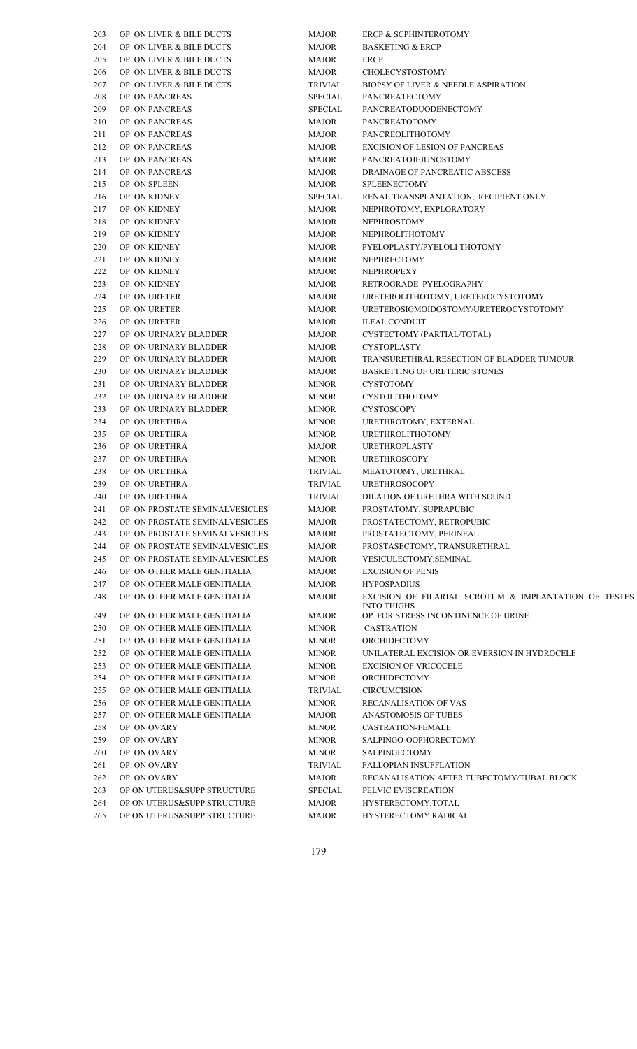| 203 | OP. ON LIVER & BILE DUCTS            | <b>MAJOR</b>   | ERCP & SCPHINTEROTOMY                    |
|-----|--------------------------------------|----------------|------------------------------------------|
| 204 | OP. ON LIVER & BILE DUCTS            | <b>MAJOR</b>   | <b>BASKETING &amp; ERCP</b>              |
| 205 | <b>OP. ON LIVER &amp; BILE DUCTS</b> | <b>MAJOR</b>   | ERCP                                     |
| 206 | OP. ON LIVER & BILE DUCTS            | MAJOR          | CHOLECYSTOSTOMY                          |
| 207 | OP. ON LIVER & BILE DUCTS            | <b>TRIVIAL</b> | <b>BIOPSY OF LIVER &amp; NEEDLE ASPI</b> |
| 208 | OP. ON PANCREAS                      | <b>SPECIAL</b> | <b>PANCREATECTOMY</b>                    |
| 209 | OP. ON PANCREAS                      | <b>SPECIAL</b> | PANCREATODUODENECTOMY                    |
| 210 | OP. ON PANCREAS                      | <b>MAJOR</b>   | <b>PANCREATOTOMY</b>                     |
| 211 | <b>OP. ON PANCREAS</b>               | <b>MAJOR</b>   | <b>PANCREOLITHOTOMY</b>                  |
| 212 | OP. ON PANCREAS                      | <b>MAJOR</b>   | <b>EXCISION OF LESION OF PANCRE</b>      |
| 213 | OP. ON PANCREAS                      | <b>MAJOR</b>   | PANCREATOJEJUNOSTOMY                     |
| 214 | OP. ON PANCREAS                      | <b>MAJOR</b>   | <b>DRAINAGE OF PANCREATIC ABSO</b>       |
| 215 | OP. ON SPLEEN                        | <b>MAJOR</b>   | <b>SPLEENECTOMY</b>                      |
| 216 | OP. ON KIDNEY                        | <b>SPECIAL</b> | RENAL TRANSPLANTATION, REC               |
| 217 | OP. ON KIDNEY                        | <b>MAJOR</b>   | NEPHROTOMY, EXPLORATORY                  |
| 218 | OP. ON KIDNEY                        | <b>MAJOR</b>   | <b>NEPHROSTOMY</b>                       |
| 219 | OP. ON KIDNEY                        | <b>MAJOR</b>   | <b>NEPHROLITHOTOMY</b>                   |
| 220 | OP. ON KIDNEY                        | <b>MAJOR</b>   | PYELOPLASTY/PYELOLI THOTOM               |
| 221 | OP. ON KIDNEY                        | <b>MAJOR</b>   | <b>NEPHRECTOMY</b>                       |
| 222 | OP. ON KIDNEY                        |                | <b>NEPHROPEXY</b>                        |
|     |                                      | <b>MAJOR</b>   |                                          |
| 223 | OP. ON KIDNEY                        | <b>MAJOR</b>   | RETROGRADE PYELOGRAPHY                   |
| 224 | OP. ON URETER                        | <b>MAJOR</b>   | URETEROLITHOTOMY, URETERO                |
| 225 | OP. ON URETER                        | <b>MAJOR</b>   | URETEROSIGMOIDOSTOMY/URET                |
| 226 | OP. ON URETER                        | <b>MAJOR</b>   | <b>ILEAL CONDUIT</b>                     |
| 227 | OP. ON URINARY BLADDER               | <b>MAJOR</b>   | CYSTECTOMY (PARTIAL/TOTAL)               |
| 228 | OP. ON URINARY BLADDER               | <b>MAJOR</b>   | <b>CYSTOPLASTY</b>                       |
| 229 | OP. ON URINARY BLADDER               | <b>MAJOR</b>   | TRANSURETHRAL RESECTION OF               |
| 230 | OP. ON URINARY BLADDER               | <b>MAJOR</b>   | <b>BASKETTING OF URETERIC STON</b>       |
| 231 | OP. ON URINARY BLADDER               | <b>MINOR</b>   | <b>CYSTOTOMY</b>                         |
| 232 | OP. ON URINARY BLADDER               | <b>MINOR</b>   | CYSTOLITHOTOMY                           |
| 233 | OP. ON URINARY BLADDER               | <b>MINOR</b>   | <b>CYSTOSCOPY</b>                        |
| 234 | OP. ON URETHRA                       | <b>MINOR</b>   | URETHROTOMY, EXTERNAL                    |
| 235 | OP. ON URETHRA                       | <b>MINOR</b>   | <b>URETHROLITHOTOMY</b>                  |
| 236 | OP. ON URETHRA                       | <b>MAJOR</b>   | <b>URETHROPLASTY</b>                     |
| 237 | OP. ON URETHRA                       | <b>MINOR</b>   | <b>URETHROSCOPY</b>                      |
| 238 | OP. ON URETHRA                       | TRIVIAL        | MEATOTOMY, URETHRAL                      |
| 239 | OP. ON URETHRA                       | <b>TRIVIAL</b> | <b>URETHROSOCOPY</b>                     |
| 240 | OP. ON URETHRA                       | TRIVIAL        | DILATION OF URETHRA WITH SO              |
| 241 | OP. ON PROSTATE SEMINALVESICLES      | <b>MAJOR</b>   | PROSTATOMY, SUPRAPUBIC                   |
| 242 | OP. ON PROSTATE SEMINALVESICLES      | <b>MAJOR</b>   | PROSTATECTOMY, RETROPUBIC                |
| 243 | OP. ON PROSTATE SEMINALVESICLES      | <b>MAJOR</b>   | PROSTATECTOMY, PERINEAL                  |
| 244 | OP. ON PROSTATE SEMINALVESICLES      | <b>MAJOR</b>   | PROSTASECTOMY, TRANSURETH                |
| 245 | OP. ON PROSTATE SEMINALVESICLES      | <b>MAJOR</b>   | VESICULECTOMY, SEMINAL                   |
| 246 | OP. ON OTHER MALE GENITIALIA         | <b>MAJOR</b>   | <b>EXCISION OF PENIS</b>                 |
| 247 | OP. ON OTHER MALE GENITIALIA         | <b>MAJOR</b>   | <b>HYPOSPADIUS</b>                       |
| 248 | OP. ON OTHER MALE GENITIALIA         | <b>MAJOR</b>   | EXCISION OF FILARIAL SCROTI              |
|     |                                      |                | <b>INTO THIGHS</b>                       |
| 249 | OP. ON OTHER MALE GENITIALIA         | <b>MAJOR</b>   | OP. FOR STRESS INCONTINENCE O            |
| 250 | OP. ON OTHER MALE GENITIALIA         | <b>MINOR</b>   | <b>CASTRATION</b>                        |
| 251 | OP. ON OTHER MALE GENITIALIA         | <b>MINOR</b>   | ORCHIDECTOMY                             |
| 252 | OP. ON OTHER MALE GENITIALIA         | <b>MINOR</b>   | UNILATERAL EXCISION OR EVER              |
| 253 | OP. ON OTHER MALE GENITIALIA         | <b>MINOR</b>   | <b>EXCISION OF VRICOCELE</b>             |
| 254 | OP. ON OTHER MALE GENITIALIA         | <b>MINOR</b>   | ORCHIDECTOMY                             |
| 255 | OP. ON OTHER MALE GENITIALIA         | <b>TRIVIAL</b> | <b>CIRCUMCISION</b>                      |
| 256 | OP. ON OTHER MALE GENITIALIA         | <b>MINOR</b>   | RECANALISATION OF VAS                    |
| 257 | OP. ON OTHER MALE GENITIALIA         | <b>MAJOR</b>   | ANASTOMOSIS OF TUBES                     |
| 258 | OP. ON OVARY                         | <b>MINOR</b>   | CASTRATION-FEMALE                        |
| 259 | OP. ON OVARY                         | <b>MINOR</b>   | SALPINGO-OOPHORECTOMY                    |
| 260 | OP. ON OVARY                         | <b>MINOR</b>   | <b>SALPINGECTOMY</b>                     |
| 261 | OP. ON OVARY                         | <b>TRIVIAL</b> | FALLOPIAN INSUFFLATION                   |
| 262 | OP. ON OVARY                         | <b>MAJOR</b>   | RECANALISATION AFTER TUBEC               |
| 263 | OP.ON UTERUS&SUPP.STRUCTURE          | <b>SPECIAL</b> | PELVIC EVISCREATION                      |
| 264 | OP.ON UTERUS&SUPP.STRUCTURE          | <b>MAJOR</b>   | HYSTERECTOMY, TOTAL                      |
| 265 | OP.ON UTERUS&SUPP.STRUCTURE          | <b>MAJOR</b>   | HYSTERECTOMY, RADICAL                    |
|     |                                      |                |                                          |

| 203<br>204<br>205<br>206<br>207<br>208<br>209                                                  | OP. ON LIVER & BILE DUCTS<br>OP. ON LIVER & BILE DUCTS<br>OP. ON LIVER & BILE DUCTS<br>OP. ON LIVER & BILE DUCTS<br>OP. ON LIVER & BILE DUCTS<br>OP. ON PANCREAS<br><b>OP. ON PANCREAS</b><br><b>OP. ON PANCREAS</b><br><b>OP. ON PANCREAS</b><br><b>OP. ON PANCREAS</b><br><b>OP. ON PANCREAS</b><br><b>OP. ON PANCREAS</b><br>OP. ON SPLEEN<br>OP. ON KIDNEY<br>OP. ON KIDNEY<br>OP. ON KIDNEY<br>OP. ON KIDNEY<br>OP. ON KIDNEY<br>OP. ON KIDNEY<br>OP. ON KIDNEY<br>OP. ON KIDNEY | <b>MAJOR</b><br><b>MAJOR</b><br><b>MAJOR</b><br><b>MAJOR</b><br><b>TRIVIAL</b><br><b>SPECIAL</b><br><b>SPECIAL</b><br><b>MAJOR</b><br><b>MAJOR</b><br>MAJOR<br><b>MAJOR</b><br>MAJOR<br><b>MAJOR</b><br><b>SPECIAL</b><br><b>MAJOR</b><br><b>MAJOR</b><br><b>MAJOR</b><br><b>MAJOR</b><br><b>MAJOR</b> | <b>ERCP &amp; SCPHINTEROTOMY</b><br><b>BASKETING &amp; ERCP</b><br><b>ERCP</b><br>CHOLECYSTOSTOMY<br>BIOPSY OF LIVER & NEEDLE ASPIRATION<br><b>PANCREATECTOMY</b><br>PANCREATODUODENECTOMY<br><b>PANCREATOTOMY</b><br>PANCREOLITHOTOMY<br><b>EXCISION OF LESION OF PANCREAS</b><br>PANCREATOJEJUNOSTOMY<br>DRAINAGE OF PANCREATIC ABSCESS<br><b>SPLEENECTOMY</b><br>RENAL TRANSPLANTATION, RECIPIENT ONLY<br>NEPHROTOMY, EXPLORATORY<br><b>NEPHROSTOMY</b><br><b>NEPHROLITHOTOMY</b><br>PYELOPLASTY/PYELOLI THOTOMY |
|------------------------------------------------------------------------------------------------|---------------------------------------------------------------------------------------------------------------------------------------------------------------------------------------------------------------------------------------------------------------------------------------------------------------------------------------------------------------------------------------------------------------------------------------------------------------------------------------|--------------------------------------------------------------------------------------------------------------------------------------------------------------------------------------------------------------------------------------------------------------------------------------------------------|---------------------------------------------------------------------------------------------------------------------------------------------------------------------------------------------------------------------------------------------------------------------------------------------------------------------------------------------------------------------------------------------------------------------------------------------------------------------------------------------------------------------|
|                                                                                                |                                                                                                                                                                                                                                                                                                                                                                                                                                                                                       |                                                                                                                                                                                                                                                                                                        |                                                                                                                                                                                                                                                                                                                                                                                                                                                                                                                     |
|                                                                                                |                                                                                                                                                                                                                                                                                                                                                                                                                                                                                       |                                                                                                                                                                                                                                                                                                        |                                                                                                                                                                                                                                                                                                                                                                                                                                                                                                                     |
|                                                                                                |                                                                                                                                                                                                                                                                                                                                                                                                                                                                                       |                                                                                                                                                                                                                                                                                                        |                                                                                                                                                                                                                                                                                                                                                                                                                                                                                                                     |
|                                                                                                |                                                                                                                                                                                                                                                                                                                                                                                                                                                                                       |                                                                                                                                                                                                                                                                                                        |                                                                                                                                                                                                                                                                                                                                                                                                                                                                                                                     |
|                                                                                                |                                                                                                                                                                                                                                                                                                                                                                                                                                                                                       |                                                                                                                                                                                                                                                                                                        |                                                                                                                                                                                                                                                                                                                                                                                                                                                                                                                     |
| 210<br>211<br>212<br>213<br>214<br>215<br>216<br>217<br>218<br>219<br>220<br>221<br>222<br>223 |                                                                                                                                                                                                                                                                                                                                                                                                                                                                                       |                                                                                                                                                                                                                                                                                                        |                                                                                                                                                                                                                                                                                                                                                                                                                                                                                                                     |
|                                                                                                |                                                                                                                                                                                                                                                                                                                                                                                                                                                                                       |                                                                                                                                                                                                                                                                                                        |                                                                                                                                                                                                                                                                                                                                                                                                                                                                                                                     |
|                                                                                                |                                                                                                                                                                                                                                                                                                                                                                                                                                                                                       |                                                                                                                                                                                                                                                                                                        |                                                                                                                                                                                                                                                                                                                                                                                                                                                                                                                     |
|                                                                                                |                                                                                                                                                                                                                                                                                                                                                                                                                                                                                       |                                                                                                                                                                                                                                                                                                        |                                                                                                                                                                                                                                                                                                                                                                                                                                                                                                                     |
|                                                                                                |                                                                                                                                                                                                                                                                                                                                                                                                                                                                                       |                                                                                                                                                                                                                                                                                                        |                                                                                                                                                                                                                                                                                                                                                                                                                                                                                                                     |
|                                                                                                |                                                                                                                                                                                                                                                                                                                                                                                                                                                                                       |                                                                                                                                                                                                                                                                                                        |                                                                                                                                                                                                                                                                                                                                                                                                                                                                                                                     |
|                                                                                                |                                                                                                                                                                                                                                                                                                                                                                                                                                                                                       |                                                                                                                                                                                                                                                                                                        |                                                                                                                                                                                                                                                                                                                                                                                                                                                                                                                     |
|                                                                                                |                                                                                                                                                                                                                                                                                                                                                                                                                                                                                       |                                                                                                                                                                                                                                                                                                        |                                                                                                                                                                                                                                                                                                                                                                                                                                                                                                                     |
|                                                                                                |                                                                                                                                                                                                                                                                                                                                                                                                                                                                                       |                                                                                                                                                                                                                                                                                                        |                                                                                                                                                                                                                                                                                                                                                                                                                                                                                                                     |
|                                                                                                |                                                                                                                                                                                                                                                                                                                                                                                                                                                                                       |                                                                                                                                                                                                                                                                                                        |                                                                                                                                                                                                                                                                                                                                                                                                                                                                                                                     |
|                                                                                                |                                                                                                                                                                                                                                                                                                                                                                                                                                                                                       |                                                                                                                                                                                                                                                                                                        |                                                                                                                                                                                                                                                                                                                                                                                                                                                                                                                     |
|                                                                                                |                                                                                                                                                                                                                                                                                                                                                                                                                                                                                       |                                                                                                                                                                                                                                                                                                        |                                                                                                                                                                                                                                                                                                                                                                                                                                                                                                                     |
|                                                                                                |                                                                                                                                                                                                                                                                                                                                                                                                                                                                                       |                                                                                                                                                                                                                                                                                                        | NEPHRECTOMY                                                                                                                                                                                                                                                                                                                                                                                                                                                                                                         |
|                                                                                                |                                                                                                                                                                                                                                                                                                                                                                                                                                                                                       | <b>MAJOR</b>                                                                                                                                                                                                                                                                                           | <b>NEPHROPEXY</b>                                                                                                                                                                                                                                                                                                                                                                                                                                                                                                   |
|                                                                                                |                                                                                                                                                                                                                                                                                                                                                                                                                                                                                       | MAJOR                                                                                                                                                                                                                                                                                                  | RETROGRADE PYELOGRAPHY                                                                                                                                                                                                                                                                                                                                                                                                                                                                                              |
| 224                                                                                            | <b>OP. ON URETER</b>                                                                                                                                                                                                                                                                                                                                                                                                                                                                  | <b>MAJOR</b>                                                                                                                                                                                                                                                                                           | URETEROLITHOTOMY, URETEROCYSTOTOMY                                                                                                                                                                                                                                                                                                                                                                                                                                                                                  |
| 225                                                                                            | OP. ON URETER                                                                                                                                                                                                                                                                                                                                                                                                                                                                         | MAJOR                                                                                                                                                                                                                                                                                                  | URETEROSIGMOIDOSTOMY/URETEROCYSTOTOMY                                                                                                                                                                                                                                                                                                                                                                                                                                                                               |
| 226                                                                                            | OP. ON URETER                                                                                                                                                                                                                                                                                                                                                                                                                                                                         | <b>MAJOR</b>                                                                                                                                                                                                                                                                                           | <b>ILEAL CONDUIT</b>                                                                                                                                                                                                                                                                                                                                                                                                                                                                                                |
| 227                                                                                            | OP. ON URINARY BLADDER                                                                                                                                                                                                                                                                                                                                                                                                                                                                | MAJOR                                                                                                                                                                                                                                                                                                  | CYSTECTOMY (PARTIAL/TOTAL)                                                                                                                                                                                                                                                                                                                                                                                                                                                                                          |
| 228                                                                                            | OP. ON URINARY BLADDER                                                                                                                                                                                                                                                                                                                                                                                                                                                                | MAJOR                                                                                                                                                                                                                                                                                                  | <b>CYSTOPLASTY</b>                                                                                                                                                                                                                                                                                                                                                                                                                                                                                                  |
| 229                                                                                            | OP. ON URINARY BLADDER                                                                                                                                                                                                                                                                                                                                                                                                                                                                | MAJOR                                                                                                                                                                                                                                                                                                  | TRANSURETHRAL RESECTION OF BLADDER TUMOUR                                                                                                                                                                                                                                                                                                                                                                                                                                                                           |
| 230                                                                                            | OP. ON URINARY BLADDER                                                                                                                                                                                                                                                                                                                                                                                                                                                                | MAJOR                                                                                                                                                                                                                                                                                                  | <b>BASKETTING OF URETERIC STONES</b>                                                                                                                                                                                                                                                                                                                                                                                                                                                                                |
| 231                                                                                            | OP. ON URINARY BLADDER                                                                                                                                                                                                                                                                                                                                                                                                                                                                | <b>MINOR</b>                                                                                                                                                                                                                                                                                           | <b>CYSTOTOMY</b>                                                                                                                                                                                                                                                                                                                                                                                                                                                                                                    |
| 232                                                                                            | OP. ON URINARY BLADDER                                                                                                                                                                                                                                                                                                                                                                                                                                                                | <b>MINOR</b>                                                                                                                                                                                                                                                                                           | CYSTOLITHOTOMY                                                                                                                                                                                                                                                                                                                                                                                                                                                                                                      |
| 233                                                                                            | OP. ON URINARY BLADDER                                                                                                                                                                                                                                                                                                                                                                                                                                                                | <b>MINOR</b>                                                                                                                                                                                                                                                                                           | <b>CYSTOSCOPY</b>                                                                                                                                                                                                                                                                                                                                                                                                                                                                                                   |
| 234                                                                                            | OP. ON URETHRA                                                                                                                                                                                                                                                                                                                                                                                                                                                                        | <b>MINOR</b>                                                                                                                                                                                                                                                                                           | URETHROTOMY, EXTERNAL                                                                                                                                                                                                                                                                                                                                                                                                                                                                                               |
| 235                                                                                            | OP. ON URETHRA                                                                                                                                                                                                                                                                                                                                                                                                                                                                        | <b>MINOR</b>                                                                                                                                                                                                                                                                                           | <b>URETHROLITHOTOMY</b>                                                                                                                                                                                                                                                                                                                                                                                                                                                                                             |
| 236                                                                                            | OP. ON URETHRA                                                                                                                                                                                                                                                                                                                                                                                                                                                                        | MAJOR                                                                                                                                                                                                                                                                                                  | <b>URETHROPLASTY</b>                                                                                                                                                                                                                                                                                                                                                                                                                                                                                                |
| 237                                                                                            | OP. ON URETHRA                                                                                                                                                                                                                                                                                                                                                                                                                                                                        | <b>MINOR</b>                                                                                                                                                                                                                                                                                           | <b>URETHROSCOPY</b>                                                                                                                                                                                                                                                                                                                                                                                                                                                                                                 |
| 238                                                                                            | OP. ON URETHRA                                                                                                                                                                                                                                                                                                                                                                                                                                                                        | <b>TRIVIAL</b>                                                                                                                                                                                                                                                                                         | MEATOTOMY, URETHRAL                                                                                                                                                                                                                                                                                                                                                                                                                                                                                                 |
| 239                                                                                            | OP. ON URETHRA                                                                                                                                                                                                                                                                                                                                                                                                                                                                        | <b>TRIVIAL</b>                                                                                                                                                                                                                                                                                         | <b>URETHROSOCOPY</b>                                                                                                                                                                                                                                                                                                                                                                                                                                                                                                |
| 240                                                                                            | OP. ON URETHRA                                                                                                                                                                                                                                                                                                                                                                                                                                                                        | TRIVIAL                                                                                                                                                                                                                                                                                                | DILATION OF URETHRA WITH SOUND                                                                                                                                                                                                                                                                                                                                                                                                                                                                                      |
| 241                                                                                            | OP. ON PROSTATE SEMINALVESICLES                                                                                                                                                                                                                                                                                                                                                                                                                                                       | <b>MAJOR</b>                                                                                                                                                                                                                                                                                           | PROSTATOMY, SUPRAPUBIC                                                                                                                                                                                                                                                                                                                                                                                                                                                                                              |
| 242                                                                                            | OP. ON PROSTATE SEMINALVESICLES                                                                                                                                                                                                                                                                                                                                                                                                                                                       | <b>MAJOR</b>                                                                                                                                                                                                                                                                                           | PROSTATECTOMY, RETROPUBIC                                                                                                                                                                                                                                                                                                                                                                                                                                                                                           |
| 243                                                                                            | OP. ON PROSTATE SEMINALVESICLES                                                                                                                                                                                                                                                                                                                                                                                                                                                       | <b>MAJOR</b>                                                                                                                                                                                                                                                                                           | PROSTATECTOMY, PERINEAL                                                                                                                                                                                                                                                                                                                                                                                                                                                                                             |
| 244                                                                                            | OP. ON PROSTATE SEMINALVESICLES                                                                                                                                                                                                                                                                                                                                                                                                                                                       | <b>MAJOR</b>                                                                                                                                                                                                                                                                                           | PROSTASECTOMY, TRANSURETHRAL                                                                                                                                                                                                                                                                                                                                                                                                                                                                                        |
| 245                                                                                            | OP. ON PROSTATE SEMINALVESICLES                                                                                                                                                                                                                                                                                                                                                                                                                                                       | <b>MAJOR</b>                                                                                                                                                                                                                                                                                           | VESICULECTOMY, SEMINAL                                                                                                                                                                                                                                                                                                                                                                                                                                                                                              |
| 246                                                                                            | OP. ON OTHER MALE GENITIALIA                                                                                                                                                                                                                                                                                                                                                                                                                                                          | <b>MAJOR</b>                                                                                                                                                                                                                                                                                           | <b>EXCISION OF PENIS</b>                                                                                                                                                                                                                                                                                                                                                                                                                                                                                            |
| 247                                                                                            | OP. ON OTHER MALE GENITIALIA                                                                                                                                                                                                                                                                                                                                                                                                                                                          | <b>MAJOR</b>                                                                                                                                                                                                                                                                                           | <b>HYPOSPADIUS</b>                                                                                                                                                                                                                                                                                                                                                                                                                                                                                                  |
| 248                                                                                            | OP. ON OTHER MALE GENITIALIA                                                                                                                                                                                                                                                                                                                                                                                                                                                          | <b>MAJOR</b>                                                                                                                                                                                                                                                                                           | EXCISION OF FILARIAL SCROTUM & IMPLANTATION OF TESTES<br><b>INTO THIGHS</b>                                                                                                                                                                                                                                                                                                                                                                                                                                         |
| 249                                                                                            | OP. ON OTHER MALE GENITIALIA                                                                                                                                                                                                                                                                                                                                                                                                                                                          | MAJOR                                                                                                                                                                                                                                                                                                  | OP. FOR STRESS INCONTINENCE OF URINE                                                                                                                                                                                                                                                                                                                                                                                                                                                                                |
| 250                                                                                            | OP. ON OTHER MALE GENITIALIA                                                                                                                                                                                                                                                                                                                                                                                                                                                          | <b>MINOR</b>                                                                                                                                                                                                                                                                                           | <b>CASTRATION</b>                                                                                                                                                                                                                                                                                                                                                                                                                                                                                                   |
| 251                                                                                            | OP. ON OTHER MALE GENITIALIA                                                                                                                                                                                                                                                                                                                                                                                                                                                          | <b>MINOR</b>                                                                                                                                                                                                                                                                                           | ORCHIDECTOMY                                                                                                                                                                                                                                                                                                                                                                                                                                                                                                        |
| 252                                                                                            | OP. ON OTHER MALE GENITIALIA                                                                                                                                                                                                                                                                                                                                                                                                                                                          | <b>MINOR</b>                                                                                                                                                                                                                                                                                           | UNILATERAL EXCISION OR EVERSION IN HYDROCELE                                                                                                                                                                                                                                                                                                                                                                                                                                                                        |
| 253                                                                                            | OP. ON OTHER MALE GENITIALIA                                                                                                                                                                                                                                                                                                                                                                                                                                                          | <b>MINOR</b>                                                                                                                                                                                                                                                                                           | <b>EXCISION OF VRICOCELE</b>                                                                                                                                                                                                                                                                                                                                                                                                                                                                                        |
| 254                                                                                            | OP. ON OTHER MALE GENITIALIA                                                                                                                                                                                                                                                                                                                                                                                                                                                          | <b>MINOR</b>                                                                                                                                                                                                                                                                                           | ORCHIDECTOMY                                                                                                                                                                                                                                                                                                                                                                                                                                                                                                        |
| 255                                                                                            | OP. ON OTHER MALE GENITIALIA                                                                                                                                                                                                                                                                                                                                                                                                                                                          | <b>TRIVIAL</b>                                                                                                                                                                                                                                                                                         | <b>CIRCUMCISION</b>                                                                                                                                                                                                                                                                                                                                                                                                                                                                                                 |
| 256                                                                                            | OP. ON OTHER MALE GENITIALIA                                                                                                                                                                                                                                                                                                                                                                                                                                                          | <b>MINOR</b>                                                                                                                                                                                                                                                                                           | RECANALISATION OF VAS                                                                                                                                                                                                                                                                                                                                                                                                                                                                                               |
| 257                                                                                            | OP. ON OTHER MALE GENITIALIA                                                                                                                                                                                                                                                                                                                                                                                                                                                          | <b>MAJOR</b>                                                                                                                                                                                                                                                                                           | ANASTOMOSIS OF TUBES                                                                                                                                                                                                                                                                                                                                                                                                                                                                                                |
| 258                                                                                            | OP. ON OVARY                                                                                                                                                                                                                                                                                                                                                                                                                                                                          | <b>MINOR</b>                                                                                                                                                                                                                                                                                           | <b>CASTRATION-FEMALE</b>                                                                                                                                                                                                                                                                                                                                                                                                                                                                                            |
| 259                                                                                            | OP. ON OVARY                                                                                                                                                                                                                                                                                                                                                                                                                                                                          | <b>MINOR</b>                                                                                                                                                                                                                                                                                           | SALPINGO-OOPHORECTOMY                                                                                                                                                                                                                                                                                                                                                                                                                                                                                               |
| 260                                                                                            | OP. ON OVARY                                                                                                                                                                                                                                                                                                                                                                                                                                                                          | <b>MINOR</b>                                                                                                                                                                                                                                                                                           | <b>SALPINGECTOMY</b>                                                                                                                                                                                                                                                                                                                                                                                                                                                                                                |
| 261                                                                                            | OP. ON OVARY                                                                                                                                                                                                                                                                                                                                                                                                                                                                          | <b>TRIVIAL</b>                                                                                                                                                                                                                                                                                         | <b>FALLOPIAN INSUFFLATION</b>                                                                                                                                                                                                                                                                                                                                                                                                                                                                                       |
| 262                                                                                            | OP. ON OVARY                                                                                                                                                                                                                                                                                                                                                                                                                                                                          | MAJOR                                                                                                                                                                                                                                                                                                  | RECANALISATION AFTER TUBECTOMY/TUBAL BLOCK                                                                                                                                                                                                                                                                                                                                                                                                                                                                          |
| 263                                                                                            | OP.ON UTERUS&SUPP.STRUCTURE                                                                                                                                                                                                                                                                                                                                                                                                                                                           | <b>SPECIAL</b>                                                                                                                                                                                                                                                                                         | PELVIC EVISCREATION                                                                                                                                                                                                                                                                                                                                                                                                                                                                                                 |
| 264                                                                                            | OP.ON UTERUS&SUPP.STRUCTURE                                                                                                                                                                                                                                                                                                                                                                                                                                                           | MAJOR                                                                                                                                                                                                                                                                                                  | HYSTERECTOMY, TOTAL                                                                                                                                                                                                                                                                                                                                                                                                                                                                                                 |
| 265                                                                                            | OP.ON UTERUS&SUPP.STRUCTURE                                                                                                                                                                                                                                                                                                                                                                                                                                                           | MAJOR                                                                                                                                                                                                                                                                                                  | HYSTERECTOMY, RADICAL                                                                                                                                                                                                                                                                                                                                                                                                                                                                                               |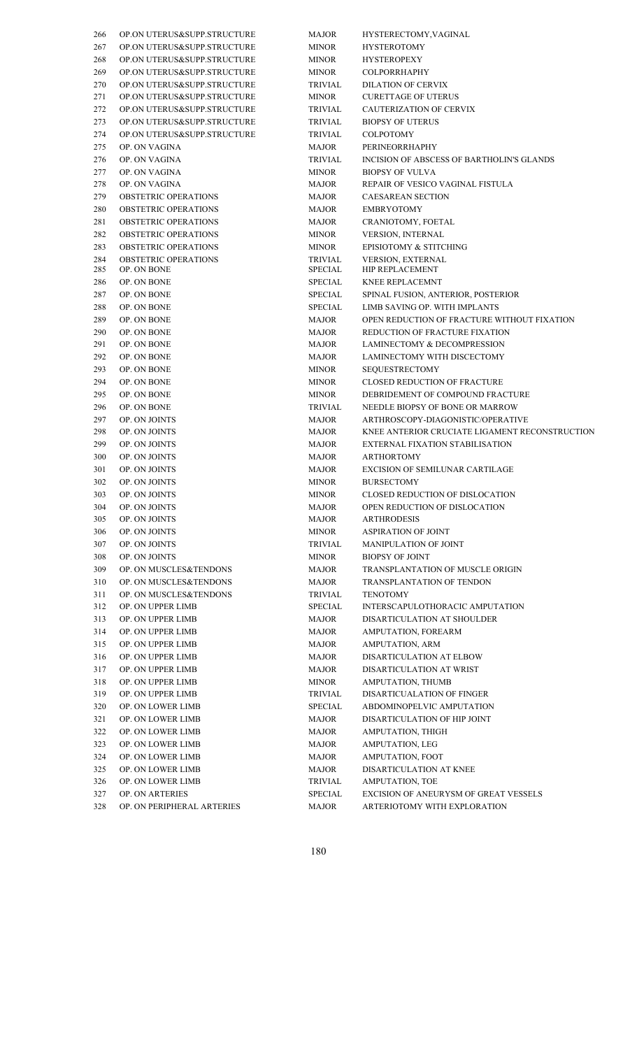| 266 | OP.ON UTERUS&SUPP.STRUCTURE                      | MAJOR          | HYSTERECTOMY, VAGINAL                                  |
|-----|--------------------------------------------------|----------------|--------------------------------------------------------|
| 267 | OP.ON UTERUS&SUPP.STRUCTURE                      | <b>MINOR</b>   | <b>HYSTEROTOMY</b>                                     |
| 268 | OP.ON UTERUS&SUPP.STRUCTURE                      | <b>MINOR</b>   | <b>HYSTEROPEXY</b>                                     |
| 269 | OP.ON UTERUS&SUPP.STRUCTURE                      | <b>MINOR</b>   | <b>COLPORRHAPHY</b>                                    |
| 270 | OP.ON UTERUS&SUPP.STRUCTURE                      | <b>TRIVIAL</b> | <b>DILATION OF CERVIX</b>                              |
| 271 | OP.ON UTERUS&SUPP.STRUCTURE                      | <b>MINOR</b>   | <b>CURETTAGE OF UTERUS</b>                             |
| 272 | OP.ON UTERUS&SUPP.STRUCTURE                      | <b>TRIVIAL</b> | <b>CAUTERIZATION OF CERVI</b>                          |
| 273 | OP.ON UTERUS&SUPP.STRUCTURE                      | <b>TRIVIAL</b> | <b>BIOPSY OF UTERUS</b>                                |
| 274 | OP.ON UTERUS&SUPP.STRUCTURE                      | <b>TRIVIAL</b> | <b>COLPOTOMY</b>                                       |
| 275 | OP. ON VAGINA                                    | <b>MAJOR</b>   | <b>PERINEORRHAPHY</b>                                  |
| 276 | OP. ON VAGINA                                    | <b>TRIVIAL</b> | <b>INCISION OF ABSCESS OF B</b>                        |
| 277 | OP. ON VAGINA                                    | <b>MINOR</b>   | <b>BIOPSY OF VULVA</b>                                 |
| 278 | OP. ON VAGINA                                    | <b>MAJOR</b>   | REPAIR OF VESICO VAGINA                                |
| 279 | <b>OBSTETRIC OPERATIONS</b>                      | MAJOR          | <b>CAESAREAN SECTION</b>                               |
| 280 | <b>OBSTETRIC OPERATIONS</b>                      | <b>MAJOR</b>   | <b>EMBRYOTOMY</b>                                      |
| 281 | <b>OBSTETRIC OPERATIONS</b>                      | MAJOR          | CRANIOTOMY, FOETAL                                     |
| 282 | <b>OBSTETRIC OPERATIONS</b>                      | <b>MINOR</b>   | VERSION, INTERNAL                                      |
| 283 | <b>OBSTETRIC OPERATIONS</b>                      | <b>MINOR</b>   | <b>EPISIOTOMY &amp; STITCHING</b>                      |
| 284 | <b>OBSTETRIC OPERATIONS</b>                      | TRIVIAL        | <b>VERSION, EXTERNAL</b>                               |
| 285 | OP. ON BONE                                      | <b>SPECIAL</b> | HIP REPLACEMENT                                        |
| 286 | OP. ON BONE                                      | <b>SPECIAL</b> | KNEE REPLACEMNT                                        |
| 287 | OP. ON BONE                                      | <b>SPECIAL</b> | SPINAL FUSION, ANTERIOR                                |
| 288 | OP. ON BONE                                      | <b>SPECIAL</b> | LIMB SAVING OP. WITH IMI                               |
| 289 | OP. ON BONE                                      | <b>MAJOR</b>   | OPEN REDUCTION OF FRAC                                 |
| 290 | OP. ON BONE                                      | <b>MAJOR</b>   | REDUCTION OF FRACTURE                                  |
| 291 | OP. ON BONE                                      | <b>MAJOR</b>   | <b>LAMINECTOMY &amp; DECOMP</b>                        |
| 292 | OP. ON BONE                                      | <b>MAJOR</b>   | <b>LAMINECTOMY WITH DISC</b>                           |
| 293 | OP. ON BONE                                      | <b>MINOR</b>   | <b>SEQUESTRECTOMY</b>                                  |
| 294 | OP. ON BONE                                      | <b>MINOR</b>   | <b>CLOSED REDUCTION OF FR</b>                          |
| 295 | OP. ON BONE                                      | <b>MINOR</b>   | DEBRIDEMENT OF COMPOU                                  |
| 296 | OP. ON BONE                                      | <b>TRIVIAL</b> | NEEDLE BIOPSY OF BONE O                                |
| 297 | OP. ON JOINTS                                    | <b>MAJOR</b>   | ARTHROSCOPY-DIAGONIST                                  |
| 298 | OP. ON JOINTS                                    | <b>MAJOR</b>   | KNEE ANTERIOR CRUCIATI                                 |
| 299 | OP. ON JOINTS                                    | MAJOR          | <b>EXTERNAL FIXATION STAE</b>                          |
| 300 | OP. ON JOINTS                                    | MAJOR          | <b>ARTHORTOMY</b>                                      |
| 301 | OP. ON JOINTS                                    | MAJOR          | <b>EXCISION OF SEMILUNAR O</b>                         |
| 302 | OP. ON JOINTS                                    | $\mbox{MINOR}$ | <b>BURSECTOMY</b>                                      |
| 303 | OP. ON JOINTS                                    | <b>MINOR</b>   | CLOSED REDUCTION OF DI                                 |
| 304 | OP. ON JOINTS                                    | <b>MAJOR</b>   | OPEN REDUCTION OF DISLO                                |
| 305 | OP. ON JOINTS                                    | <b>MAJOR</b>   | <b>ARTHRODESIS</b>                                     |
| 306 | OP. ON JOINTS                                    | <b>MINOR</b>   | <b>ASPIRATION OF JOINT</b>                             |
| 307 | OP. ON JOINTS                                    | <b>TRIVIAL</b> | MANIPULATION OF JOINT                                  |
|     |                                                  | <b>MINOR</b>   | <b>BIOPSY OF JOINT</b>                                 |
| 308 | OP. ON JOINTS                                    |                |                                                        |
| 309 | OP. ON MUSCLES&TENDONS<br>OP. ON MUSCLES&TENDONS | MAJOR          | TRANSPLANTATION OF MU<br><b>TRANSPLANTATION OF TEI</b> |
| 310 |                                                  | MAJOR          |                                                        |
| 311 | OP. ON MUSCLES&TENDONS                           | <b>TRIVIAL</b> | <b>TENOTOMY</b>                                        |
| 312 | OP. ON UPPER LIMB                                | <b>SPECIAL</b> | <b>INTERSCAPULOTHORACIC</b>                            |
| 313 | OP. ON UPPER LIMB                                | MAJOR          | DISARTICULATION AT SHO                                 |
| 314 | OP. ON UPPER LIMB                                | MAJOR          | AMPUTATION, FOREARM                                    |
| 315 | OP. ON UPPER LIMB                                | <b>MAJOR</b>   | AMPUTATION, ARM                                        |
| 316 | OP. ON UPPER LIMB                                | <b>MAJOR</b>   | DISARTICULATION AT ELB                                 |
| 317 | OP. ON UPPER LIMB                                | MAJOR          | DISARTICULATION AT WRI                                 |
| 318 | OP. ON UPPER LIMB                                | <b>MINOR</b>   | AMPUTATION, THUMB                                      |
| 319 | OP. ON UPPER LIMB                                | TRIVIAL        | DISARTICUALATION OF FIN                                |
| 320 | OP. ON LOWER LIMB                                | <b>SPECIAL</b> | ABDOMINOPELVIC AMPUT.                                  |
| 321 | OP. ON LOWER LIMB                                | MAJOR          | DISARTICULATION OF HIP.                                |
| 322 | OP. ON LOWER LIMB                                | <b>MAJOR</b>   | AMPUTATION, THIGH                                      |
| 323 | OP. ON LOWER LIMB                                | <b>MAJOR</b>   | AMPUTATION, LEG                                        |
| 324 | OP. ON LOWER LIMB                                | <b>MAJOR</b>   | AMPUTATION, FOOT                                       |
| 325 | OP. ON LOWER LIMB                                | MAJOR          | DISARTICULATION AT KNE                                 |
| 326 | OP. ON LOWER LIMB                                | TRIVIAL        | AMPUTATION, TOE                                        |
| 327 | OP. ON ARTERIES                                  | <b>SPECIAL</b> | <b>EXCISION OF ANEURYSM C</b>                          |
| 328 | OP. ON PERIPHERAL ARTERIES                       | MAJOR          | ARTERIOTOMY WITH EXPL                                  |

| 266 | OP.ON UTERUS&SUPP.STRUCTURE       | <b>MAJOR</b>   | HYSTERECTOMY, VAGINAL                          |
|-----|-----------------------------------|----------------|------------------------------------------------|
| 267 | OP.ON UTERUS&SUPP.STRUCTURE       | <b>MINOR</b>   | <b>HYSTEROTOMY</b>                             |
| 268 | OP.ON UTERUS&SUPP.STRUCTURE       | <b>MINOR</b>   | <b>HYSTEROPEXY</b>                             |
| 269 | OP.ON UTERUS&SUPP.STRUCTURE       | <b>MINOR</b>   | <b>COLPORRHAPHY</b>                            |
| 270 | OP.ON UTERUS&SUPP.STRUCTURE       | <b>TRIVIAL</b> | DILATION OF CERVIX                             |
| 271 | OP.ON UTERUS&SUPP.STRUCTURE       | <b>MINOR</b>   | <b>CURETTAGE OF UTERUS</b>                     |
| 272 | OP.ON UTERUS&SUPP.STRUCTURE       | <b>TRIVIAL</b> | <b>CAUTERIZATION OF CERVIX</b>                 |
| 273 | OP.ON UTERUS&SUPP.STRUCTURE       | <b>TRIVIAL</b> | <b>BIOPSY OF UTERUS</b>                        |
| 274 | OP.ON UTERUS&SUPP.STRUCTURE       | <b>TRIVIAL</b> | <b>COLPOTOMY</b>                               |
| 275 | OP. ON VAGINA                     | <b>MAJOR</b>   | PERINEORRHAPHY                                 |
| 276 | OP. ON VAGINA                     | <b>TRIVIAL</b> | INCISION OF ABSCESS OF BARTHOLIN'S GLANDS      |
| 277 | OP. ON VAGINA                     | <b>MINOR</b>   | <b>BIOPSY OF VULVA</b>                         |
| 278 | OP. ON VAGINA                     | <b>MAJOR</b>   | REPAIR OF VESICO VAGINAL FISTULA               |
| 279 | OBSTETRIC OPERATIONS              | <b>MAJOR</b>   | <b>CAESAREAN SECTION</b>                       |
| 280 | <b>OBSTETRIC OPERATIONS</b>       | <b>MAJOR</b>   | <b>EMBRYOTOMY</b>                              |
| 281 | OBSTETRIC OPERATIONS              | <b>MAJOR</b>   | CRANIOTOMY, FOETAL                             |
| 282 | <b>OBSTETRIC OPERATIONS</b>       | <b>MINOR</b>   | <b>VERSION, INTERNAL</b>                       |
| 283 | <b>OBSTETRIC OPERATIONS</b>       | <b>MINOR</b>   | <b>EPISIOTOMY &amp; STITCHING</b>              |
| 284 | <b>OBSTETRIC OPERATIONS</b>       | <b>TRIVIAL</b> | <b>VERSION, EXTERNAL</b>                       |
| 285 | OP. ON BONE                       | <b>SPECIAL</b> | <b>HIP REPLACEMENT</b>                         |
| 286 | OP. ON BONE                       | SPECIAL        | <b>KNEE REPLACEMNT</b>                         |
| 287 | OP. ON BONE                       | <b>SPECIAL</b> | SPINAL FUSION, ANTERIOR, POSTERIOR             |
| 288 | OP. ON BONE                       | <b>SPECIAL</b> | LIMB SAVING OP. WITH IMPLANTS                  |
| 289 | OP. ON BONE                       | <b>MAJOR</b>   | OPEN REDUCTION OF FRACTURE WITHOUT FIXATION    |
| 290 | OP. ON BONE                       | <b>MAJOR</b>   | REDUCTION OF FRACTURE FIXATION                 |
| 291 | OP. ON BONE                       | <b>MAJOR</b>   | LAMINECTOMY & DECOMPRESSION                    |
| 292 | OP. ON BONE                       | <b>MAJOR</b>   | LAMINECTOMY WITH DISCECTOMY                    |
| 293 | OP. ON BONE                       | <b>MINOR</b>   | <b>SEQUESTRECTOMY</b>                          |
| 294 | OP. ON BONE                       | <b>MINOR</b>   | <b>CLOSED REDUCTION OF FRACTURE</b>            |
| 295 | OP. ON BONE                       | <b>MINOR</b>   | DEBRIDEMENT OF COMPOUND FRACTURE               |
| 296 | OP. ON BONE                       | <b>TRIVIAL</b> | NEEDLE BIOPSY OF BONE OR MARROW                |
| 297 | OP. ON JOINTS                     | <b>MAJOR</b>   | ARTHROSCOPY-DIAGONISTIC/OPERATIVE              |
| 298 | OP. ON JOINTS                     | $\rm MAJOR$    | KNEE ANTERIOR CRUCIATE LIGAMENT RECONSTRUCTION |
| 299 | OP. ON JOINTS                     | <b>MAJOR</b>   | EXTERNAL FIXATION STABILISATION                |
| 300 | OP. ON JOINTS                     | <b>MAJOR</b>   | <b>ARTHORTOMY</b>                              |
| 301 | OP. ON JOINTS                     | <b>MAJOR</b>   | <b>EXCISION OF SEMILUNAR CARTILAGE</b>         |
| 302 | OP. ON JOINTS                     | <b>MINOR</b>   | <b>BURSECTOMY</b>                              |
| 303 | OP. ON JOINTS                     | <b>MINOR</b>   | CLOSED REDUCTION OF DISLOCATION                |
| 304 | OP. ON JOINTS                     | <b>MAJOR</b>   | OPEN REDUCTION OF DISLOCATION                  |
| 305 | OP. ON JOINTS                     | <b>MAJOR</b>   | <b>ARTHRODESIS</b>                             |
| 306 | OP. ON JOINTS                     | <b>MINOR</b>   | <b>ASPIRATION OF JOINT</b>                     |
| 307 | OP. ON JOINTS                     | TRIVIAL        | <b>MANIPULATION OF JOINT</b>                   |
| 308 | OP. ON JOINTS                     | <b>MINOR</b>   | <b>BIOPSY OF JOINT</b>                         |
| 309 | <b>OP. ON MUSCLES&amp;TENDONS</b> | <b>MAJOR</b>   | TRANSPLANTATION OF MUSCLE ORIGIN               |
| 310 | OP. ON MUSCLES&TENDONS            | <b>MAJOR</b>   | <b>TRANSPLANTATION OF TENDON</b>               |
| 311 | OP. ON MUSCLES&TENDONS            | TRIVIAL        | <b>TENOTOMY</b>                                |
| 312 | OP. ON UPPER LIMB                 | SPECIAL        | INTERSCAPULOTHORACIC AMPUTATION                |
| 313 | OP. ON UPPER LIMB                 | <b>MAJOR</b>   | DISARTICULATION AT SHOULDER                    |
| 314 | OP. ON UPPER LIMB                 | <b>MAJOR</b>   | AMPUTATION, FOREARM                            |
| 315 | OP. ON UPPER LIMB                 | <b>MAJOR</b>   | AMPUTATION, ARM                                |
| 316 | OP. ON UPPER LIMB                 | <b>MAJOR</b>   | DISARTICULATION AT ELBOW                       |
| 317 | OP. ON UPPER LIMB                 | <b>MAJOR</b>   | DISARTICULATION AT WRIST                       |
| 318 | OP. ON UPPER LIMB                 | <b>MINOR</b>   | AMPUTATION, THUMB                              |
| 319 | OP. ON UPPER LIMB                 | TRIVIAL        | DISARTICUALATION OF FINGER                     |
| 320 | OP. ON LOWER LIMB                 | SPECIAL        | ABDOMINOPELVIC AMPUTATION                      |
| 321 | OP. ON LOWER LIMB                 | <b>MAJOR</b>   | DISARTICULATION OF HIP JOINT                   |
| 322 | OP. ON LOWER LIMB                 | <b>MAJOR</b>   | AMPUTATION, THIGH                              |
| 323 | OP. ON LOWER LIMB                 | <b>MAJOR</b>   | <b>AMPUTATION, LEG</b>                         |
| 324 | OP. ON LOWER LIMB                 | <b>MAJOR</b>   | AMPUTATION, FOOT                               |
| 325 | OP. ON LOWER LIMB                 | <b>MAJOR</b>   | DISARTICULATION AT KNEE                        |
| 326 | OP. ON LOWER LIMB                 | TRIVIAL        | AMPUTATION, TOE                                |
| 327 | <b>OP. ON ARTERIES</b>            | <b>SPECIAL</b> | <b>EXCISION OF ANEURYSM OF GREAT VESSELS</b>   |
| 328 | OP. ON PERIPHERAL ARTERIES        | <b>MAJOR</b>   | ARTERIOTOMY WITH EXPLORATION                   |
|     |                                   |                |                                                |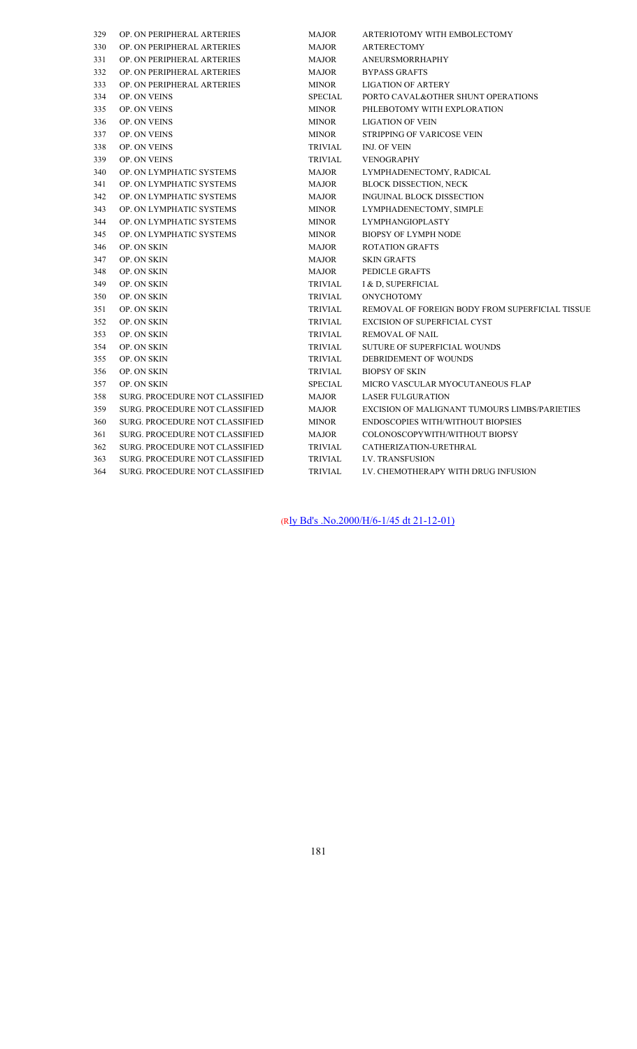| 329 | OP. ON PERIPHERAL ARTERIES            | <b>MAJOR</b>   | ARTERIOTOMY WITH EMBOLECTOMY                    |
|-----|---------------------------------------|----------------|-------------------------------------------------|
| 330 | OP. ON PERIPHERAL ARTERIES            | <b>MAJOR</b>   | <b>ARTERECTOMY</b>                              |
| 331 | OP. ON PERIPHERAL ARTERIES            | <b>MAJOR</b>   | <b>ANEURSMORRHAPHY</b>                          |
| 332 | OP. ON PERIPHERAL ARTERIES            | <b>MAJOR</b>   | <b>BYPASS GRAFTS</b>                            |
| 333 | OP. ON PERIPHERAL ARTERIES            | <b>MINOR</b>   | <b>LIGATION OF ARTERY</b>                       |
| 334 | OP. ON VEINS                          | <b>SPECIAL</b> | PORTO CAVAL&OTHER SHUNT OPERATIONS              |
| 335 | OP. ON VEINS                          | <b>MINOR</b>   | PHLEBOTOMY WITH EXPLORATION                     |
| 336 | OP. ON VEINS                          | <b>MINOR</b>   | <b>LIGATION OF VEIN</b>                         |
| 337 | OP. ON VEINS                          | <b>MINOR</b>   | STRIPPING OF VARICOSE VEIN                      |
| 338 | OP. ON VEINS                          | <b>TRIVIAL</b> | INJ. OF VEIN                                    |
| 339 | OP. ON VEINS                          | <b>TRIVIAL</b> | <b>VENOGRAPHY</b>                               |
| 340 | OP. ON LYMPHATIC SYSTEMS              | <b>MAJOR</b>   | LYMPHADENECTOMY, RADICAL                        |
| 341 | OP. ON LYMPHATIC SYSTEMS              | <b>MAJOR</b>   | <b>BLOCK DISSECTION, NECK</b>                   |
| 342 | OP. ON LYMPHATIC SYSTEMS              | <b>MAJOR</b>   | INGUINAL BLOCK DISSECTION                       |
| 343 | OP. ON LYMPHATIC SYSTEMS              | <b>MINOR</b>   | LYMPHADENECTOMY, SIMPLE                         |
| 344 | OP. ON LYMPHATIC SYSTEMS              | <b>MINOR</b>   | <b>LYMPHANGIOPLASTY</b>                         |
| 345 | OP. ON LYMPHATIC SYSTEMS              | <b>MINOR</b>   | <b>BIOPSY OF LYMPH NODE</b>                     |
| 346 | OP. ON SKIN                           | <b>MAJOR</b>   | <b>ROTATION GRAFTS</b>                          |
| 347 | OP. ON SKIN                           | <b>MAJOR</b>   | <b>SKIN GRAFTS</b>                              |
| 348 | OP. ON SKIN                           | <b>MAJOR</b>   | PEDICLE GRAFTS                                  |
| 349 | OP. ON SKIN                           | <b>TRIVIAL</b> | I & D, SUPERFICIAL                              |
| 350 | OP. ON SKIN                           | <b>TRIVIAL</b> | <b>ONYCHOTOMY</b>                               |
| 351 | OP. ON SKIN                           | <b>TRIVIAL</b> | REMOVAL OF FOREIGN BODY FROM SUPERFICIAL TISSUE |
| 352 | OP. ON SKIN                           | <b>TRIVIAL</b> | <b>EXCISION OF SUPERFICIAL CYST</b>             |
| 353 | OP. ON SKIN                           | <b>TRIVIAL</b> | <b>REMOVAL OF NAIL</b>                          |
| 354 | OP. ON SKIN                           | <b>TRIVIAL</b> | <b>SUTURE OF SUPERFICIAL WOUNDS</b>             |
| 355 | OP. ON SKIN                           | <b>TRIVIAL</b> | DEBRIDEMENT OF WOUNDS                           |
| 356 | OP. ON SKIN                           | <b>TRIVIAL</b> | <b>BIOPSY OF SKIN</b>                           |
| 357 | OP. ON SKIN                           | <b>SPECIAL</b> | MICRO VASCULAR MYOCUTANEOUS FLAP                |
| 358 | SURG. PROCEDURE NOT CLASSIFIED        | <b>MAJOR</b>   | <b>LASER FULGURATION</b>                        |
| 359 | SURG. PROCEDURE NOT CLASSIFIED        | <b>MAJOR</b>   | EXCISION OF MALIGNANT TUMOURS LIMBS/PARIETIES   |
| 360 | SURG. PROCEDURE NOT CLASSIFIED        | <b>MINOR</b>   | <b>ENDOSCOPIES WITH/WITHOUT BIOPSIES</b>        |
| 361 | SURG. PROCEDURE NOT CLASSIFIED        | <b>MAJOR</b>   | COLONOSCOPYWITH/WITHOUT BIOPSY                  |
| 362 | SURG. PROCEDURE NOT CLASSIFIED        | TRIVIAL        | CATHERIZATION-URETHRAL                          |
| 363 | SURG. PROCEDURE NOT CLASSIFIED        | TRIVIAL        | <b>I.V. TRANSFUSION</b>                         |
| 364 | <b>SURG. PROCEDURE NOT CLASSIFIED</b> | <b>TRIVIAL</b> | I.V. CHEMOTHERAPY WITH DRUG INFUSION            |
|     |                                       |                |                                                 |

(Rly Bd's .No.2000/H/6-1/45 dt 21-12-01)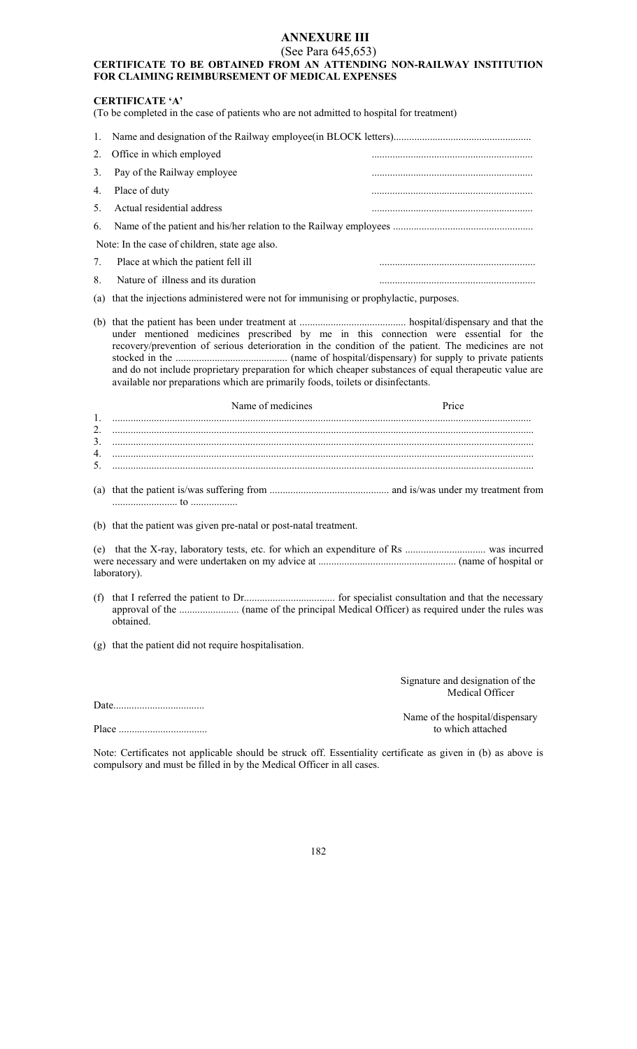# **ANNEXURE III**

#### (See Para 645,653) **CERTIFICATE TO BE OBTAINED FROM AN ATTENDING NON-RAILWAY INSTITUTION FOR CLAIMING REIMBURSEMENT OF MEDICAL EXPENSES**

# **CERTIFICATE 'A'**

(To be completed in the case of patients who are not admitted to hospital for treatment)

|    | 2. Office in which employed                    |  |  |  |  |  |
|----|------------------------------------------------|--|--|--|--|--|
|    | 3. Pay of the Railway employee                 |  |  |  |  |  |
|    | 4. Place of duty                               |  |  |  |  |  |
|    | 5. Actual residential address                  |  |  |  |  |  |
|    |                                                |  |  |  |  |  |
|    | Note: In the case of children, state age also. |  |  |  |  |  |
| 7. | Place at which the patient fell ill            |  |  |  |  |  |
| 8. | Nature of illness and its duration             |  |  |  |  |  |

(a) that the injections administered were not for immunising or prophylactic, purposes.

(b) that the patient has been under treatment at ......................................... hospital/dispensary and that the under mentioned medicines prescribed by me in this connection were essential for the recovery/prevention of serious deterioration in the condition of the patient. The medicines are not stocked in the ........................................... (name of hospital/dispensary) for supply to private patients and do not include proprietary preparation for which cheaper substances of equal therapeutic value are available nor preparations which are primarily foods, toilets or disinfectants.

| Name of medicines | Price |
|-------------------|-------|
|                   |       |
|                   |       |
|                   |       |
|                   |       |

(a) that the patient is/was suffering from .............................................. and is/was under my treatment from ......................... to ..................

(b) that the patient was given pre-natal or post-natal treatment.

(e) that the X-ray, laboratory tests, etc. for which an expenditure of Rs ............................... was incurred were necessary and were undertaken on my advice at ..................................................... (name of hospital or laboratory).

(f) that I referred the patient to Dr................................... for specialist consultation and that the necessary approval of the ....................... (name of the principal Medical Officer) as required under the rules was obtained.

(g) that the patient did not require hospitalisation.

Date...................................

Place .................................. to which attached

 Signature and designation of the Medical Officer

Name of the hospital/dispensary<br>to which attached

Note: Certificates not applicable should be struck off. Essentiality certificate as given in (b) as above is compulsory and must be filled in by the Medical Officer in all cases.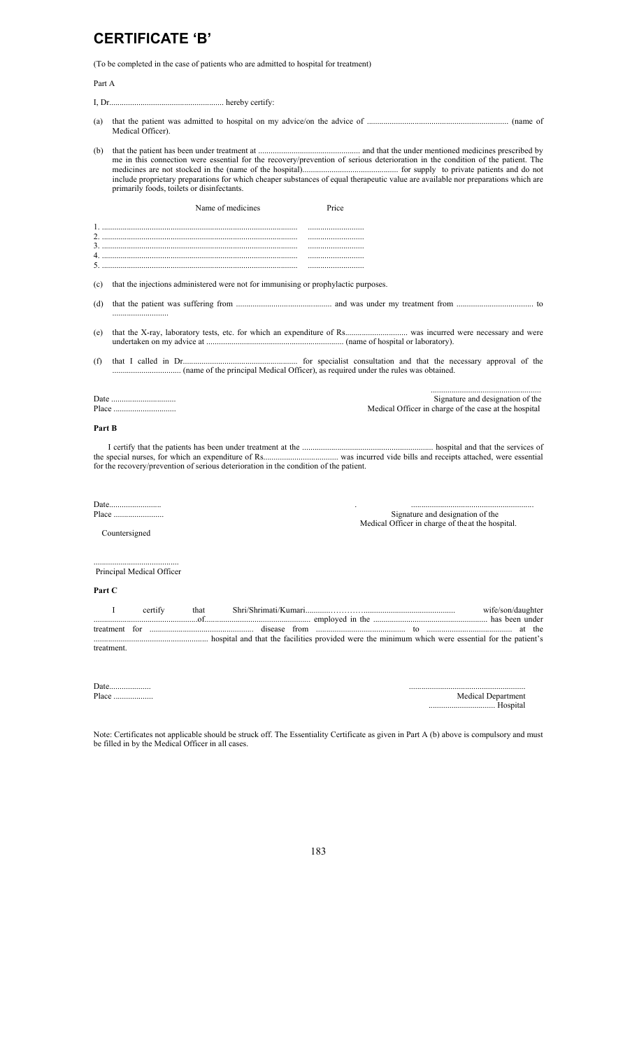# **CERTIFICATE 'B'**

(To be completed in the case of patients who are admitted to hospital for treatment)

Part A

I, Dr....................................................... hereby certify:

- (a) that the patient was admitted to hospital on my advice/on the advice of .................................................................... (name of Medical Officer).
- (b) that the patient has been under treatment at ................................................. and that the under mentioned medicines prescribed by me in this connection were essential for the recovery/prevention of serious deterioration in the condition of the patient. The medicines are not stocked in the (name of the hospital).............................................. for supply to private patients and do not include proprietary preparations for which cheaper substances of equal therapeutic value are available nor preparations which are primarily foods, toilets or disinfectants.

|     | Name of medicines                                                                  | <b>Price</b> |  |
|-----|------------------------------------------------------------------------------------|--------------|--|
|     |                                                                                    |              |  |
|     |                                                                                    |              |  |
|     |                                                                                    |              |  |
|     |                                                                                    |              |  |
|     |                                                                                    |              |  |
|     |                                                                                    |              |  |
| (c) | that the injections administered were not for immunising or prophylactic purposes. |              |  |

(d) that the patient was suffering from .............................................. and was under my treatment from ..................................... to ...........................

- (e) that the X-ray, laboratory tests, etc. for which an expenditure of Rs.............................. was incurred were necessary and were undertaken on my advice at .................................................................. (name of hospital or laboratory).
- (f) that I called in Dr....................................................... for specialist consultation and that the necessary approval of the ................................. (name of the principal Medical Officer), as required under the rules was obtained.

..................................................... Date ............................... Signature and designation of the Medical Officer in charge of the case at the hospital

#### **Part B**

 I certify that the patients has been under treatment at the ............................................................... hospital and that the services of the special nurses, for which an expenditure of Rs.................................... was incurred vide bills and receipts attached, were essential for the recovery/prevention of serious deterioration in the condition of the patient.

Date......................... . ...........................................................

Signature and designation of the Medical Officer in charge of the at the hospital.

Countersigned

......................................... Principal Medical Officer

#### **Part C**

|            | certify |  |  |  | wife/son/daughter |  |
|------------|---------|--|--|--|-------------------|--|
|            |         |  |  |  |                   |  |
| treatment. |         |  |  |  |                   |  |

| Date<br>  | .                  |
|-----------|--------------------|
| Place<br> | Medical Department |
|           | Hospital           |

Note: Certificates not applicable should be struck off. The Essentiality Certificate as given in Part A (b) above is compulsory and must be filled in by the Medical Officer in all cases.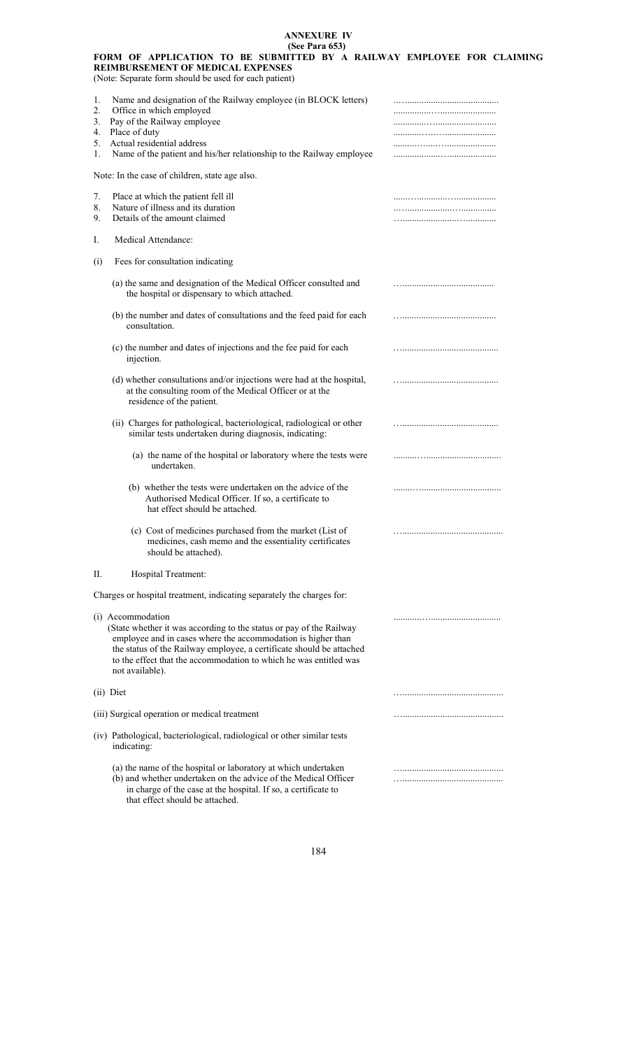#### **ANNEXURE IV (See Para 653)**

|                                  | FORM OF APPLICATION TO BE SUBMITTED BY A RAILWAY EMPLOYEE FOR CLAIMING<br><b>REIMBURSEMENT OF MEDICAL EXPENSES</b><br>(Note: Separate form should be used for each patient)                                                                                                                                              |  |
|----------------------------------|--------------------------------------------------------------------------------------------------------------------------------------------------------------------------------------------------------------------------------------------------------------------------------------------------------------------------|--|
| 1.<br>2.<br>3.<br>4.<br>5.<br>1. | Name and designation of the Railway employee (in BLOCK letters)<br>Office in which employed<br>Pay of the Railway employee<br>Place of duty<br>Actual residential address<br>Name of the patient and his/her relationship to the Railway employee                                                                        |  |
|                                  | Note: In the case of children, state age also.                                                                                                                                                                                                                                                                           |  |
| 7.<br>8.<br>9.                   | Place at which the patient fell ill<br>Nature of illness and its duration<br>Details of the amount claimed                                                                                                                                                                                                               |  |
| Ι.                               | Medical Attendance:                                                                                                                                                                                                                                                                                                      |  |
| (i)                              | Fees for consultation indicating                                                                                                                                                                                                                                                                                         |  |
|                                  | (a) the same and designation of the Medical Officer consulted and<br>the hospital or dispensary to which attached.                                                                                                                                                                                                       |  |
|                                  | (b) the number and dates of consultations and the feed paid for each<br>consultation.                                                                                                                                                                                                                                    |  |
|                                  | (c) the number and dates of injections and the fee paid for each<br>injection.                                                                                                                                                                                                                                           |  |
|                                  | (d) whether consultations and/or injections were had at the hospital,<br>at the consulting room of the Medical Officer or at the<br>residence of the patient.                                                                                                                                                            |  |
|                                  | (ii) Charges for pathological, bacteriological, radiological or other<br>similar tests undertaken during diagnosis, indicating:                                                                                                                                                                                          |  |
|                                  | (a) the name of the hospital or laboratory where the tests were<br>undertaken.                                                                                                                                                                                                                                           |  |
|                                  | (b) whether the tests were undertaken on the advice of the<br>Authorised Medical Officer. If so, a certificate to<br>hat effect should be attached.                                                                                                                                                                      |  |
|                                  | (c) Cost of medicines purchased from the market (List of<br>medicines, cash memo and the essentiality certificates<br>should be attached).                                                                                                                                                                               |  |
| П.                               | Hospital Treatment:                                                                                                                                                                                                                                                                                                      |  |
|                                  | Charges or hospital treatment, indicating separately the charges for:                                                                                                                                                                                                                                                    |  |
|                                  | (i) Accommodation<br>(State whether it was according to the status or pay of the Railway<br>employee and in cases where the accommodation is higher than<br>the status of the Railway employee, a certificate should be attached<br>to the effect that the accommodation to which he was entitled was<br>not available). |  |
|                                  | (ii) Diet                                                                                                                                                                                                                                                                                                                |  |
|                                  | (iii) Surgical operation or medical treatment                                                                                                                                                                                                                                                                            |  |
|                                  | (iv) Pathological, bacteriological, radiological or other similar tests<br>indicating:                                                                                                                                                                                                                                   |  |
|                                  | (a) the name of the hospital or laboratory at which undertaken<br>(b) and whether undertaken on the advice of the Medical Officer                                                                                                                                                                                        |  |

 in charge of the case at the hospital. If so, a certificate to that effect should be attached.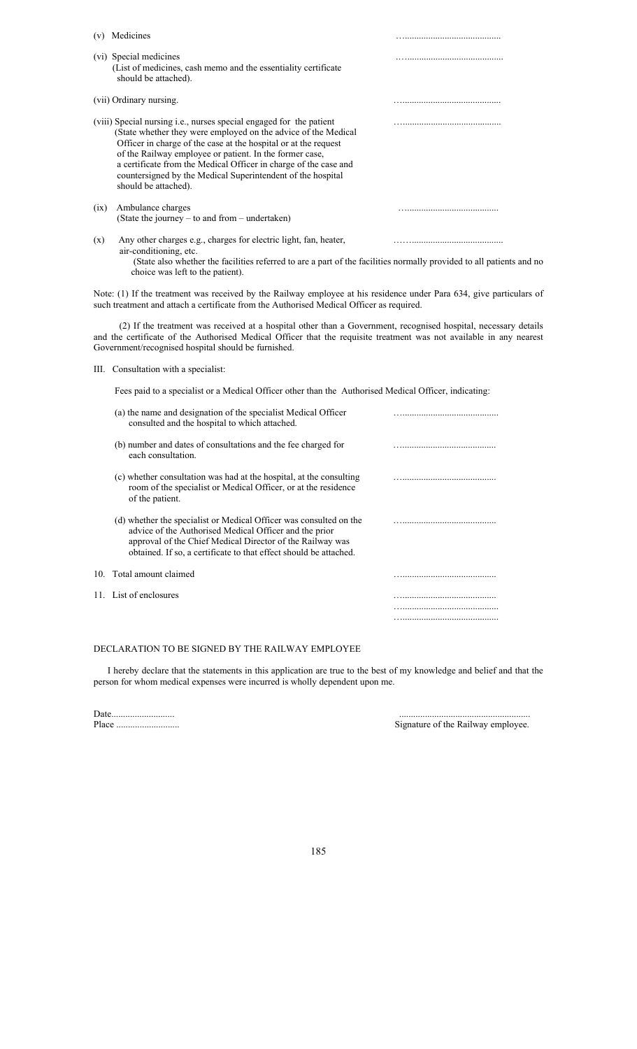| (v)  | Medicines                                                                                                                                                                                                                                                                                                                                                                                                                      |  |
|------|--------------------------------------------------------------------------------------------------------------------------------------------------------------------------------------------------------------------------------------------------------------------------------------------------------------------------------------------------------------------------------------------------------------------------------|--|
|      | (vi) Special medicines<br>(List of medicines, cash memo and the essentiality certificate<br>should be attached).                                                                                                                                                                                                                                                                                                               |  |
|      | (vii) Ordinary nursing.                                                                                                                                                                                                                                                                                                                                                                                                        |  |
|      | (viii) Special nursing i.e., nurses special engaged for the patient<br>(State whether they were employed on the advice of the Medical<br>Officer in charge of the case at the hospital or at the request<br>of the Railway employee or patient. In the former case,<br>a certificate from the Medical Officer in charge of the case and<br>countersigned by the Medical Superintendent of the hospital<br>should be attached). |  |
| (ix) | Ambulance charges<br>(State the journey $-$ to and from $-$ undertaken)                                                                                                                                                                                                                                                                                                                                                        |  |
| (x)  | Any other charges e.g., charges for electric light, fan, heater,<br>air-conditioning, etc.<br>(State also whether the facilities referred to are a part of the facilities normally provided to all patients and no<br>choice was left to the patient).                                                                                                                                                                         |  |

Note: (1) If the treatment was received by the Railway employee at his residence under Para 634, give particulars of such treatment and attach a certificate from the Authorised Medical Officer as required.

 (2) If the treatment was received at a hospital other than a Government, recognised hospital, necessary details and the certificate of the Authorised Medical Officer that the requisite treatment was not available in any nearest Government/recognised hospital should be furnished.

III. Consultation with a specialist:

Fees paid to a specialist or a Medical Officer other than the Authorised Medical Officer, indicating:

| (a) the name and designation of the specialist Medical Officer<br>consulted and the hospital to which attached.                                                                                                                                                |  |
|----------------------------------------------------------------------------------------------------------------------------------------------------------------------------------------------------------------------------------------------------------------|--|
| (b) number and dates of consultations and the fee charged for<br>each consultation.                                                                                                                                                                            |  |
| (c) whether consultation was had at the hospital, at the consulting<br>room of the specialist or Medical Officer, or at the residence<br>of the patient.                                                                                                       |  |
| (d) whether the specialist or Medical Officer was consulted on the<br>advice of the Authorised Medical Officer and the prior<br>approval of the Chief Medical Director of the Railway was<br>obtained. If so, a certificate to that effect should be attached. |  |
| 10. Total amount claimed                                                                                                                                                                                                                                       |  |
| 11. List of enclosures                                                                                                                                                                                                                                         |  |
|                                                                                                                                                                                                                                                                |  |
|                                                                                                                                                                                                                                                                |  |

#### DECLARATION TO BE SIGNED BY THE RAILWAY EMPLOYEE

 I hereby declare that the statements in this application are true to the best of my knowledge and belief and that the person for whom medical expenses were incurred is wholly dependent upon me.

Date........................... ........................................................

Signature of the Railway employee.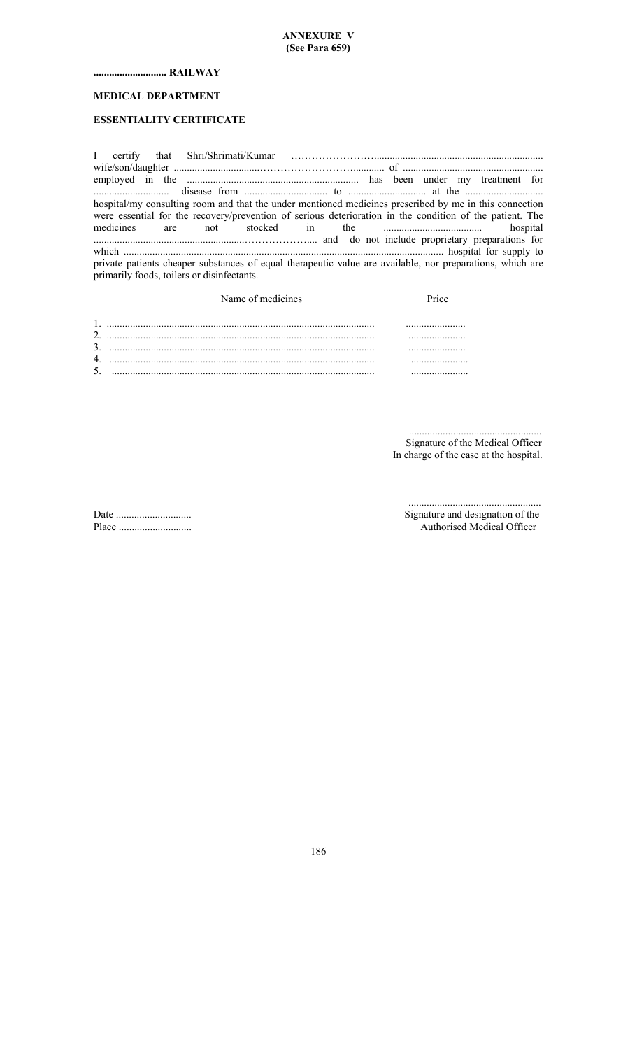# **............................ RAILWAY**

# **MEDICAL DEPARTMENT**

# **ESSENTIALITY CERTIFICATE**

|  | hospital/my consulting room and that the under mentioned medicines prescribed by me in this connection    |  |  |  |  |  |
|--|-----------------------------------------------------------------------------------------------------------|--|--|--|--|--|
|  | were essential for the recovery/prevention of serious deterioration in the condition of the patient. The  |  |  |  |  |  |
|  |                                                                                                           |  |  |  |  |  |
|  |                                                                                                           |  |  |  |  |  |
|  |                                                                                                           |  |  |  |  |  |
|  | private patients cheaper substances of equal therapeutic value are available, nor preparations, which are |  |  |  |  |  |
|  | primarily foods, toilers or disinfectants.                                                                |  |  |  |  |  |

|   | Name of medicines | Price |
|---|-------------------|-------|
|   |                   |       |
|   |                   |       |
| 4 |                   |       |
|   |                   |       |

 ................................................... Signature of the Medical Officer In charge of the case at the hospital.

 ................................................... Date ............................. Signature and designation of the Place ............................ Authorised Medical Officer